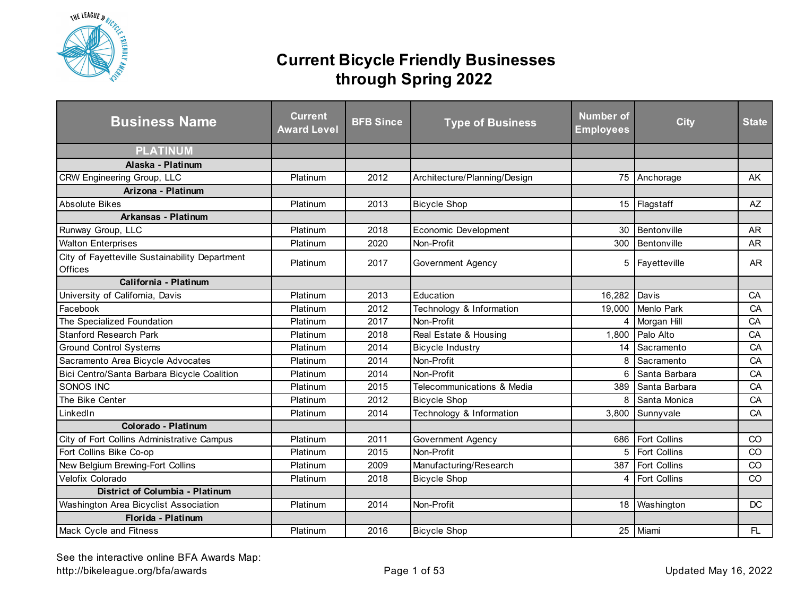

| <b>Business Name</b>                                      | <b>Current</b><br><b>Award Level</b> | <b>BFB Since</b> | <b>Type of Business</b>      | Number of<br><b>Employees</b> | <b>City</b>         | <b>State</b> |
|-----------------------------------------------------------|--------------------------------------|------------------|------------------------------|-------------------------------|---------------------|--------------|
| <b>PLATINUM</b>                                           |                                      |                  |                              |                               |                     |              |
| Alaska - Platinum                                         |                                      |                  |                              |                               |                     |              |
| CRW Engineering Group, LLC                                | Platinum                             | 2012             | Architecture/Planning/Design |                               | 75 Anchorage        | <b>AK</b>    |
| Arizona - Platinum                                        |                                      |                  |                              |                               |                     |              |
| <b>Absolute Bikes</b>                                     | Platinum                             | 2013             | <b>Bicycle Shop</b>          |                               | 15 Flagstaff        | <b>AZ</b>    |
| Arkansas - Platinum                                       |                                      |                  |                              |                               |                     |              |
| Runway Group, LLC                                         | Platinum                             | 2018             | Economic Development         | 30                            | Bentonville         | <b>AR</b>    |
| <b>Walton Enterprises</b>                                 | Platinum                             | 2020             | Non-Profit                   | 300                           | Bentonville         | <b>AR</b>    |
| City of Fayetteville Sustainability Department<br>Offices | Platinum                             | 2017             | Government Agency            |                               | 5 Fayetteville      | AR           |
| California - Platinum                                     |                                      |                  |                              |                               |                     |              |
| University of California, Davis                           | Platinum                             | 2013             | Education                    | 16,282                        | Davis               | CA           |
| Facebook                                                  | Platinum                             | 2012             | Technology & Information     |                               | 19,000 Menlo Park   | CA           |
| The Specialized Foundation                                | Platinum                             | 2017             | Non-Profit                   | 4                             | Morgan Hill         | CA           |
| <b>Stanford Research Park</b>                             | Platinum                             | 2018             | Real Estate & Housing        |                               | 1,800 Palo Alto     | CA           |
| <b>Ground Control Systems</b>                             | Platinum                             | 2014             | <b>Bicycle Industry</b>      | 14                            | Sacramento          | CA           |
| Sacramento Area Bicycle Advocates                         | Platinum                             | 2014             | Non-Profit                   | 8                             | Sacramento          | CA           |
| Bici Centro/Santa Barbara Bicycle Coalition               | Platinum                             | 2014             | Non-Profit                   | 6                             | Santa Barbara       | CA           |
| SONOS INC                                                 | Platinum                             | 2015             | Telecommunications & Media   | 389                           | Santa Barbara       | CA           |
| The Bike Center                                           | Platinum                             | 2012             | <b>Bicycle Shop</b>          | 8                             | Santa Monica        | CA           |
| LinkedIn                                                  | Platinum                             | 2014             | Technology & Information     |                               | 3,800 Sunnyvale     | CA           |
| Colorado - Platinum                                       |                                      |                  |                              |                               |                     |              |
| City of Fort Collins Administrative Campus                | Platinum                             | 2011             | Government Agency            |                               | 686 Fort Collins    | CO           |
| Fort Collins Bike Co-op                                   | Platinum                             | 2015             | Non-Profit                   | 5                             | Fort Collins        | CO           |
| New Belgium Brewing-Fort Collins                          | Platinum                             | 2009             | Manufacturing/Research       | 387                           | Fort Collins        | CO           |
| Velofix Colorado                                          | Platinum                             | 2018             | <b>Bicycle Shop</b>          | 4                             | <b>Fort Collins</b> | CO           |
| District of Columbia - Platinum                           |                                      |                  |                              |                               |                     |              |
| Washington Area Bicyclist Association                     | Platinum                             | 2014             | Non-Profit                   |                               | 18 Washington       | DC           |
| Florida - Platinum                                        |                                      |                  |                              |                               |                     |              |
| Mack Cycle and Fitness                                    | Platinum                             | 2016             | <b>Bicycle Shop</b>          |                               | 25 Miami            | FL.          |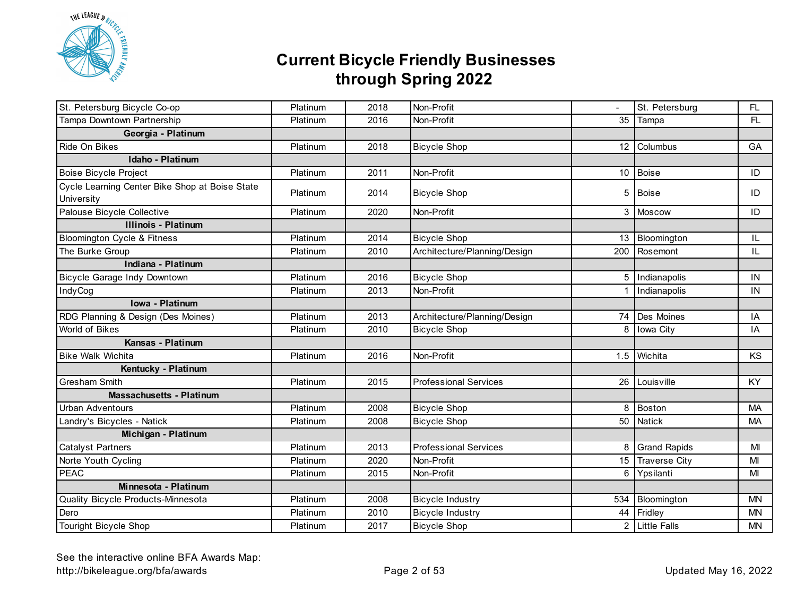

| St. Petersburg Bicycle Co-op                                 | Platinum | 2018 | Non-Profit                   |    | St. Petersburg      | FL.       |
|--------------------------------------------------------------|----------|------|------------------------------|----|---------------------|-----------|
| Tampa Downtown Partnership                                   | Platinum | 2016 | Non-Profit                   |    | 35 Tampa            | FL        |
| Georgia - Platinum                                           |          |      |                              |    |                     |           |
| Ride On Bikes                                                | Platinum | 2018 | <b>Bicycle Shop</b>          |    | 12 Columbus         | GA        |
| Idaho - Platinum                                             |          |      |                              |    |                     |           |
| <b>Boise Bicycle Project</b>                                 | Platinum | 2011 | Non-Profit                   |    | 10 Boise            | ID        |
| Cycle Learning Center Bike Shop at Boise State<br>University | Platinum | 2014 | <b>Bicycle Shop</b>          | 5  | Boise               | ID        |
| Palouse Bicycle Collective                                   | Platinum | 2020 | Non-Profit                   | 3  | Moscow              | ID        |
| <b>Illinois - Platinum</b>                                   |          |      |                              |    |                     |           |
| <b>Bloomington Cycle &amp; Fitness</b>                       | Platinum | 2014 | <b>Bicycle Shop</b>          |    | 13 Bloomington      | IL        |
| The Burke Group                                              | Platinum | 2010 | Architecture/Planning/Design |    | 200 Rosemont        | IL        |
| Indiana - Platinum                                           |          |      |                              |    |                     |           |
| Bicycle Garage Indy Downtown                                 | Platinum | 2016 | <b>Bicycle Shop</b>          |    | 5 Indianapolis      | IN        |
| IndyCog                                                      | Platinum | 2013 | Non-Profit                   |    | Indianapolis        | IN        |
| Iowa - Platinum                                              |          |      |                              |    |                     |           |
| RDG Planning & Design (Des Moines)                           | Platinum | 2013 | Architecture/Planning/Design | 74 | Des Moines          | IA        |
| World of Bikes                                               | Platinum | 2010 | <b>Bicycle Shop</b>          | 8  | Iowa City           | IA        |
| Kansas - Platinum                                            |          |      |                              |    |                     |           |
| <b>Bike Walk Wichita</b>                                     | Platinum | 2016 | Non-Profit                   |    | 1.5 Wichita         | KS        |
| Kentucky - Platinum                                          |          |      |                              |    |                     |           |
| Gresham Smith                                                | Platinum | 2015 | <b>Professional Services</b> | 26 | Louisville          | KY        |
| <b>Massachusetts - Platinum</b>                              |          |      |                              |    |                     |           |
| <b>Urban Adventours</b>                                      | Platinum | 2008 | <b>Bicycle Shop</b>          | 8  | Boston              | MA        |
| Landry's Bicycles - Natick                                   | Platinum | 2008 | <b>Bicycle Shop</b>          |    | 50 Natick           | <b>MA</b> |
| Michigan - Platinum                                          |          |      |                              |    |                     |           |
| <b>Catalyst Partners</b>                                     | Platinum | 2013 | <b>Professional Services</b> | 8  | <b>Grand Rapids</b> | MI        |
| Norte Youth Cycling                                          | Platinum | 2020 | Non-Profit                   |    | 15 Traverse City    | MI        |
| <b>PEAC</b>                                                  | Platinum | 2015 | Non-Profit                   | 6  | Ypsilanti           | MI        |
| Minnesota - Platinum                                         |          |      |                              |    |                     |           |
| Quality Bicycle Products-Minnesota                           | Platinum | 2008 | <b>Bicycle Industry</b>      |    | 534 Bloomington     | <b>MN</b> |
| Dero                                                         | Platinum | 2010 | <b>Bicycle Industry</b>      |    | 44 Fridley          | <b>MN</b> |
| Touright Bicycle Shop                                        | Platinum | 2017 | <b>Bicycle Shop</b>          |    | 2 Little Falls      | <b>MN</b> |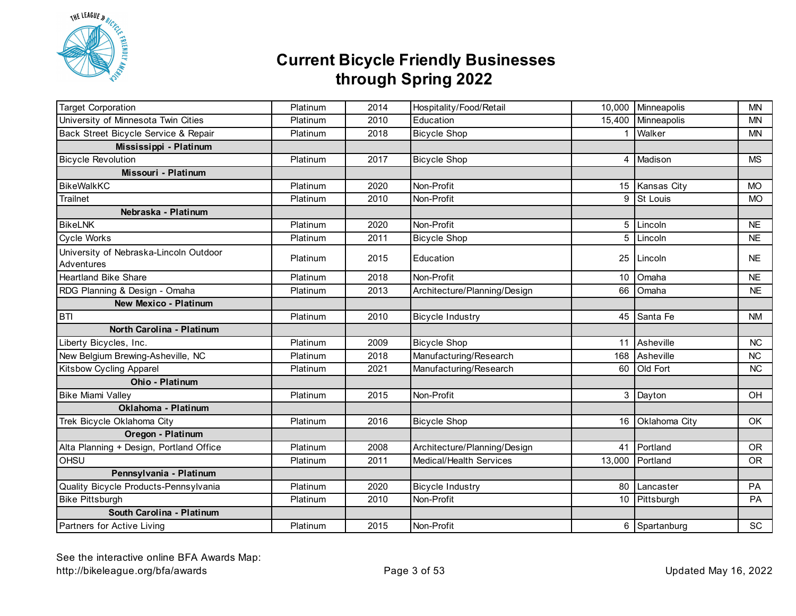

| <b>Target Corporation</b>                            | Platinum | 2014 | Hospitality/Food/Retail      |        | 10,000 Minneapolis | <b>MN</b> |
|------------------------------------------------------|----------|------|------------------------------|--------|--------------------|-----------|
| University of Minnesota Twin Cities                  | Platinum | 2010 | Education                    |        | 15,400 Minneapolis | <b>MN</b> |
| Back Street Bicycle Service & Repair                 | Platinum | 2018 | <b>Bicycle Shop</b>          |        | Walker             | <b>MN</b> |
| Mississippi - Platinum                               |          |      |                              |        |                    |           |
| <b>Bicycle Revolution</b>                            | Platinum | 2017 | <b>Bicycle Shop</b>          | 4      | Madison            | <b>MS</b> |
| Missouri - Platinum                                  |          |      |                              |        |                    |           |
| <b>BikeWalkKC</b>                                    | Platinum | 2020 | Non-Profit                   | 15     | Kansas City        | <b>MO</b> |
| <b>Trailnet</b>                                      | Platinum | 2010 | Non-Profit                   | 9      | St Louis           | <b>MO</b> |
| Nebraska - Platinum                                  |          |      |                              |        |                    |           |
| <b>BikeLNK</b>                                       | Platinum | 2020 | Non-Profit                   | 5      | Lincoln            | <b>NE</b> |
| Cycle Works                                          | Platinum | 2011 | <b>Bicycle Shop</b>          | 5      | Lincoln            | <b>NE</b> |
| University of Nebraska-Lincoln Outdoor<br>Adventures | Platinum | 2015 | Education                    | 25     | Lincoln            | <b>NE</b> |
| <b>Heartland Bike Share</b>                          | Platinum | 2018 | Non-Profit                   | 10     | Omaha              | <b>NE</b> |
| RDG Planning & Design - Omaha                        | Platinum | 2013 | Architecture/Planning/Design |        | 66 Omaha           | <b>NE</b> |
| <b>New Mexico - Platinum</b>                         |          |      |                              |        |                    |           |
| <b>BTI</b>                                           | Platinum | 2010 | <b>Bicycle Industry</b>      |        | 45 Santa Fe        | <b>NM</b> |
| North Carolina - Platinum                            |          |      |                              |        |                    |           |
| Liberty Bicycles, Inc.                               | Platinum | 2009 | <b>Bicycle Shop</b>          |        | 11 Asheville       | <b>NC</b> |
| New Belgium Brewing-Asheville, NC                    | Platinum | 2018 | Manufacturing/Research       | 168    | Asheville          | <b>NC</b> |
| <b>Kitsbow Cycling Apparel</b>                       | Platinum | 2021 | Manufacturing/Research       |        | 60 Old Fort        | <b>NC</b> |
| Ohio - Platinum                                      |          |      |                              |        |                    |           |
| <b>Bike Miami Valley</b>                             | Platinum | 2015 | Non-Profit                   |        | 3 Dayton           | OH        |
| Oklahoma - Platinum                                  |          |      |                              |        |                    |           |
| Trek Bicycle Oklahoma City                           | Platinum | 2016 | <b>Bicycle Shop</b>          |        | 16 Oklahoma City   | OK        |
| Oregon - Platinum                                    |          |      |                              |        |                    |           |
| Alta Planning + Design, Portland Office              | Platinum | 2008 | Architecture/Planning/Design | 41     | Portland           | <b>OR</b> |
| <b>OHSU</b>                                          | Platinum | 2011 | Medical/Health Services      | 13,000 | Portland           | <b>OR</b> |
| Pennsylvania - Platinum                              |          |      |                              |        |                    |           |
| Quality Bicycle Products-Pennsylvania                | Platinum | 2020 | <b>Bicycle Industry</b>      |        | 80 Lancaster       | PA        |
| <b>Bike Pittsburgh</b>                               | Platinum | 2010 | Non-Profit                   |        | 10 Pittsburgh      | PA        |
| South Carolina - Platinum                            |          |      |                              |        |                    |           |
| Partners for Active Living                           | Platinum | 2015 | Non-Profit                   |        | 6 Spartanburg      | SC        |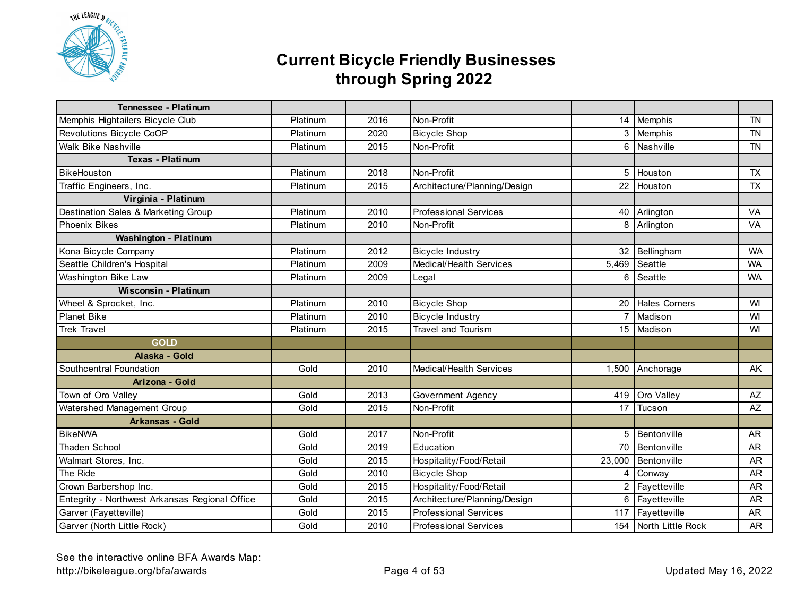

| <b>Tennessee - Platinum</b>                    |          |      |                                |                |                          |           |
|------------------------------------------------|----------|------|--------------------------------|----------------|--------------------------|-----------|
| Memphis Hightailers Bicycle Club               | Platinum | 2016 | Non-Profit                     |                | 14 Memphis               | <b>TN</b> |
| Revolutions Bicycle CoOP                       | Platinum | 2020 | <b>Bicycle Shop</b>            |                | 3 Memphis                | <b>TN</b> |
| <b>Walk Bike Nashville</b>                     | Platinum | 2015 | Non-Profit                     |                | 6 Nashville              | <b>TN</b> |
| <b>Texas - Platinum</b>                        |          |      |                                |                |                          |           |
| BikeHouston                                    | Platinum | 2018 | Non-Profit                     | 5              | Houston                  | <b>TX</b> |
| Traffic Engineers, Inc.                        | Platinum | 2015 | Architecture/Planning/Design   | 22             | Houston                  | <b>TX</b> |
| Virginia - Platinum                            |          |      |                                |                |                          |           |
| Destination Sales & Marketing Group            | Platinum | 2010 | <b>Professional Services</b>   |                | 40 Arlington             | VA        |
| <b>Phoenix Bikes</b>                           | Platinum | 2010 | Non-Profit                     |                | $\overline{8}$ Arlington | VA        |
| Washington - Platinum                          |          |      |                                |                |                          |           |
| Kona Bicycle Company                           | Platinum | 2012 | <b>Bicycle Industry</b>        | 32             | Bellingham               | <b>WA</b> |
| Seattle Children's Hospital                    | Platinum | 2009 | <b>Medical/Health Services</b> | 5,469          | Seattle                  | <b>WA</b> |
| Washington Bike Law                            | Platinum | 2009 | Legal                          | 6              | Seattle                  | <b>WA</b> |
| <b>Wisconsin - Platinum</b>                    |          |      |                                |                |                          |           |
| Wheel & Sprocket, Inc.                         | Platinum | 2010 | <b>Bicycle Shop</b>            |                | 20 Hales Corners         | WI        |
| <b>Planet Bike</b>                             | Platinum | 2010 | <b>Bicycle Industry</b>        | $\overline{7}$ | Madison                  | WI        |
| <b>Trek Travel</b>                             | Platinum | 2015 | <b>Travel and Tourism</b>      |                | 15 Madison               | WI        |
| <b>GOLD</b>                                    |          |      |                                |                |                          |           |
| Alaska - Gold                                  |          |      |                                |                |                          |           |
| Southcentral Foundation                        | Gold     | 2010 | Medical/Health Services        |                | 1,500 Anchorage          | AK        |
| Arizona - Gold                                 |          |      |                                |                |                          |           |
| Town of Oro Valley                             | Gold     | 2013 | Government Agency              |                | 419 Oro Valley           | AZ        |
| Watershed Management Group                     | Gold     | 2015 | Non-Profit                     |                | 17 Tucson                | $A\!Z$    |
| <b>Arkansas - Gold</b>                         |          |      |                                |                |                          |           |
| <b>BikeNWA</b>                                 | Gold     | 2017 | Non-Profit                     | 5              | Bentonville              | <b>AR</b> |
| <b>Thaden School</b>                           | Gold     | 2019 | Education                      | 70             | Bentonville              | <b>AR</b> |
| Walmart Stores, Inc.                           | Gold     | 2015 | Hospitality/Food/Retail        | 23,000         | Bentonville              | <b>AR</b> |
| The Ride                                       | Gold     | 2010 | <b>Bicycle Shop</b>            | 4              | Conway                   | <b>AR</b> |
| Crown Barbershop Inc.                          | Gold     | 2015 | Hospitality/Food/Retail        | $\overline{2}$ | Fayetteville             | <b>AR</b> |
| Entegrity - Northwest Arkansas Regional Office | Gold     | 2015 | Architecture/Planning/Design   | 6              | Fayetteville             | <b>AR</b> |
| Garver (Fayetteville)                          | Gold     | 2015 | <b>Professional Services</b>   |                | 117 Fayetteville         | <b>AR</b> |
| Garver (North Little Rock)                     | Gold     | 2010 | <b>Professional Services</b>   |                | 154 North Little Rock    | AR        |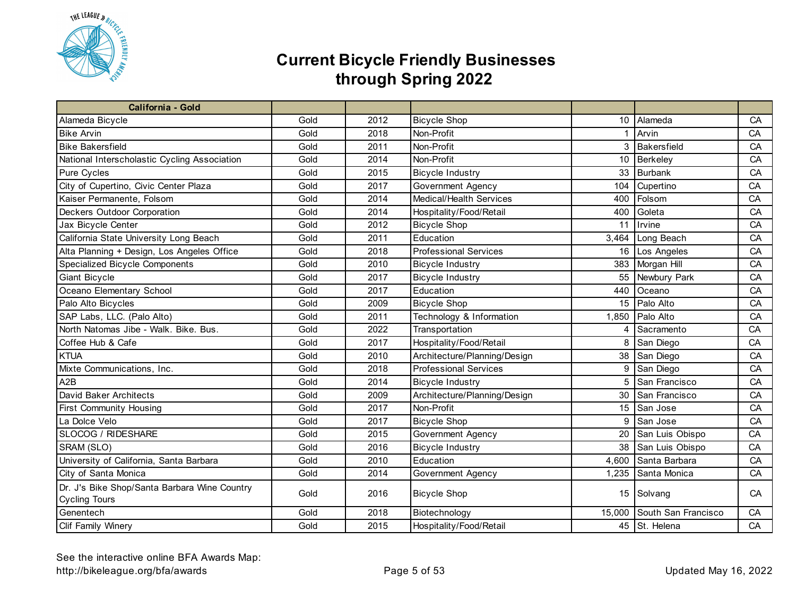

| <b>California - Gold</b>                                             |      |      |                              |                 |                     |    |
|----------------------------------------------------------------------|------|------|------------------------------|-----------------|---------------------|----|
| Alameda Bicycle                                                      | Gold | 2012 | <b>Bicycle Shop</b>          |                 | 10 Alameda          | CA |
| <b>Bike Arvin</b>                                                    | Gold | 2018 | Non-Profit                   | $\mathbf{1}$    | Arvin               | CA |
| <b>Bike Bakersfield</b>                                              | Gold | 2011 | Non-Profit                   |                 | 3 Bakersfield       | CA |
| National Interscholastic Cycling Association                         | Gold | 2014 | Non-Profit                   | 10 <sup>°</sup> | Berkeley            | CA |
| Pure Cycles                                                          | Gold | 2015 | <b>Bicycle Industry</b>      | 33              | <b>Burbank</b>      | CA |
| City of Cupertino, Civic Center Plaza                                | Gold | 2017 | Government Agency            | 104             | Cupertino           | CA |
| Kaiser Permanente, Folsom                                            | Gold | 2014 | Medical/Health Services      | 400             | Folsom              | CA |
| Deckers Outdoor Corporation                                          | Gold | 2014 | Hospitality/Food/Retail      | 400             | Goleta              | CA |
| Jax Bicycle Center                                                   | Gold | 2012 | <b>Bicycle Shop</b>          | 11              | Irvine              | CA |
| California State University Long Beach                               | Gold | 2011 | Education                    | 3,464           | Long Beach          | CA |
| Alta Planning + Design, Los Angeles Office                           | Gold | 2018 | <b>Professional Services</b> | 16              | Los Angeles         | CA |
| Specialized Bicycle Components                                       | Gold | 2010 | <b>Bicycle Industry</b>      | 383             | Morgan Hill         | CA |
| Giant Bicycle                                                        | Gold | 2017 | <b>Bicycle Industry</b>      | 55              | Newbury Park        | CA |
| Oceano Elementary School                                             | Gold | 2017 | Education                    | 440             | Oceano              | CA |
| Palo Alto Bicycles                                                   | Gold | 2009 | <b>Bicycle Shop</b>          | 15              | Palo Alto           | CA |
| SAP Labs, LLC. (Palo Alto)                                           | Gold | 2011 | Technology & Information     |                 | 1,850 Palo Alto     | CA |
| North Natomas Jibe - Walk. Bike. Bus.                                | Gold | 2022 | Transportation               |                 | 4 Sacramento        | CA |
| Coffee Hub & Cafe                                                    | Gold | 2017 | Hospitality/Food/Retail      | 8               | San Diego           | CA |
| <b>KTUA</b>                                                          | Gold | 2010 | Architecture/Planning/Design | 38              | San Diego           | CA |
| Mixte Communications, Inc.                                           | Gold | 2018 | <b>Professional Services</b> | 9               | San Diego           | CA |
| A2B                                                                  | Gold | 2014 | <b>Bicycle Industry</b>      | 5               | San Francisco       | CA |
| David Baker Architects                                               | Gold | 2009 | Architecture/Planning/Design |                 | 30 San Francisco    | CA |
| First Community Housing                                              | Gold | 2017 | Non-Profit                   | 15              | San Jose            | CA |
| La Dolce Velo                                                        | Gold | 2017 | <b>Bicycle Shop</b>          | 9               | San Jose            | CA |
| SLOCOG / RIDESHARE                                                   | Gold | 2015 | Government Agency            | 20              | San Luis Obispo     | CA |
| SRAM (SLO)                                                           | Gold | 2016 | <b>Bicycle Industry</b>      | 38              | San Luis Obispo     | CA |
| University of California, Santa Barbara                              | Gold | 2010 | Education                    | 4,600           | Santa Barbara       | CA |
| City of Santa Monica                                                 | Gold | 2014 | Government Agency            | 1,235           | Santa Monica        | CA |
| Dr. J's Bike Shop/Santa Barbara Wine Country<br><b>Cycling Tours</b> | Gold | 2016 | <b>Bicycle Shop</b>          |                 | 15 Solvang          | CA |
| Genentech                                                            | Gold | 2018 | Biotechnology                | 15,000          | South San Francisco | CA |
| Clif Family Winery                                                   | Gold | 2015 | Hospitality/Food/Retail      |                 | 45 St. Helena       | CA |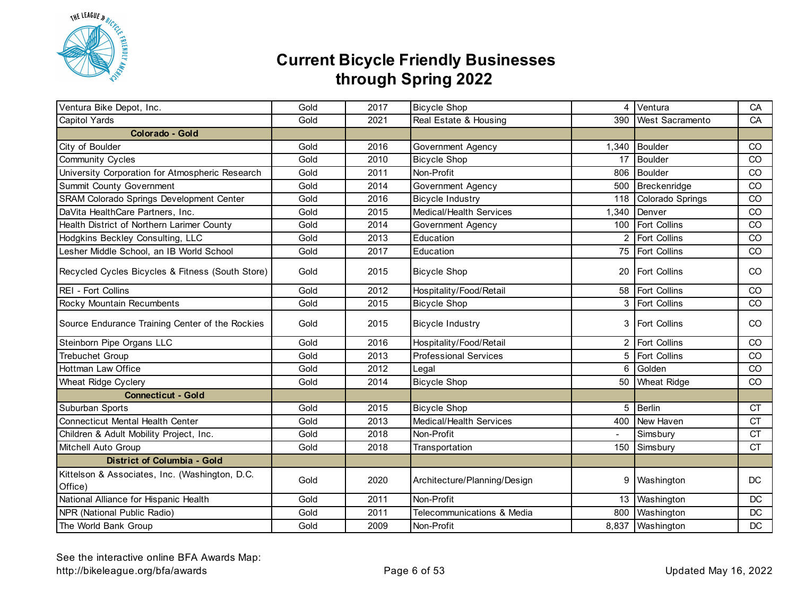

| Ventura Bike Depot, Inc.                                  | Gold | 2017 | <b>Bicycle Shop</b>          | 4              | Ventura              | CA            |
|-----------------------------------------------------------|------|------|------------------------------|----------------|----------------------|---------------|
| Capitol Yards                                             | Gold | 2021 | Real Estate & Housing        | 390            | West Sacramento      | CA            |
| <b>Colorado - Gold</b>                                    |      |      |                              |                |                      |               |
| City of Boulder                                           | Gold | 2016 | Government Agency            | 1,340          | Boulder              | CO            |
| <b>Community Cycles</b>                                   | Gold | 2010 | <b>Bicycle Shop</b>          | 17             | <b>Boulder</b>       | CO            |
| University Corporation for Atmospheric Research           | Gold | 2011 | Non-Profit                   | 806            | <b>Boulder</b>       | CO            |
| Summit County Government                                  | Gold | 2014 | Government Agency            | 500            | Breckenridge         | CO            |
| SRAM Colorado Springs Development Center                  | Gold | 2016 | <b>Bicycle Industry</b>      |                | 118 Colorado Springs | CO            |
| DaVita HealthCare Partners, Inc.                          | Gold | 2015 | Medical/Health Services      | 1,340          | Denver               | CO            |
| Health District of Northern Larimer County                | Gold | 2014 | Government Agency            |                | 100 Fort Collins     | CO            |
| Hodgkins Beckley Consulting, LLC                          | Gold | 2013 | Education                    |                | 2 Fort Collins       | CO            |
| Lesher Middle School, an IB World School                  | Gold | 2017 | Education                    |                | 75 Fort Collins      | CO            |
| Recycled Cycles Bicycles & Fitness (South Store)          | Gold | 2015 | <b>Bicycle Shop</b>          | 20             | Fort Collins         | <sub>CO</sub> |
| REI - Fort Collins                                        | Gold | 2012 | Hospitality/Food/Retail      |                | 58 Fort Collins      | CO            |
| Rocky Mountain Recumbents                                 | Gold | 2015 | <b>Bicycle Shop</b>          |                | 3 Fort Collins       | CO            |
| Source Endurance Training Center of the Rockies           | Gold | 2015 | <b>Bicycle Industry</b>      | 3              | <b>Fort Collins</b>  | <sub>CO</sub> |
| Steinborn Pipe Organs LLC                                 | Gold | 2016 | Hospitality/Food/Retail      | $\overline{2}$ | Fort Collins         | CO            |
| Trebuchet Group                                           | Gold | 2013 | <b>Professional Services</b> | 5              | <b>Fort Collins</b>  | CO            |
| <b>Hottman Law Office</b>                                 | Gold | 2012 | Legal                        | 6              | Golden               | CO            |
| Wheat Ridge Cyclery                                       | Gold | 2014 | <b>Bicycle Shop</b>          | 50             | <b>Wheat Ridge</b>   | CO            |
| <b>Connecticut - Gold</b>                                 |      |      |                              |                |                      |               |
| Suburban Sports                                           | Gold | 2015 | <b>Bicycle Shop</b>          | 5              | Berlin               | <b>CT</b>     |
| <b>Connecticut Mental Health Center</b>                   | Gold | 2013 | Medical/Health Services      | 400            | New Haven            | <b>CT</b>     |
| Children & Adult Mobility Project, Inc.                   | Gold | 2018 | Non-Profit                   |                | Simsbury             | <b>CT</b>     |
| Mitchell Auto Group                                       | Gold | 2018 | Transportation               |                | 150 Simsbury         | <b>CT</b>     |
| <b>District of Columbia - Gold</b>                        |      |      |                              |                |                      |               |
| Kittelson & Associates, Inc. (Washington, D.C.<br>Office) | Gold | 2020 | Architecture/Planning/Design | 9              | Washington           | DC            |
| National Alliance for Hispanic Health                     | Gold | 2011 | Non-Profit                   |                | 13 Washington        | <b>DC</b>     |
| NPR (National Public Radio)                               | Gold | 2011 | Telecommunications & Media   | 800            | Washington           | DC            |
| The World Bank Group                                      | Gold | 2009 | Non-Profit                   |                | 8,837 Washington     | DC            |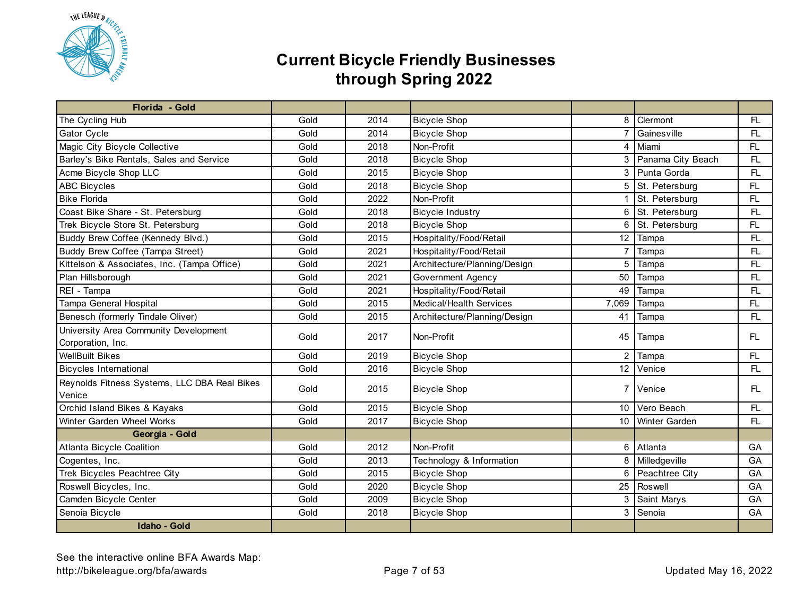

| Florida - Gold                               |      |      |                              |                 |                      |     |
|----------------------------------------------|------|------|------------------------------|-----------------|----------------------|-----|
| The Cycling Hub                              | Gold | 2014 | <b>Bicycle Shop</b>          | 8               | Clermont             | FL. |
| Gator Cycle                                  | Gold | 2014 | <b>Bicycle Shop</b>          | $\overline{7}$  | Gainesville          | FL. |
| Magic City Bicycle Collective                | Gold | 2018 | Non-Profit                   | 4               | Miami                | FL. |
| Barley's Bike Rentals, Sales and Service     | Gold | 2018 | <b>Bicycle Shop</b>          | 3               | Panama City Beach    | FL. |
| Acme Bicycle Shop LLC                        | Gold | 2015 | <b>Bicycle Shop</b>          | 3               | Punta Gorda          | FL. |
| <b>ABC Bicycles</b>                          | Gold | 2018 | <b>Bicycle Shop</b>          | 5               | St. Petersburg       | FL  |
| <b>Bike Florida</b>                          | Gold | 2022 | Non-Profit                   |                 | St. Petersburg       | FL  |
| Coast Bike Share - St. Petersburg            | Gold | 2018 | <b>Bicycle Industry</b>      | 6               | St. Petersburg       | FL. |
| Trek Bicycle Store St. Petersburg            | Gold | 2018 | <b>Bicycle Shop</b>          | 6               | St. Petersburg       | FL  |
| Buddy Brew Coffee (Kennedy Blvd.)            | Gold | 2015 | Hospitality/Food/Retail      | 12              | Tampa                | FL. |
| Buddy Brew Coffee (Tampa Street)             | Gold | 2021 | Hospitality/Food/Retail      | $\overline{7}$  | Tampa                | FL. |
| Kittelson & Associates, Inc. (Tampa Office)  | Gold | 2021 | Architecture/Planning/Design | 5               | Tampa                | FL. |
| Plan Hillsborough                            | Gold | 2021 | Government Agency            | 50              | Tampa                | FL  |
| REI - Tampa                                  | Gold | 2021 | Hospitality/Food/Retail      | 49              | Tampa                | FL. |
| Tampa General Hospital                       | Gold | 2015 | Medical/Health Services      | 7,069           | Tampa                | FL. |
| Benesch (formerly Tindale Oliver)            | Gold | 2015 | Architecture/Planning/Design | 41              | Tampa                | FL. |
| University Area Community Development        | Gold | 2017 | Non-Profit                   |                 |                      | FL. |
| Corporation, Inc.                            |      |      |                              |                 | 45 Tampa             |     |
| <b>WellBuilt Bikes</b>                       | Gold | 2019 | <b>Bicycle Shop</b>          | 2               | Tampa                | FL  |
| <b>Bicycles International</b>                | Gold | 2016 | <b>Bicycle Shop</b>          |                 | 12 Venice            | FL  |
| Reynolds Fitness Systems, LLC DBA Real Bikes |      |      |                              |                 |                      |     |
| Venice                                       | Gold | 2015 | <b>Bicycle Shop</b>          |                 | 7 Venice             | FL. |
| Orchid Island Bikes & Kayaks                 | Gold | 2015 | <b>Bicycle Shop</b>          |                 | 10 Vero Beach        | FL. |
| Winter Garden Wheel Works                    | Gold | 2017 | <b>Bicycle Shop</b>          | 10 <sup>1</sup> | <b>Winter Garden</b> | FL  |
| Georgia - Gold                               |      |      |                              |                 |                      |     |
| Atlanta Bicycle Coalition                    | Gold | 2012 | Non-Profit                   | 6               | Atlanta              | GA  |
| Cogentes, Inc.                               | Gold | 2013 | Technology & Information     | 8               | Milledgeville        | GA  |
| Trek Bicycles Peachtree City                 | Gold | 2015 | <b>Bicycle Shop</b>          | 6               | Peachtree City       | GA  |
| Roswell Bicycles, Inc.                       | Gold | 2020 | <b>Bicycle Shop</b>          | 25              | Roswell              | GA  |
| Camden Bicycle Center                        | Gold | 2009 | <b>Bicycle Shop</b>          | 3               | Saint Marys          | GA  |
| Senoia Bicycle                               | Gold | 2018 | <b>Bicycle Shop</b>          | 3               | Senoia               | GA  |
| <b>Idaho - Gold</b>                          |      |      |                              |                 |                      |     |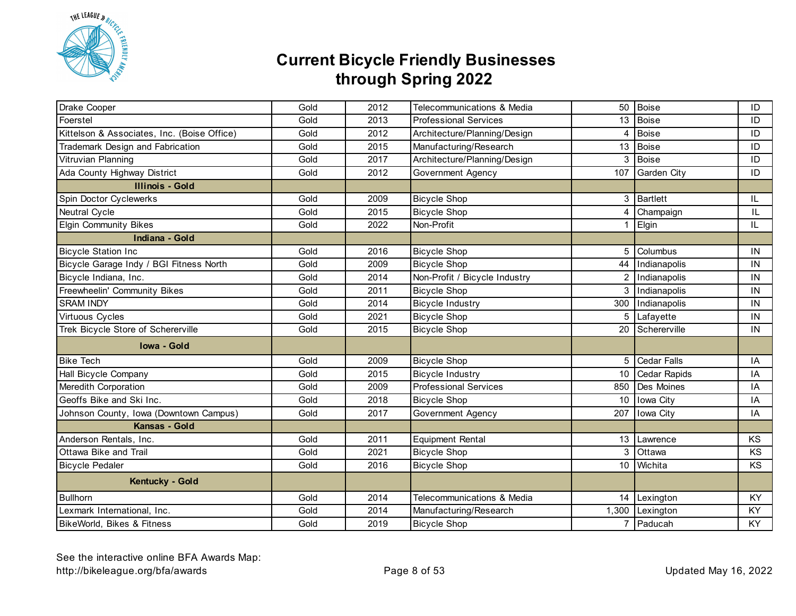

| Drake Cooper                                | Gold | 2012 | Telecommunications & Media    | 50               | Boise              | ID        |
|---------------------------------------------|------|------|-------------------------------|------------------|--------------------|-----------|
| Foerstel                                    | Gold | 2013 | <b>Professional Services</b>  |                  | 13 Boise           | ID        |
| Kittelson & Associates, Inc. (Boise Office) | Gold | 2012 | Architecture/Planning/Design  | $\overline{4}$   | Boise              | ID        |
| Trademark Design and Fabrication            | Gold | 2015 | Manufacturing/Research        | 13               | Boise              | ID        |
| Vitruvian Planning                          | Gold | 2017 | Architecture/Planning/Design  | 3                | <b>Boise</b>       | ID        |
| Ada County Highway District                 | Gold | 2012 | Government Agency             | 107              | <b>Garden City</b> | ID        |
| <b>Illinois - Gold</b>                      |      |      |                               |                  |                    |           |
| Spin Doctor Cyclewerks                      | Gold | 2009 | <b>Bicycle Shop</b>           | 3                | Bartlett           | IL        |
| Neutral Cycle                               | Gold | 2015 | <b>Bicycle Shop</b>           | 4                | Champaign          | IL        |
| <b>Elgin Community Bikes</b>                | Gold | 2022 | Non-Profit                    |                  | Elgin              | IL        |
| Indiana - Gold                              |      |      |                               |                  |                    |           |
| <b>Bicycle Station Inc</b>                  | Gold | 2016 | <b>Bicycle Shop</b>           | 5                | Columbus           | IN        |
| Bicycle Garage Indy / BGI Fitness North     | Gold | 2009 | <b>Bicycle Shop</b>           | 44               | Indianapolis       | IN        |
| Bicycle Indiana, Inc.                       | Gold | 2014 | Non-Profit / Bicycle Industry | $\mathcal{P}$    | Indianapolis       | IN        |
| Freewheelin' Community Bikes                | Gold | 2011 | <b>Bicycle Shop</b>           | 3                | Indianapolis       | IN        |
| <b>SRAM INDY</b>                            | Gold | 2014 | <b>Bicycle Industry</b>       | 300              | Indianapolis       | IN        |
| Virtuous Cycles                             | Gold | 2021 | <b>Bicycle Shop</b>           |                  | 5 Lafayette        | IN        |
| Trek Bicycle Store of Schererville          | Gold | 2015 | <b>Bicycle Shop</b>           |                  | 20 Schererville    | IN        |
| <b>Iowa - Gold</b>                          |      |      |                               |                  |                    |           |
| <b>Bike Tech</b>                            | Gold | 2009 | <b>Bicycle Shop</b>           | 5                | <b>Cedar Falls</b> | IA        |
| Hall Bicycle Company                        | Gold | 2015 | <b>Bicycle Industry</b>       | 10               | Cedar Rapids       | IA        |
| Meredith Corporation                        | Gold | 2009 | <b>Professional Services</b>  |                  | 850 Des Moines     | IA        |
| Geoffs Bike and Ski Inc.                    | Gold | 2018 | <b>Bicycle Shop</b>           | 10               | Iowa City          | IA        |
| Johnson County, Iowa (Downtown Campus)      | Gold | 2017 | Government Agency             | 207              | Iowa City          | IA        |
| Kansas - Gold                               |      |      |                               |                  |                    |           |
| Anderson Rentals, Inc.                      | Gold | 2011 | <b>Equipment Rental</b>       | 13 <sup>13</sup> | Lawrence           | <b>KS</b> |
| Ottawa Bike and Trail                       | Gold | 2021 | <b>Bicycle Shop</b>           | 3                | Ottawa             | <b>KS</b> |
| <b>Bicycle Pedaler</b>                      | Gold | 2016 | <b>Bicycle Shop</b>           |                  | 10 Wichita         | KS        |
| Kentucky - Gold                             |      |      |                               |                  |                    |           |
| <b>Bullhorn</b>                             | Gold | 2014 | Telecommunications & Media    |                  | 14 Lexington       | KY        |
| Lexmark International, Inc.                 | Gold | 2014 | Manufacturing/Research        |                  | 1,300 Lexington    | KY        |
| BikeWorld, Bikes & Fitness                  | Gold | 2019 | <b>Bicycle Shop</b>           |                  | 7 Paducah          | KY        |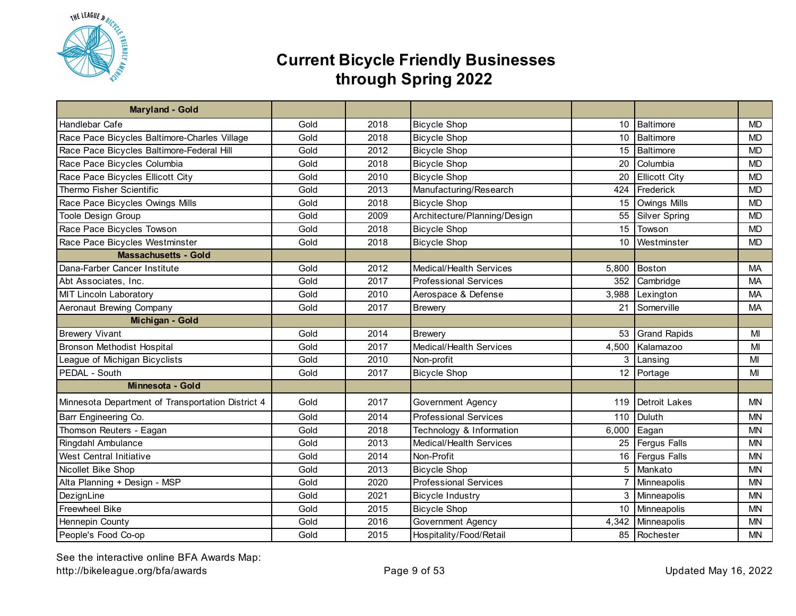

| Maryland - Gold                                   |      |      |                              |                 |                      |           |
|---------------------------------------------------|------|------|------------------------------|-----------------|----------------------|-----------|
| Handlebar Cafe                                    | Gold | 2018 | <b>Bicycle Shop</b>          | 10              | Baltimore            | <b>MD</b> |
| Race Pace Bicycles Baltimore-Charles Village      | Gold | 2018 | <b>Bicycle Shop</b>          | 10              | Baltimore            | <b>MD</b> |
| Race Pace Bicycles Baltimore-Federal Hill         | Gold | 2012 | <b>Bicycle Shop</b>          | 15              | <b>Baltimore</b>     | <b>MD</b> |
| Race Pace Bicycles Columbia                       | Gold | 2018 | <b>Bicycle Shop</b>          | 20              | Columbia             | <b>MD</b> |
| Race Pace Bicycles Ellicott City                  | Gold | 2010 | <b>Bicycle Shop</b>          | 20              | <b>Ellicott City</b> | <b>MD</b> |
| Thermo Fisher Scientific                          | Gold | 2013 | Manufacturing/Research       | 424             | Frederick            | <b>MD</b> |
| Race Pace Bicycles Owings Mills                   | Gold | 2018 | <b>Bicycle Shop</b>          | 15              | Owings Mills         | <b>MD</b> |
| Toole Design Group                                | Gold | 2009 | Architecture/Planning/Design | 55              | <b>Silver Spring</b> | <b>MD</b> |
| Race Pace Bicycles Towson                         | Gold | 2018 | <b>Bicycle Shop</b>          | 15              | Towson               | <b>MD</b> |
| Race Pace Bicycles Westminster                    | Gold | 2018 | <b>Bicycle Shop</b>          | 10              | Westminster          | <b>MD</b> |
| <b>Massachusetts - Gold</b>                       |      |      |                              |                 |                      |           |
| Dana-Farber Cancer Institute                      | Gold | 2012 | Medical/Health Services      | 5,800           | <b>Boston</b>        | <b>MA</b> |
| Abt Associates, Inc.                              | Gold | 2017 | <b>Professional Services</b> | 352             | Cambridge            | <b>MA</b> |
| <b>MIT Lincoln Laboratory</b>                     | Gold | 2010 | Aerospace & Defense          | 3,988           | Lexington            | MA        |
| Aeronaut Brewing Company                          | Gold | 2017 | <b>Brewery</b>               | 21              | Somerville           | MA        |
| Michigan - Gold                                   |      |      |                              |                 |                      |           |
| <b>Brewery Vivant</b>                             | Gold | 2014 | <b>Brewery</b>               | 53              | <b>Grand Rapids</b>  | MI        |
| <b>Bronson Methodist Hospital</b>                 | Gold | 2017 | Medical/Health Services      | 4,500           | Kalamazoo            | MI        |
| League of Michigan Bicyclists                     | Gold | 2010 | Non-profit                   | 3               | Lansing              | MI        |
| PEDAL - South                                     | Gold | 2017 | <b>Bicycle Shop</b>          | 12 <sup>2</sup> | Portage              | MI        |
| Minnesota - Gold                                  |      |      |                              |                 |                      |           |
| Minnesota Department of Transportation District 4 | Gold | 2017 | Government Agency            | 119             | <b>Detroit Lakes</b> | MN        |
| Barr Engineering Co.                              | Gold | 2014 | <b>Professional Services</b> | 110             | Duluth               | <b>MN</b> |
| Thomson Reuters - Eagan                           | Gold | 2018 | Technology & Information     | 6,000           | Eagan                | <b>MN</b> |
| Ringdahl Ambulance                                | Gold | 2013 | Medical/Health Services      | 25              | <b>Fergus Falls</b>  | <b>MN</b> |
| <b>West Central Initiative</b>                    | Gold | 2014 | Non-Profit                   | 16              | <b>Fergus Falls</b>  | <b>MN</b> |
| Nicollet Bike Shop                                | Gold | 2013 | <b>Bicycle Shop</b>          | 5               | Mankato              | <b>MN</b> |
| Alta Planning + Design - MSP                      | Gold | 2020 | <b>Professional Services</b> | $\overline{7}$  | Minneapolis          | <b>MN</b> |
| DezignLine                                        | Gold | 2021 | <b>Bicycle Industry</b>      | 3               | Minneapolis          | <b>MN</b> |
| Freewheel Bike                                    | Gold | 2015 | <b>Bicycle Shop</b>          | 10              | Minneapolis          | <b>MN</b> |
| Hennepin County                                   | Gold | 2016 | Government Agency            | 4,342           | Minneapolis          | <b>MN</b> |
| People's Food Co-op                               | Gold | 2015 | Hospitality/Food/Retail      | 85              | Rochester            | <b>MN</b> |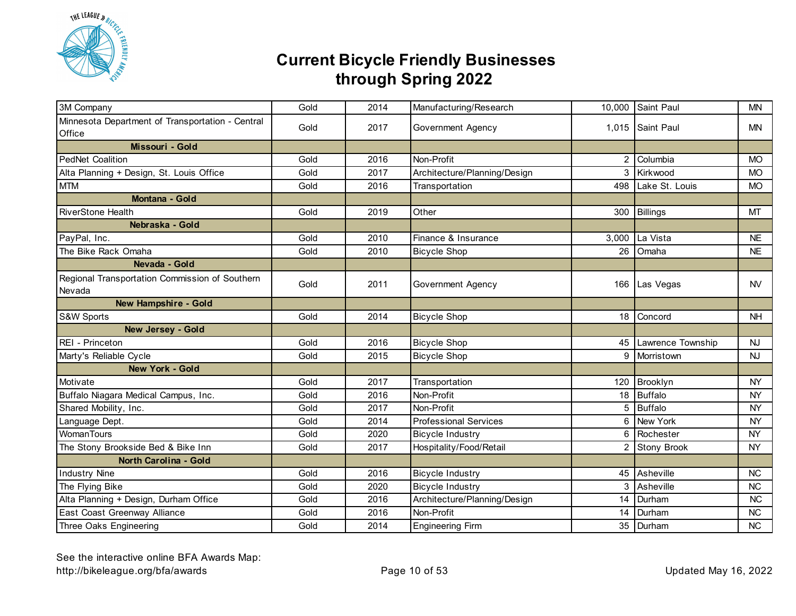

| 3M Company                                                 | Gold | 2014 | Manufacturing/Research       |       | 10,000 Saint Paul    | <b>MN</b> |
|------------------------------------------------------------|------|------|------------------------------|-------|----------------------|-----------|
| Minnesota Department of Transportation - Central<br>Office | Gold | 2017 | Government Agency            |       | 1,015 Saint Paul     | <b>MN</b> |
| Missouri - Gold                                            |      |      |                              |       |                      |           |
| <b>PedNet Coalition</b>                                    | Gold | 2016 | Non-Profit                   | 2     | Columbia             | <b>MO</b> |
| Alta Planning + Design, St. Louis Office                   | Gold | 2017 | Architecture/Planning/Design | 3     | Kirkwood             | <b>MO</b> |
| <b>MTM</b>                                                 | Gold | 2016 | Transportation               | 498   | Lake St. Louis       | <b>MO</b> |
| Montana - Gold                                             |      |      |                              |       |                      |           |
| <b>RiverStone Health</b>                                   | Gold | 2019 | Other                        |       | 300 Billings         | MT        |
| Nebraska - Gold                                            |      |      |                              |       |                      |           |
| PayPal, Inc.                                               | Gold | 2010 | Finance & Insurance          | 3,000 | La Vista             | <b>NE</b> |
| The Bike Rack Omaha                                        | Gold | 2010 | <b>Bicycle Shop</b>          | 26    | Omaha                | <b>NE</b> |
| Nevada - Gold                                              |      |      |                              |       |                      |           |
| Regional Transportation Commission of Southern<br>Nevada   | Gold | 2011 | Government Agency            |       | 166 Las Vegas        | <b>NV</b> |
| <b>New Hampshire - Gold</b>                                |      |      |                              |       |                      |           |
| S&W Sports                                                 | Gold | 2014 | <b>Bicycle Shop</b>          |       | 18 Concord           | <b>NH</b> |
| <b>New Jersey - Gold</b>                                   |      |      |                              |       |                      |           |
| REI - Princeton                                            | Gold | 2016 | <b>Bicycle Shop</b>          |       | 45 Lawrence Township | <b>NJ</b> |
| Marty's Reliable Cycle                                     | Gold | 2015 | <b>Bicycle Shop</b>          | 9     | Morristown           | <b>NJ</b> |
| New York - Gold                                            |      |      |                              |       |                      |           |
| Motivate                                                   | Gold | 2017 | Transportation               | 120   | Brooklyn             | <b>NY</b> |
| Buffalo Niagara Medical Campus, Inc.                       | Gold | 2016 | Non-Profit                   | 18    | Buffalo              | <b>NY</b> |
| Shared Mobility, Inc.                                      | Gold | 2017 | Non-Profit                   | 5     | <b>Buffalo</b>       | <b>NY</b> |
| Language Dept.                                             | Gold | 2014 | <b>Professional Services</b> | 6     | <b>New York</b>      | <b>NY</b> |
| WomanTours                                                 | Gold | 2020 | <b>Bicycle Industry</b>      | 6     | Rochester            | <b>NY</b> |
| The Stony Brookside Bed & Bike Inn                         | Gold | 2017 | Hospitality/Food/Retail      | 2     | <b>Stony Brook</b>   | <b>NY</b> |
| <b>North Carolina - Gold</b>                               |      |      |                              |       |                      |           |
| <b>Industry Nine</b>                                       | Gold | 2016 | <b>Bicycle Industry</b>      |       | 45 Asheville         | <b>NC</b> |
| The Flying Bike                                            | Gold | 2020 | <b>Bicycle Industry</b>      |       | 3 Asheville          | <b>NC</b> |
| Alta Planning + Design, Durham Office                      | Gold | 2016 | Architecture/Planning/Design |       | 14 Durham            | <b>NC</b> |
| East Coast Greenway Alliance                               | Gold | 2016 | Non-Profit                   |       | 14 Durham            | <b>NC</b> |
| Three Oaks Engineering                                     | Gold | 2014 | <b>Engineering Firm</b>      |       | 35 Durham            | <b>NC</b> |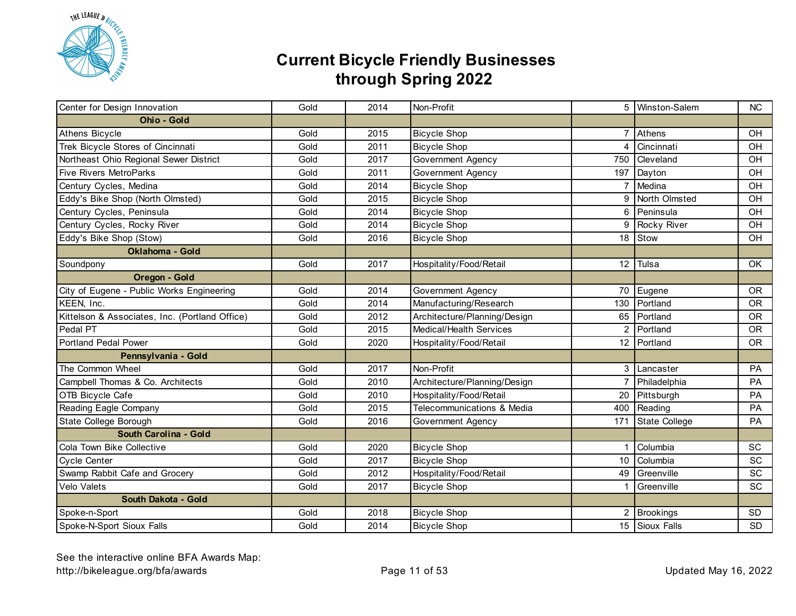

| Center for Design Innovation                   | Gold | 2014 | Non-Profit                   |                | 5   Winston-Salem | NC        |
|------------------------------------------------|------|------|------------------------------|----------------|-------------------|-----------|
| Ohio - Gold                                    |      |      |                              |                |                   |           |
| Athens Bicycle                                 | Gold | 2015 | <b>Bicycle Shop</b>          | $\overline{7}$ | Athens            | OH        |
| Trek Bicycle Stores of Cincinnati              | Gold | 2011 | <b>Bicycle Shop</b>          | 4              | Cincinnati        | OH        |
| Northeast Ohio Regional Sewer District         | Gold | 2017 | <b>Government Agency</b>     | 750            | Cleveland         | OH        |
| <b>Five Rivers MetroParks</b>                  | Gold | 2011 | Government Agency            | 197            | Dayton            | OH        |
| Century Cycles, Medina                         | Gold | 2014 | <b>Bicycle Shop</b>          | $\overline{7}$ | Medina            | OH        |
| Eddy's Bike Shop (North Olmsted)               | Gold | 2015 | <b>Bicycle Shop</b>          | 9              | North Olmsted     | OH        |
| Century Cycles, Peninsula                      | Gold | 2014 | <b>Bicycle Shop</b>          | 6              | Peninsula         | OH        |
| Century Cycles, Rocky River                    | Gold | 2014 | <b>Bicycle Shop</b>          | 9              | Rocky River       | OH        |
| Eddy's Bike Shop (Stow)                        | Gold | 2016 | <b>Bicycle Shop</b>          | 18             | Stow              | OH        |
| Oklahoma - Gold                                |      |      |                              |                |                   |           |
| Soundpony                                      | Gold | 2017 | Hospitality/Food/Retail      |                | 12 Tulsa          | OK.       |
| Oregon - Gold                                  |      |      |                              |                |                   |           |
| City of Eugene - Public Works Engineering      | Gold | 2014 | Government Agency            |                | 70 Eugene         | <b>OR</b> |
| KEEN, Inc.                                     | Gold | 2014 | Manufacturing/Research       |                | 130 Portland      | <b>OR</b> |
| Kittelson & Associates, Inc. (Portland Office) | Gold | 2012 | Architecture/Planning/Design |                | 65 Portland       | <b>OR</b> |
| Pedal PT                                       | Gold | 2015 | Medical/Health Services      | 2              | Portland          | <b>OR</b> |
| <b>Portland Pedal Power</b>                    | Gold | 2020 | Hospitality/Food/Retail      |                | 12 Portland       | <b>OR</b> |
| Pennsylvania - Gold                            |      |      |                              |                |                   |           |
| The Common Wheel                               | Gold | 2017 | Non-Profit                   |                | 3 Lancaster       | PA        |
| Campbell Thomas & Co. Architects               | Gold | 2010 | Architecture/Planning/Design | $\overline{7}$ | Philadelphia      | PA        |
| OTB Bicycle Cafe                               | Gold | 2010 | Hospitality/Food/Retail      |                | 20 Pittsburgh     | <b>PA</b> |
| Reading Eagle Company                          | Gold | 2015 | Telecommunications & Media   | 400            | Reading           | PA        |
| State College Borough                          | Gold | 2016 | Government Agency            | 171            | State College     | PA        |
| South Carolina - Gold                          |      |      |                              |                |                   |           |
| Cola Town Bike Collective                      | Gold | 2020 | <b>Bicycle Shop</b>          | 1              | Columbia          | SC        |
| <b>Cycle Center</b>                            | Gold | 2017 | <b>Bicycle Shop</b>          | 10             | Columbia          | <b>SC</b> |
| Swamp Rabbit Cafe and Grocery                  | Gold | 2012 | Hospitality/Food/Retail      | 49             | Greenville        | SC        |
| Velo Valets                                    | Gold | 2017 | <b>Bicycle Shop</b>          | 1              | Greenville        | <b>SC</b> |
| South Dakota - Gold                            |      |      |                              |                |                   |           |
| Spoke-n-Sport                                  | Gold | 2018 | <b>Bicycle Shop</b>          |                | 2 Brookings       | <b>SD</b> |
| Spoke-N-Sport Sioux Falls                      | Gold | 2014 | <b>Bicycle Shop</b>          |                | 15 Sioux Falls    | <b>SD</b> |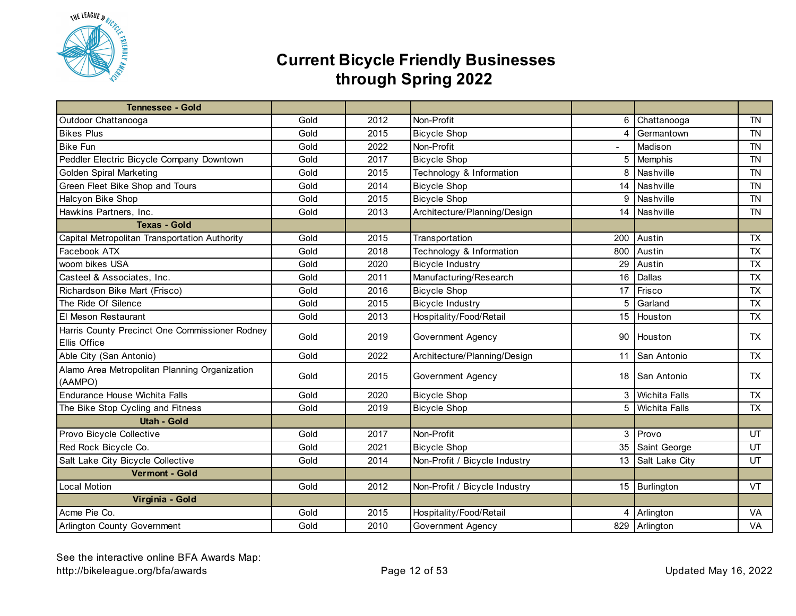

| <b>Tennessee - Gold</b>                                        |      |      |                               |     |                   |           |
|----------------------------------------------------------------|------|------|-------------------------------|-----|-------------------|-----------|
| Outdoor Chattanooga                                            | Gold | 2012 | Non-Profit                    | 6   | Chattanooga       | <b>TN</b> |
| <b>Bikes Plus</b>                                              | Gold | 2015 | <b>Bicycle Shop</b>           | 4   | Germantown        | <b>TN</b> |
| <b>Bike Fun</b>                                                | Gold | 2022 | Non-Profit                    |     | Madison           | <b>TN</b> |
| Peddler Electric Bicycle Company Downtown                      | Gold | 2017 | <b>Bicycle Shop</b>           | 5   | Memphis           | <b>TN</b> |
| <b>Golden Spiral Marketing</b>                                 | Gold | 2015 | Technology & Information      | 8   | Nashville         | <b>TN</b> |
| Green Fleet Bike Shop and Tours                                | Gold | 2014 | <b>Bicycle Shop</b>           | 14  | Nashville         | <b>TN</b> |
| Halcyon Bike Shop                                              | Gold | 2015 | <b>Bicycle Shop</b>           | 9   | Nashville         | <b>TN</b> |
| Hawkins Partners, Inc.                                         | Gold | 2013 | Architecture/Planning/Design  | 14  | Nashville         | <b>TN</b> |
| <b>Texas - Gold</b>                                            |      |      |                               |     |                   |           |
| Capital Metropolitan Transportation Authority                  | Gold | 2015 | Transportation                | 200 | Austin            | <b>TX</b> |
| Facebook ATX                                                   | Gold | 2018 | Technology & Information      | 800 | Austin            | <b>TX</b> |
| woom bikes USA                                                 | Gold | 2020 | <b>Bicycle Industry</b>       | 29  | Austin            | <b>TX</b> |
| Casteel & Associates, Inc.                                     | Gold | 2011 | Manufacturing/Research        | 16  | Dallas            | <b>TX</b> |
| Richardson Bike Mart (Frisco)                                  | Gold | 2016 | <b>Bicycle Shop</b>           | 17  | Frisco            | <b>TX</b> |
| The Ride Of Silence                                            | Gold | 2015 | <b>Bicycle Industry</b>       | 5   | Garland           | <b>TX</b> |
| El Meson Restaurant                                            | Gold | 2013 | Hospitality/Food/Retail       |     | 15 Houston        | <b>TX</b> |
| Harris County Precinct One Commissioner Rodney<br>Ellis Office | Gold | 2019 | Government Agency             |     | 90 Houston        | <b>TX</b> |
| Able City (San Antonio)                                        | Gold | 2022 | Architecture/Planning/Design  | 11  | San Antonio       | <b>TX</b> |
| Alamo Area Metropolitan Planning Organization<br>(AAMPO)       | Gold | 2015 | Government Agency             |     | 18 San Antonio    | TX        |
| Endurance House Wichita Falls                                  | Gold | 2020 | <b>Bicycle Shop</b>           |     | 3 Wichita Falls   | <b>TX</b> |
| The Bike Stop Cycling and Fitness                              | Gold | 2019 | <b>Bicycle Shop</b>           |     | 5 Wichita Falls   | <b>TX</b> |
| <b>Utah - Gold</b>                                             |      |      |                               |     |                   |           |
| Provo Bicycle Collective                                       | Gold | 2017 | Non-Profit                    |     | 3 Provo           | UT        |
| Red Rock Bicycle Co.                                           | Gold | 2021 | <b>Bicycle Shop</b>           | 35  | Saint George      | UT        |
| Salt Lake City Bicycle Collective                              | Gold | 2014 | Non-Profit / Bicycle Industry |     | 13 Salt Lake City | UT        |
| Vermont - Gold                                                 |      |      |                               |     |                   |           |
| <b>Local Motion</b>                                            | Gold | 2012 | Non-Profit / Bicycle Industry |     | 15 Burlington     | VT        |
| Virginia - Gold                                                |      |      |                               |     |                   |           |
| Acme Pie Co.                                                   | Gold | 2015 | Hospitality/Food/Retail       |     | 4 Arlington       | VA        |
| Arlington County Government                                    | Gold | 2010 | Government Agency             |     | 829 Arlington     | VA        |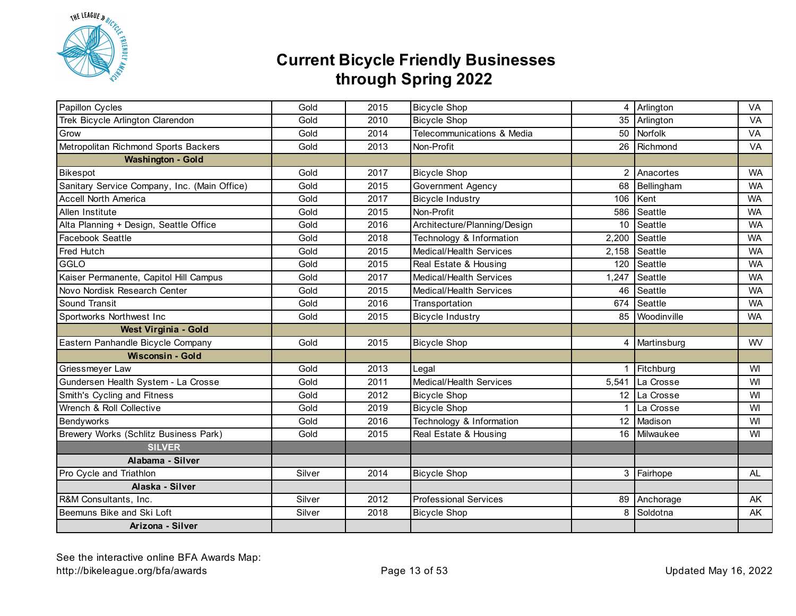

| Papillon Cycles                              | Gold   | 2015 | <b>Bicycle Shop</b>          |                | $\overline{4}$ Arlington | VA        |
|----------------------------------------------|--------|------|------------------------------|----------------|--------------------------|-----------|
| Trek Bicycle Arlington Clarendon             | Gold   | 2010 | <b>Bicycle Shop</b>          |                | 35 Arlington             | VA        |
| Grow                                         | Gold   | 2014 | Telecommunications & Media   | 50             | Norfolk                  | VA        |
| Metropolitan Richmond Sports Backers         | Gold   | 2013 | Non-Profit                   | 26             | Richmond                 | VA        |
| <b>Washington - Gold</b>                     |        |      |                              |                |                          |           |
| Bikespot                                     | Gold   | 2017 | <b>Bicycle Shop</b>          | $\overline{2}$ | Anacortes                | <b>WA</b> |
| Sanitary Service Company, Inc. (Main Office) | Gold   | 2015 | <b>Government Agency</b>     | 68             | Bellingham               | <b>WA</b> |
| <b>Accell North America</b>                  | Gold   | 2017 | <b>Bicycle Industry</b>      | 106            | Kent                     | <b>WA</b> |
| Allen Institute                              | Gold   | 2015 | Non-Profit                   | 586            | Seattle                  | <b>WA</b> |
| Alta Planning + Design, Seattle Office       | Gold   | 2016 | Architecture/Planning/Design | 10             | Seattle                  | <b>WA</b> |
| Facebook Seattle                             | Gold   | 2018 | Technology & Information     | 2,200          | Seattle                  | <b>WA</b> |
| Fred Hutch                                   | Gold   | 2015 | Medical/Health Services      | 2,158          | Seattle                  | <b>WA</b> |
| GGLO                                         | Gold   | 2015 | Real Estate & Housing        | 120            | Seattle                  | <b>WA</b> |
| Kaiser Permanente, Capitol Hill Campus       | Gold   | 2017 | Medical/Health Services      | 1,247          | Seattle                  | <b>WA</b> |
| Novo Nordisk Research Center                 | Gold   | 2015 | Medical/Health Services      | 46             | Seattle                  | <b>WA</b> |
| Sound Transit                                | Gold   | 2016 | Transportation               |                | 674 Seattle              | <b>WA</b> |
| Sportworks Northwest Inc                     | Gold   | 2015 | <b>Bicycle Industry</b>      |                | 85 Woodinville           | <b>WA</b> |
| West Virginia - Gold                         |        |      |                              |                |                          |           |
| Eastern Panhandle Bicycle Company            | Gold   | 2015 | <b>Bicycle Shop</b>          |                | 4 Martinsburg            | WV        |
| <b>Wisconsin - Gold</b>                      |        |      |                              |                |                          |           |
| Griessmeyer Law                              | Gold   | 2013 | Legal                        | $\mathbf{1}$   | Fitchburg                | WI        |
| Gundersen Health System - La Crosse          | Gold   | 2011 | Medical/Health Services      | 5,541          | La Crosse                | WI        |
| Smith's Cycling and Fitness                  | Gold   | 2012 | <b>Bicycle Shop</b>          |                | 12 La Crosse             | WI        |
| Wrench & Roll Collective                     | Gold   | 2019 | <b>Bicycle Shop</b>          |                | La Crosse                | WI        |
| Bendyworks                                   | Gold   | 2016 | Technology & Information     |                | 12 Madison               | WI        |
| Brewery Works (Schlitz Business Park)        | Gold   | 2015 | Real Estate & Housing        | 16             | Milwaukee                | WI        |
| <b>SILVER</b>                                |        |      |                              |                |                          |           |
| Alabama - Silver                             |        |      |                              |                |                          |           |
| Pro Cycle and Triathlon                      | Silver | 2014 | <b>Bicycle Shop</b>          |                | 3 Fairhope               | AL        |
| Alaska - Silver                              |        |      |                              |                |                          |           |
| R&M Consultants, Inc.                        | Silver | 2012 | <b>Professional Services</b> |                | 89 Anchorage             | AK        |
| Beemuns Bike and Ski Loft                    | Silver | 2018 | <b>Bicycle Shop</b>          | 8              | Soldotna                 | AK        |
| Arizona - Silver                             |        |      |                              |                |                          |           |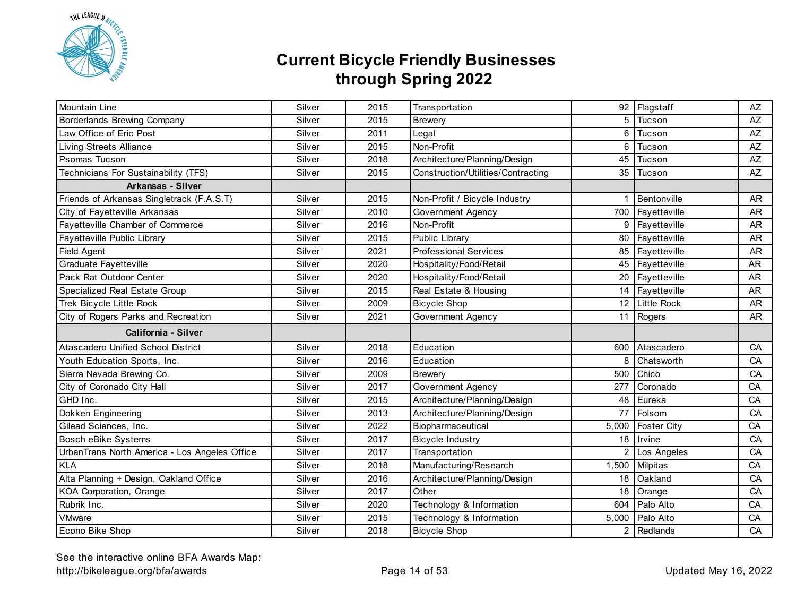

| Mountain Line                                 | Silver | 2015 | Transportation                     |                | 92 Flagstaff                 | $A\!Z$    |
|-----------------------------------------------|--------|------|------------------------------------|----------------|------------------------------|-----------|
| Borderlands Brewing Company                   | Silver | 2015 | <b>Brewery</b>                     | 5              | Tucson                       | AZ        |
| Law Office of Eric Post                       | Silver | 2011 | Legal                              | 6              | Tucson                       | AZ        |
| <b>Living Streets Alliance</b>                | Silver | 2015 | Non-Profit                         | 6              | Tucson                       | AZ        |
| Psomas Tucson                                 | Silver | 2018 | Architecture/Planning/Design       | 45             | Tucson                       | AZ        |
| Technicians For Sustainability (TFS)          | Silver | 2015 | Construction/Utilities/Contracting | 35             | Tucson                       | AZ        |
| <b>Arkansas - Silver</b>                      |        |      |                                    |                |                              |           |
| Friends of Arkansas Singletrack (F.A.S.T)     | Silver | 2015 | Non-Profit / Bicycle Industry      | 1              | Bentonville                  | <b>AR</b> |
| City of Fayetteville Arkansas                 | Silver | 2010 | Government Agency                  |                | 700 Fayetteville             | <b>AR</b> |
| Fayetteville Chamber of Commerce              | Silver | 2016 | Non-Profit                         |                | 9 Fayetteville               | <b>AR</b> |
| Fayetteville Public Library                   | Silver | 2015 | Public Library                     |                | 80 Fayetteville              | <b>AR</b> |
| Field Agent                                   | Silver | 2021 | <b>Professional Services</b>       |                | $\overline{85}$ Fayetteville | <b>AR</b> |
| Graduate Fayetteville                         | Silver | 2020 | Hospitality/Food/Retail            |                | 45 Fayetteville              | <b>AR</b> |
| Pack Rat Outdoor Center                       | Silver | 2020 | Hospitality/Food/Retail            | 20             | Fayetteville                 | <b>AR</b> |
| Specialized Real Estate Group                 | Silver | 2015 | Real Estate & Housing              |                | 14 Fayetteville              | <b>AR</b> |
| Trek Bicycle Little Rock                      | Silver | 2009 | <b>Bicycle Shop</b>                |                | 12 Little Rock               | <b>AR</b> |
| City of Rogers Parks and Recreation           | Silver | 2021 | Government Agency                  |                | 11 Rogers                    | <b>AR</b> |
| California - Silver                           |        |      |                                    |                |                              |           |
| <b>Atascadero Unified School District</b>     | Silver | 2018 | Education                          | 600            | Atascadero                   | CA        |
| Youth Education Sports, Inc.                  | Silver | 2016 | Education                          | 8              | Chatsworth                   | CA        |
| Sierra Nevada Brewing Co.                     | Silver | 2009 | <b>Brewery</b>                     | 500            | Chico                        | CA        |
| City of Coronado City Hall                    | Silver | 2017 | Government Agency                  | 277            | Coronado                     | CA        |
| GHD Inc.                                      | Silver | 2015 | Architecture/Planning/Design       | 48             | Eureka                       | CA        |
| Dokken Engineering                            | Silver | 2013 | Architecture/Planning/Design       | 77             | Folsom                       | CA        |
| Gilead Sciences, Inc.                         | Silver | 2022 | Biopharmaceutical                  | 5,000          | Foster City                  | CA        |
| <b>Bosch eBike Systems</b>                    | Silver | 2017 | <b>Bicycle Industry</b>            | 18             | Irvine                       | CA        |
| UrbanTrans North America - Los Angeles Office | Silver | 2017 | Transportation                     | $\overline{2}$ | Los Angeles                  | CA        |
| <b>KLA</b>                                    | Silver | 2018 | Manufacturing/Research             | 1,500          | <b>Milpitas</b>              | CA        |
| Alta Planning + Design, Oakland Office        | Silver | 2016 | Architecture/Planning/Design       | 18             | Oakland                      | CA        |
| KOA Corporation, Orange                       | Silver | 2017 | Other                              | 18             | Orange                       | CA        |
| Rubrik Inc.                                   | Silver | 2020 | Technology & Information           | 604            | Palo Alto                    | CA        |
| <b>VMware</b>                                 | Silver | 2015 | Technology & Information           |                | 5,000 Palo Alto              | CA        |
| Econo Bike Shop                               | Silver | 2018 | <b>Bicycle Shop</b>                |                | 2 Redlands                   | CA        |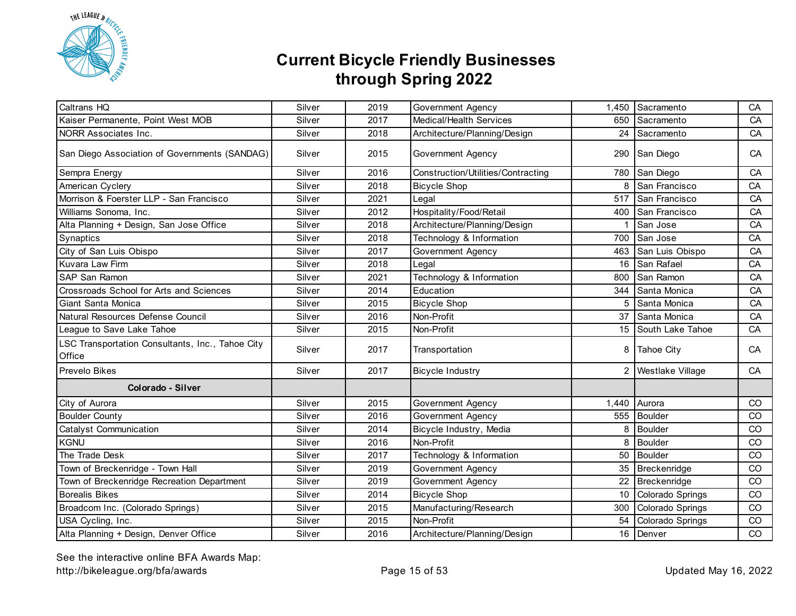

| Caltrans HQ                                                | Silver | 2019 | Government Agency                  | 1,450 | Sacramento          | CA |
|------------------------------------------------------------|--------|------|------------------------------------|-------|---------------------|----|
| Kaiser Permanente, Point West MOB                          | Silver | 2017 | Medical/Health Services            | 650   | Sacramento          | CA |
| NORR Associates Inc.                                       | Silver | 2018 | Architecture/Planning/Design       |       | 24 Sacramento       | CA |
| San Diego Association of Governments (SANDAG)              | Silver | 2015 | Government Agency                  |       | 290 San Diego       | CA |
| Sempra Energy                                              | Silver | 2016 | Construction/Utilities/Contracting | 780   | San Diego           | CA |
| American Cyclery                                           | Silver | 2018 | <b>Bicycle Shop</b>                | 8     | San Francisco       | CA |
| Morrison & Foerster LLP - San Francisco                    | Silver | 2021 | Legal                              | 517   | San Francisco       | CA |
| Williams Sonoma, Inc.                                      | Silver | 2012 | Hospitality/Food/Retail            |       | 400 San Francisco   | CA |
| Alta Planning + Design, San Jose Office                    | Silver | 2018 | Architecture/Planning/Design       |       | San Jose            | CA |
| Synaptics                                                  | Silver | 2018 | Technology & Information           | 700   | San Jose            | CA |
| City of San Luis Obispo                                    | Silver | 2017 | Government Agency                  | 463   | San Luis Obispo     | CA |
| Kuvara Law Firm                                            | Silver | 2018 | Legal                              | 16    | San Rafael          | CA |
| SAP San Ramon                                              | Silver | 2021 | Technology & Information           | 800   | San Ramon           | CA |
| Crossroads School for Arts and Sciences                    | Silver | 2014 | Education                          | 344   | Santa Monica        | CA |
| Giant Santa Monica                                         | Silver | 2015 | <b>Bicycle Shop</b>                | 5     | Santa Monica        | CA |
| Natural Resources Defense Council                          | Silver | 2016 | Non-Profit                         | 37    | Santa Monica        | CA |
| League to Save Lake Tahoe                                  | Silver | 2015 | Non-Profit                         |       | 15 South Lake Tahoe | CA |
| LSC Transportation Consultants, Inc., Tahoe City<br>Office | Silver | 2017 | Transportation                     | 8     | <b>Tahoe City</b>   | CA |
| Prevelo Bikes                                              | Silver | 2017 | <b>Bicycle Industry</b>            |       | Westlake Village    | CA |
| Colorado - Silver                                          |        |      |                                    |       |                     |    |
| City of Aurora                                             | Silver | 2015 | Government Agency                  | 1.440 | Aurora              | CO |
| <b>Boulder County</b>                                      | Silver | 2016 | <b>Government Agency</b>           | 555   | Boulder             | CO |
| Catalyst Communication                                     | Silver | 2014 | Bicycle Industry, Media            | 8     | Boulder             | CO |
| <b>KGNU</b>                                                | Silver | 2016 | Non-Profit                         | 8     | <b>Boulder</b>      | CO |
| The Trade Desk                                             | Silver | 2017 | Technology & Information           | 50    | <b>Boulder</b>      | CO |
| Town of Breckenridge - Town Hall                           | Silver | 2019 | Government Agency                  | 35    | Breckenridge        | CO |
| Town of Breckenridge Recreation Department                 | Silver | 2019 | <b>Government Agency</b>           | 22    | Breckenridge        | CO |
| <b>Borealis Bikes</b>                                      | Silver | 2014 | <b>Bicycle Shop</b>                | 10    | Colorado Springs    | CO |
| Broadcom Inc. (Colorado Springs)                           | Silver | 2015 | Manufacturing/Research             | 300   | Colorado Springs    | CO |
| USA Cycling, Inc.                                          | Silver | 2015 | Non-Profit                         | 54    | Colorado Springs    | CO |
| Alta Planning + Design, Denver Office                      | Silver | 2016 | Architecture/Planning/Design       |       | 16 Denver           | CO |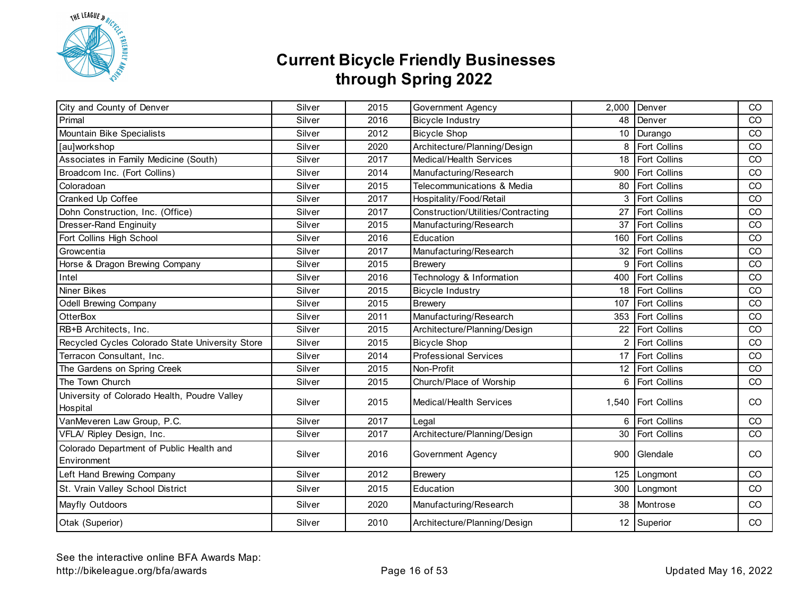

| City and County of Denver                                | Silver | 2015 | Government Agency                  | 2,000 | Denver              | CO            |
|----------------------------------------------------------|--------|------|------------------------------------|-------|---------------------|---------------|
| Primal                                                   | Silver | 2016 | <b>Bicycle Industry</b>            | 48    | Denver              | CO            |
| Mountain Bike Specialists                                | Silver | 2012 | <b>Bicycle Shop</b>                | 10    | Durango             | CO            |
| [au]workshop                                             | Silver | 2020 | Architecture/Planning/Design       | 8     | Fort Collins        | CO            |
| Associates in Family Medicine (South)                    | Silver | 2017 | <b>Medical/Health Services</b>     | 18    | Fort Collins        | CO            |
| Broadcom Inc. (Fort Collins)                             | Silver | 2014 | Manufacturing/Research             | 900   | <b>Fort Collins</b> | CO            |
| Coloradoan                                               | Silver | 2015 | Telecommunications & Media         | 80    | Fort Collins        | CO            |
| Cranked Up Coffee                                        | Silver | 2017 | Hospitality/Food/Retail            |       | Fort Collins        | CO            |
| Dohn Construction, Inc. (Office)                         | Silver | 2017 | Construction/Utilities/Contracting | 27    | Fort Collins        | CO            |
| Dresser-Rand Enginuity                                   | Silver | 2015 | Manufacturing/Research             | 37    | Fort Collins        | CO            |
| Fort Collins High School                                 | Silver | 2016 | Education                          | 160   | <b>Fort Collins</b> | CO            |
| Growcentia                                               | Silver | 2017 | Manufacturing/Research             |       | 32 Fort Collins     | CO            |
| Horse & Dragon Brewing Company                           | Silver | 2015 | <b>Brewery</b>                     | 9     | Fort Collins        | CO            |
| Intel                                                    | Silver | 2016 | Technology & Information           | 400   | Fort Collins        | CO            |
| Niner Bikes                                              | Silver | 2015 | <b>Bicycle Industry</b>            |       | 18 Fort Collins     | CO            |
| <b>Odell Brewing Company</b>                             | Silver | 2015 | <b>Brewery</b>                     | 107   | Fort Collins        | CO            |
| <b>OtterBox</b>                                          | Silver | 2011 | Manufacturing/Research             |       | 353 Fort Collins    | CO            |
| RB+B Architects, Inc.                                    | Silver | 2015 | Architecture/Planning/Design       | 22    | Fort Collins        | CO            |
| Recycled Cycles Colorado State University Store          | Silver | 2015 | <b>Bicycle Shop</b>                | 2     | Fort Collins        | CO            |
| Terracon Consultant, Inc.                                | Silver | 2014 | <b>Professional Services</b>       | 17    | Fort Collins        | CO            |
| The Gardens on Spring Creek                              | Silver | 2015 | Non-Profit                         |       | 12 Fort Collins     | CO            |
| The Town Church                                          | Silver | 2015 | Church/Place of Worship            | 6     | <b>Fort Collins</b> | CO            |
| University of Colorado Health, Poudre Valley<br>Hospital | Silver | 2015 | Medical/Health Services            |       | 1,540 Fort Collins  | <sub>CO</sub> |
| VanMeveren Law Group, P.C.                               | Silver | 2017 | Legal                              | 6     | Fort Collins        | CO            |
| VFLA/ Ripley Design, Inc.                                | Silver | 2017 | Architecture/Planning/Design       | 30    | Fort Collins        | CO            |
| Colorado Department of Public Health and<br>Environment  | Silver | 2016 | Government Agency                  | 900   | Glendale            | CO            |
| Left Hand Brewing Company                                | Silver | 2012 | <b>Brewery</b>                     | 125   | Longmont            | CO            |
| St. Vrain Valley School District                         | Silver | 2015 | Education                          |       | 300 Longmont        | <sub>CO</sub> |
| Mayfly Outdoors                                          | Silver | 2020 | Manufacturing/Research             |       | 38 Montrose         | CO            |
| Otak (Superior)                                          | Silver | 2010 | Architecture/Planning/Design       |       | 12 Superior         | CO            |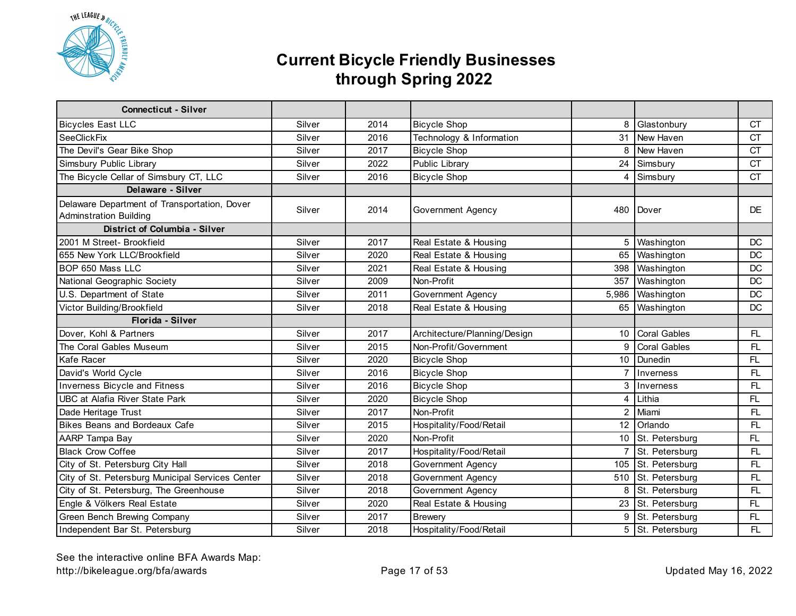

| <b>Connecticut - Silver</b>                                                   |        |      |                              |                |                     |           |
|-------------------------------------------------------------------------------|--------|------|------------------------------|----------------|---------------------|-----------|
| <b>Bicycles East LLC</b>                                                      | Silver | 2014 | <b>Bicycle Shop</b>          | 8              | Glastonbury         | <b>CT</b> |
| <b>SeeClickFix</b>                                                            | Silver | 2016 | Technology & Information     | 31             | New Haven           | <b>CT</b> |
| The Devil's Gear Bike Shop                                                    | Silver | 2017 | <b>Bicycle Shop</b>          | 8              | New Haven           | CT        |
| Simsbury Public Library                                                       | Silver | 2022 | Public Library               | 24             | Simsbury            | <b>CT</b> |
| The Bicycle Cellar of Simsbury CT, LLC                                        | Silver | 2016 | <b>Bicycle Shop</b>          | $\overline{4}$ | Simsbury            | <b>CT</b> |
| Delaware - Silver                                                             |        |      |                              |                |                     |           |
| Delaware Department of Transportation, Dover<br><b>Adminstration Building</b> | Silver | 2014 | Government Agency            | 480            | <b>I</b> Dover      | <b>DE</b> |
| <b>District of Columbia - Silver</b>                                          |        |      |                              |                |                     |           |
| 2001 M Street- Brookfield                                                     | Silver | 2017 | Real Estate & Housing        | 5              | Washington          | DC        |
| 655 New York LLC/Brookfield                                                   | Silver | 2020 | Real Estate & Housing        | 65             | Washington          | DC        |
| BOP 650 Mass LLC                                                              | Silver | 2021 | Real Estate & Housing        | 398            | Washington          | DC        |
| National Geographic Society                                                   | Silver | 2009 | Non-Profit                   | 357            | Washington          | DC        |
| U.S. Department of State                                                      | Silver | 2011 | Government Agency            | 5,986          | Washington          | DC        |
| Victor Building/Brookfield                                                    | Silver | 2018 | Real Estate & Housing        |                | 65 Washington       | <b>DC</b> |
| Florida - Silver                                                              |        |      |                              |                |                     |           |
| Dover, Kohl & Partners                                                        | Silver | 2017 | Architecture/Planning/Design | 10             | <b>Coral Gables</b> | FL        |
| The Coral Gables Museum                                                       | Silver | 2015 | Non-Profit/Government        | 9              | <b>Coral Gables</b> | FL        |
| Kafe Racer                                                                    | Silver | 2020 | <b>Bicycle Shop</b>          |                | 10 Dunedin          | FL.       |
| David's World Cycle                                                           | Silver | 2016 | <b>Bicycle Shop</b>          | $\overline{7}$ | Inverness           | FL        |
| Inverness Bicycle and Fitness                                                 | Silver | 2016 | <b>Bicycle Shop</b>          | 3              | Inverness           | <b>FL</b> |
| <b>UBC at Alafia River State Park</b>                                         | Silver | 2020 | <b>Bicycle Shop</b>          | 4              | Lithia              | FL        |
| Dade Heritage Trust                                                           | Silver | 2017 | Non-Profit                   | $\overline{2}$ | Miami               | FL        |
| Bikes Beans and Bordeaux Cafe                                                 | Silver | 2015 | Hospitality/Food/Retail      |                | 12 Orlando          | FL        |
| AARP Tampa Bay                                                                | Silver | 2020 | Non-Profit                   |                | 10 St. Petersburg   | FL        |
| <b>Black Crow Coffee</b>                                                      | Silver | 2017 | Hospitality/Food/Retail      | $\overline{7}$ | St. Petersburg      | FL        |
| City of St. Petersburg City Hall                                              | Silver | 2018 | Government Agency            | 105            | St. Petersburg      | FL        |
| City of St. Petersburg Municipal Services Center                              | Silver | 2018 | Government Agency            | 510            | St. Petersburg      | FL        |
| City of St. Petersburg, The Greenhouse                                        | Silver | 2018 | Government Agency            | 8              | St. Petersburg      | FL        |
| Engle & Völkers Real Estate                                                   | Silver | 2020 | Real Estate & Housing        | 23             | St. Petersburg      | FL        |
| Green Bench Brewing Company                                                   | Silver | 2017 | <b>Brewery</b>               | 9              | St. Petersburg      | FL.       |
| Independent Bar St. Petersburg                                                | Silver | 2018 | Hospitality/Food/Retail      |                | 5 St. Petersburg    | FL        |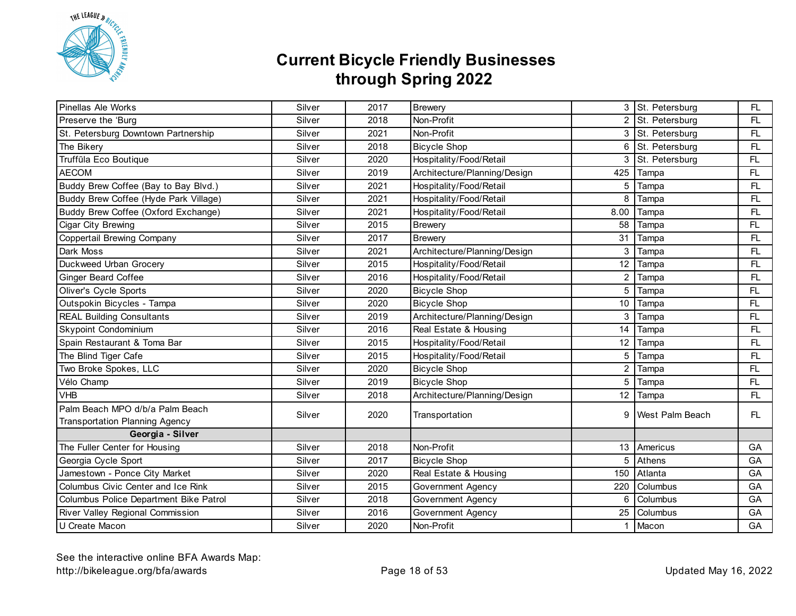

| Pinellas Ale Works                                                       | Silver | 2017 | <b>Brewery</b>               |      | 3 St. Petersburg       | FL  |
|--------------------------------------------------------------------------|--------|------|------------------------------|------|------------------------|-----|
| Preserve the 'Burg                                                       | Silver | 2018 | Non-Profit                   |      | 2 St. Petersburg       | FL. |
| St. Petersburg Downtown Partnership                                      | Silver | 2021 | Non-Profit                   |      | 3 St. Petersburg       | FL. |
| The Bikery                                                               | Silver | 2018 | <b>Bicycle Shop</b>          | 6    | St. Petersburg         | FL. |
| Truffūla Eco Boutique                                                    | Silver | 2020 | Hospitality/Food/Retail      | 3    | St. Petersburg         | FL. |
| <b>AECOM</b>                                                             | Silver | 2019 | Architecture/Planning/Design | 425  | Tampa                  | FL  |
| Buddy Brew Coffee (Bay to Bay Blvd.)                                     | Silver | 2021 | Hospitality/Food/Retail      | 5    | Tampa                  | FL  |
| Buddy Brew Coffee (Hyde Park Village)                                    | Silver | 2021 | Hospitality/Food/Retail      | 8    | Tampa                  | FL. |
| Buddy Brew Coffee (Oxford Exchange)                                      | Silver | 2021 | Hospitality/Food/Retail      | 8.00 | Tampa                  | FL. |
| Cigar City Brewing                                                       | Silver | 2015 | <b>Brewery</b>               | 58   | Tampa                  | FL. |
| Coppertail Brewing Company                                               | Silver | 2017 | <b>Brewery</b>               | 31   | Tampa                  | FL. |
| Dark Moss                                                                | Silver | 2021 | Architecture/Planning/Design | 3    | Tampa                  | FL. |
| Duckweed Urban Grocery                                                   | Silver | 2015 | Hospitality/Food/Retail      | 12   | Tampa                  | FL. |
| <b>Ginger Beard Coffee</b>                                               | Silver | 2016 | Hospitality/Food/Retail      | 2    | Tampa                  | FL  |
| <b>Oliver's Cycle Sports</b>                                             | Silver | 2020 | <b>Bicycle Shop</b>          | 5    | Tampa                  | FL  |
| Outspokin Bicycles - Tampa                                               | Silver | 2020 | <b>Bicycle Shop</b>          | 10   | Tampa                  | FL  |
| <b>REAL Building Consultants</b>                                         | Silver | 2019 | Architecture/Planning/Design | 3    | Tampa                  | FL  |
| Skypoint Condominium                                                     | Silver | 2016 | Real Estate & Housing        | 14   | Tampa                  | FL  |
| Spain Restaurant & Toma Bar                                              | Silver | 2015 | Hospitality/Food/Retail      | 12   | Tampa                  | FL. |
| The Blind Tiger Cafe                                                     | Silver | 2015 | Hospitality/Food/Retail      | 5    | Tampa                  | FL. |
| Two Broke Spokes, LLC                                                    | Silver | 2020 | <b>Bicycle Shop</b>          | 2    | Tampa                  | FL  |
| Vélo Champ                                                               | Silver | 2019 | <b>Bicycle Shop</b>          | 5    | Tampa                  | FL  |
| <b>VHB</b>                                                               | Silver | 2018 | Architecture/Planning/Design | 12   | Tampa                  | FL. |
| Palm Beach MPO d/b/a Palm Beach<br><b>Transportation Planning Agency</b> | Silver | 2020 | Transportation               | 9    | <b>Nest Palm Beach</b> | FL. |
| Georgia - Silver                                                         |        |      |                              |      |                        |     |
| The Fuller Center for Housing                                            | Silver | 2018 | Non-Profit                   | 13   | Americus               | GA  |
| Georgia Cycle Sport                                                      | Silver | 2017 | <b>Bicycle Shop</b>          | 5    | Athens                 | GA  |
| Jamestown - Ponce City Market                                            | Silver | 2020 | Real Estate & Housing        | 150  | Atlanta                | GA  |
| Columbus Civic Center and Ice Rink                                       | Silver | 2015 | Government Agency            | 220  | Columbus               | GA  |
| Columbus Police Department Bike Patrol                                   | Silver | 2018 | Government Agency            | 6    | Columbus               | GA  |
| River Valley Regional Commission                                         | Silver | 2016 | <b>Government Agency</b>     | 25   | Columbus               | GA  |
| U Create Macon                                                           | Silver | 2020 | Non-Profit                   | 1    | Macon                  | GA  |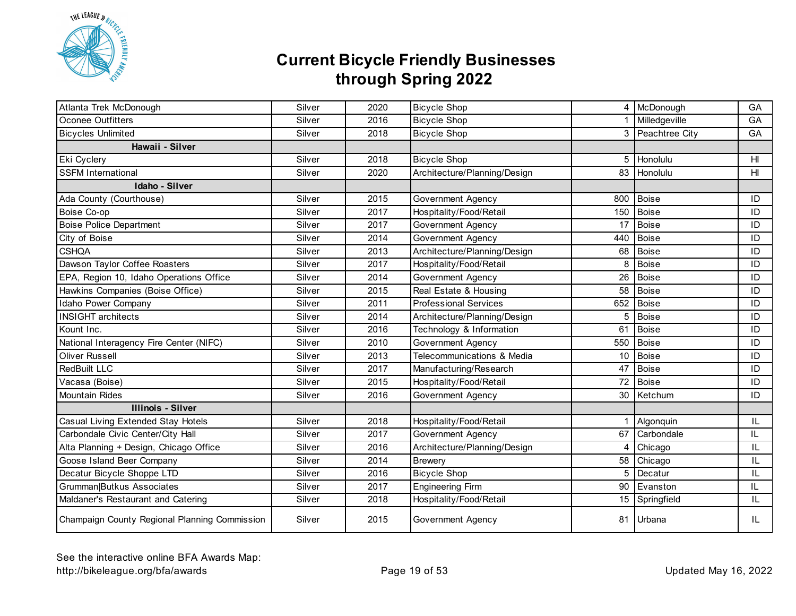

| Atlanta Trek McDonough                        | Silver | 2020 | <b>Bicycle Shop</b>          |     | 4 McDonough      | GA  |
|-----------------------------------------------|--------|------|------------------------------|-----|------------------|-----|
| <b>Oconee Outfitters</b>                      | Silver | 2016 | <b>Bicycle Shop</b>          |     | Milledgeville    | GA  |
| <b>Bicycles Unlimited</b>                     | Silver | 2018 | <b>Bicycle Shop</b>          |     | 3 Peachtree City | GA  |
| Hawaii - Silver                               |        |      |                              |     |                  |     |
| Eki Cyclery                                   | Silver | 2018 | <b>Bicycle Shop</b>          | 5   | Honolulu         | HI  |
| <b>SSFM International</b>                     | Silver | 2020 | Architecture/Planning/Design | 83  | Honolulu         | HI  |
| Idaho - Silver                                |        |      |                              |     |                  |     |
| Ada County (Courthouse)                       | Silver | 2015 | Government Agency            | 800 | <b>Boise</b>     | ID  |
| Boise Co-op                                   | Silver | 2017 | Hospitality/Food/Retail      | 150 | <b>Boise</b>     | ID  |
| <b>Boise Police Department</b>                | Silver | 2017 | Government Agency            | 17  | <b>Boise</b>     | ID  |
| City of Boise                                 | Silver | 2014 | Government Agency            | 440 | <b>Boise</b>     | ID  |
| <b>CSHQA</b>                                  | Silver | 2013 | Architecture/Planning/Design | 68  | <b>Boise</b>     | ID  |
| Dawson Taylor Coffee Roasters                 | Silver | 2017 | Hospitality/Food/Retail      | 8   | <b>Boise</b>     | ID  |
| EPA, Region 10, Idaho Operations Office       | Silver | 2014 | Government Agency            | 26  | <b>Boise</b>     | ID  |
| Hawkins Companies (Boise Office)              | Silver | 2015 | Real Estate & Housing        | 58  | <b>Boise</b>     | ID  |
| Idaho Power Company                           | Silver | 2011 | <b>Professional Services</b> | 652 | <b>Boise</b>     | ID  |
| <b>INSIGHT</b> architects                     | Silver | 2014 | Architecture/Planning/Design | 5   | <b>Boise</b>     | ID  |
| Kount Inc.                                    | Silver | 2016 | Technology & Information     | 61  | <b>Boise</b>     | ID  |
| National Interagency Fire Center (NIFC)       | Silver | 2010 | Government Agency            | 550 | <b>Boise</b>     | ID  |
| Oliver Russell                                | Silver | 2013 | Telecommunications & Media   | 10  | <b>Boise</b>     | ID  |
| RedBuilt LLC                                  | Silver | 2017 | Manufacturing/Research       | 47  | <b>Boise</b>     | ID  |
| Vacasa (Boise)                                | Silver | 2015 | Hospitality/Food/Retail      | 72  | <b>Boise</b>     | ID  |
| <b>Mountain Rides</b>                         | Silver | 2016 | Government Agency            | 30  | Ketchum          | ID  |
| <b>Illinois - Silver</b>                      |        |      |                              |     |                  |     |
| Casual Living Extended Stay Hotels            | Silver | 2018 | Hospitality/Food/Retail      |     | Algonquin        | IL  |
| Carbondale Civic Center/City Hall             | Silver | 2017 | Government Agency            | 67  | Carbondale       | IL  |
| Alta Planning + Design, Chicago Office        | Silver | 2016 | Architecture/Planning/Design | 4   | Chicago          | IL  |
| Goose Island Beer Company                     | Silver | 2014 | <b>Brewery</b>               | 58  | Chicago          | IL  |
| Decatur Bicycle Shoppe LTD                    | Silver | 2016 | <b>Bicycle Shop</b>          | 5   | Decatur          | IL  |
| Grumman Butkus Associates                     | Silver | 2017 | <b>Engineering Firm</b>      | 90  | Evanston         | IL  |
| Maldaner's Restaurant and Catering            | Silver | 2018 | Hospitality/Food/Retail      |     | 15 Springfield   | IL  |
| Champaign County Regional Planning Commission | Silver | 2015 | Government Agency            | 81  | Urbana           | IL. |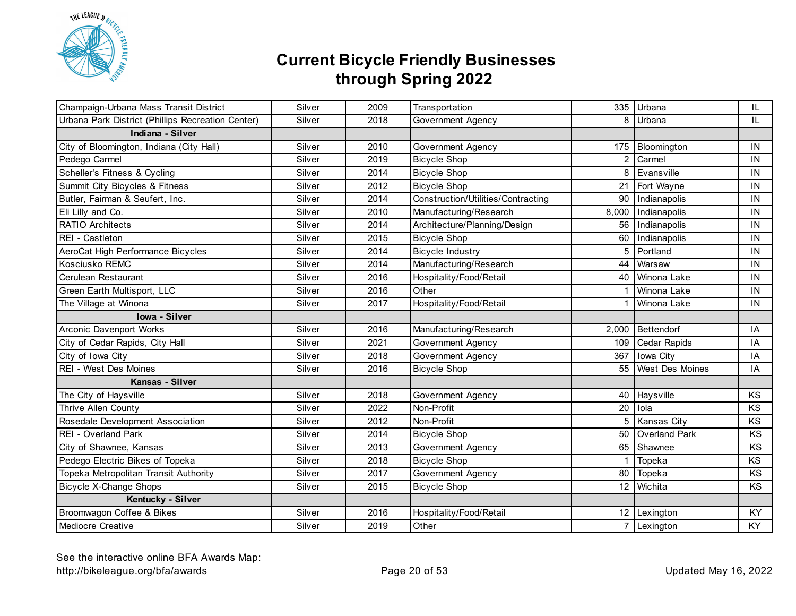

| Champaign-Urbana Mass Transit District            | Silver | 2009 | Transportation                     |                | 335 Urbana             | IL.      |
|---------------------------------------------------|--------|------|------------------------------------|----------------|------------------------|----------|
| Urbana Park District (Phillips Recreation Center) | Silver | 2018 | Government Agency                  | 8              | Urbana                 | IL.      |
| Indiana - Silver                                  |        |      |                                    |                |                        |          |
| City of Bloomington, Indiana (City Hall)          | Silver | 2010 | Government Agency                  | 175            | Bloomington            | IN       |
| Pedego Carmel                                     | Silver | 2019 | <b>Bicycle Shop</b>                | $\overline{2}$ | Carmel                 | IN       |
| Scheller's Fitness & Cycling                      | Silver | 2014 | <b>Bicycle Shop</b>                | 8              | Evansville             | IN       |
| Summit City Bicycles & Fitness                    | Silver | 2012 | <b>Bicycle Shop</b>                | 21             | Fort Wayne             | IN       |
| Butler, Fairman & Seufert, Inc.                   | Silver | 2014 | Construction/Utilities/Contracting | 90             | Indianapolis           | IN       |
| Eli Lilly and Co.                                 | Silver | 2010 | Manufacturing/Research             | 8,000          | Indianapolis           | IN       |
| <b>RATIO Architects</b>                           | Silver | 2014 | Architecture/Planning/Design       | 56             | Indianapolis           | IN       |
| REI - Castleton                                   | Silver | 2015 | <b>Bicycle Shop</b>                | 60             | Indianapolis           | $\sf IN$ |
| AeroCat High Performance Bicycles                 | Silver | 2014 | <b>Bicycle Industry</b>            | 5              | Portland               | IN       |
| Kosciusko REMC                                    | Silver | 2014 | Manufacturing/Research             | 44             | Warsaw                 | IN       |
| Cerulean Restaurant                               | Silver | 2016 | Hospitality/Food/Retail            | 40             | Winona Lake            | IN       |
| Green Earth Multisport, LLC                       | Silver | 2016 | Other                              |                | Winona Lake            | IN       |
| The Village at Winona                             | Silver | 2017 | Hospitality/Food/Retail            |                | Winona Lake            | IN       |
| Iowa - Silver                                     |        |      |                                    |                |                        |          |
| Arconic Davenport Works                           | Silver | 2016 | Manufacturing/Research             | 2,000          | Bettendorf             | IA       |
| City of Cedar Rapids, City Hall                   | Silver | 2021 | Government Agency                  | 109            | <b>Cedar Rapids</b>    | IA       |
| City of Iowa City                                 | Silver | 2018 | Government Agency                  | 367            | Iowa City              | IA       |
| REI - West Des Moines                             | Silver | 2016 | <b>Bicycle Shop</b>                | 55             | <b>West Des Moines</b> | IA       |
| Kansas - Silver                                   |        |      |                                    |                |                        |          |
| The City of Haysville                             | Silver | 2018 | Government Agency                  | 40             | Haysville              | KS       |
| Thrive Allen County                               | Silver | 2022 | Non-Profit                         | 20             | Iola                   | KS       |
| Rosedale Development Association                  | Silver | 2012 | Non-Profit                         | 5              | Kansas City            | KS       |
| REI - Overland Park                               | Silver | 2014 | <b>Bicycle Shop</b>                | 50             | Overland Park          | KS       |
| City of Shawnee, Kansas                           | Silver | 2013 | Government Agency                  | 65             | Shawnee                | KS       |
| Pedego Electric Bikes of Topeka                   | Silver | 2018 | <b>Bicycle Shop</b>                | -1             | Topeka                 | KS       |
| Topeka Metropolitan Transit Authority             | Silver | 2017 | Government Agency                  | 80             | Topeka                 | KS       |
| <b>Bicycle X-Change Shops</b>                     | Silver | 2015 | <b>Bicycle Shop</b>                |                | 12 Wichita             | KS       |
| Kentucky - Silver                                 |        |      |                                    |                |                        |          |
| Broomwagon Coffee & Bikes                         | Silver | 2016 | Hospitality/Food/Retail            |                | 12 Lexington           | KY       |
| <b>Mediocre Creative</b>                          | Silver | 2019 | Other                              |                | 7 Lexington            | KY       |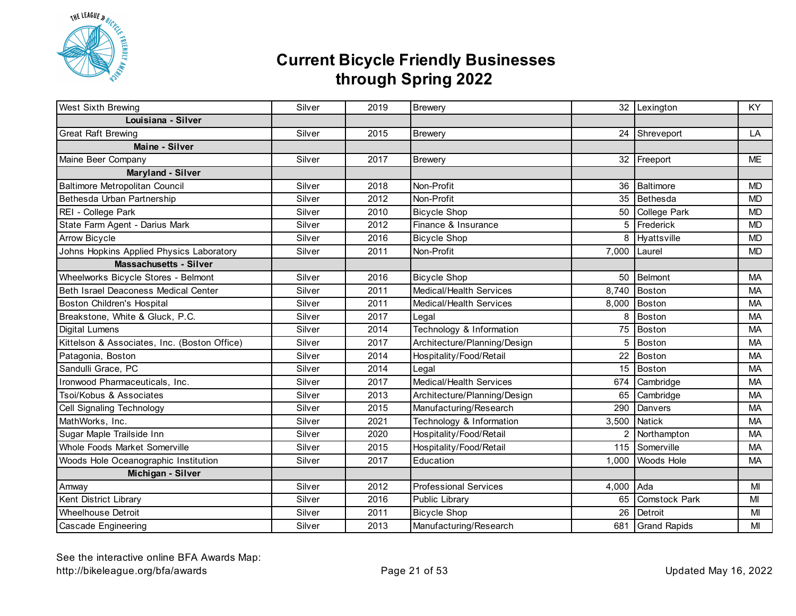

| West Sixth Brewing                           | Silver | 2019 | <b>Brewery</b>                 |               | 32 Lexington         | KY        |
|----------------------------------------------|--------|------|--------------------------------|---------------|----------------------|-----------|
| Louisiana - Silver                           |        |      |                                |               |                      |           |
| <b>Great Raft Brewing</b>                    | Silver | 2015 | <b>Brewery</b>                 |               | 24 Shreveport        | LA        |
| Maine - Silver                               |        |      |                                |               |                      |           |
| Maine Beer Company                           | Silver | 2017 | <b>Brewery</b>                 |               | 32 Freeport          | <b>ME</b> |
| Maryland - Silver                            |        |      |                                |               |                      |           |
| Baltimore Metropolitan Council               | Silver | 2018 | Non-Profit                     | 36            | Baltimore            | <b>MD</b> |
| Bethesda Urban Partnership                   | Silver | 2012 | Non-Profit                     | 35            | Bethesda             | <b>MD</b> |
| REI - College Park                           | Silver | 2010 | <b>Bicycle Shop</b>            |               | 50 College Park      | <b>MD</b> |
| State Farm Agent - Darius Mark               | Silver | 2012 | Finance & Insurance            | 5             | Frederick            | <b>MD</b> |
| Arrow Bicycle                                | Silver | 2016 | <b>Bicycle Shop</b>            | 8             | Hyattsville          | <b>MD</b> |
| Johns Hopkins Applied Physics Laboratory     | Silver | 2011 | Non-Profit                     | 7,000         | Laurel               | <b>MD</b> |
| <b>Massachusetts - Silver</b>                |        |      |                                |               |                      |           |
| Wheelworks Bicycle Stores - Belmont          | Silver | 2016 | <b>Bicycle Shop</b>            | 50            | <b>Belmont</b>       | <b>MA</b> |
| Beth Israel Deaconess Medical Center         | Silver | 2011 | Medical/Health Services        | 8,740         | Boston               | MA        |
| Boston Children's Hospital                   | Silver | 2011 | <b>Medical/Health Services</b> | 8,000         | Boston               | <b>MA</b> |
| Breakstone, White & Gluck, P.C.              | Silver | 2017 | Legal                          | 8             | Boston               | <b>MA</b> |
| <b>Digital Lumens</b>                        | Silver | 2014 | Technology & Information       | 75            | <b>Boston</b>        | <b>MA</b> |
| Kittelson & Associates, Inc. (Boston Office) | Silver | 2017 | Architecture/Planning/Design   | 5             | Boston               | <b>MA</b> |
| Patagonia, Boston                            | Silver | 2014 | Hospitality/Food/Retail        | 22            | <b>Boston</b>        | <b>MA</b> |
| Sandulli Grace, PC                           | Silver | 2014 | Legal                          | 15            | <b>Boston</b>        | <b>MA</b> |
| Ironwood Pharmaceuticals, Inc.               | Silver | 2017 | Medical/Health Services        | 674           | Cambridge            | <b>MA</b> |
| Tsoi/Kobus & Associates                      | Silver | 2013 | Architecture/Planning/Design   | 65            | Cambridge            | <b>MA</b> |
| Cell Signaling Technology                    | Silver | 2015 | Manufacturing/Research         | 290           | Danvers              | <b>MA</b> |
| MathWorks, Inc.                              | Silver | 2021 | Technology & Information       | 3,500         | Natick               | <b>MA</b> |
| Sugar Maple Trailside Inn                    | Silver | 2020 | Hospitality/Food/Retail        | $\mathcal{P}$ | Northampton          | <b>MA</b> |
| Whole Foods Market Somerville                | Silver | 2015 | Hospitality/Food/Retail        | 115           | Somerville           | <b>MA</b> |
| Woods Hole Oceanographic Institution         | Silver | 2017 | Education                      | 1.000         | <b>Woods Hole</b>    | <b>MA</b> |
| Michigan - Silver                            |        |      |                                |               |                      |           |
| Amway                                        | Silver | 2012 | <b>Professional Services</b>   | 4,000         | Ada                  | MI        |
| Kent District Library                        | Silver | 2016 | Public Library                 | 65            | <b>Comstock Park</b> | MI        |
| <b>Wheelhouse Detroit</b>                    | Silver | 2011 | <b>Bicycle Shop</b>            | 26            | Detroit              | MI        |
| <b>Cascade Engineering</b>                   | Silver | 2013 | Manufacturing/Research         |               | 681 Grand Rapids     | MI        |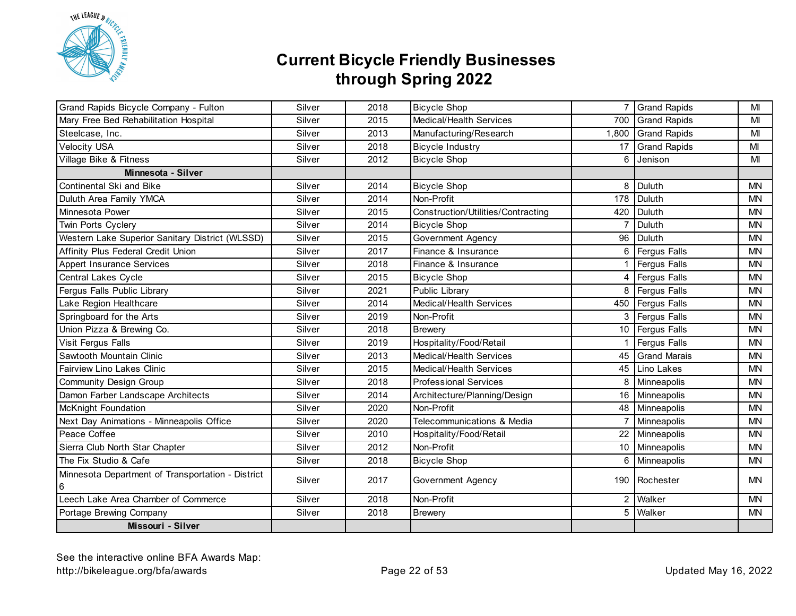

| Grand Rapids Bicycle Company - Fulton                  | Silver | 2018 | <b>Bicycle Shop</b>                |                | 7 Grand Rapids      | MI        |
|--------------------------------------------------------|--------|------|------------------------------------|----------------|---------------------|-----------|
| Mary Free Bed Rehabilitation Hospital                  | Silver | 2015 | Medical/Health Services            | 700            | <b>Grand Rapids</b> | MI        |
| Steelcase, Inc.                                        | Silver | 2013 | Manufacturing/Research             | 1,800          | Grand Rapids        | MI        |
| <b>Velocity USA</b>                                    | Silver | 2018 | <b>Bicycle Industry</b>            | 17             | <b>Grand Rapids</b> | MI        |
| Village Bike & Fitness                                 | Silver | 2012 | <b>Bicycle Shop</b>                | 6              | Jenison             | MI        |
| Minnesota - Silver                                     |        |      |                                    |                |                     |           |
| Continental Ski and Bike                               | Silver | 2014 | <b>Bicycle Shop</b>                | 8              | Duluth              | <b>MN</b> |
| Duluth Area Family YMCA                                | Silver | 2014 | Non-Profit                         |                | 178 Duluth          | <b>MN</b> |
| Minnesota Power                                        | Silver | 2015 | Construction/Utilities/Contracting |                | 420 Duluth          | <b>MN</b> |
| Twin Ports Cyclery                                     | Silver | 2014 | <b>Bicycle Shop</b>                | $\overline{7}$ | Duluth              | <b>MN</b> |
| Western Lake Superior Sanitary District (WLSSD)        | Silver | 2015 | Government Agency                  |                | 96   Duluth         | <b>MN</b> |
| Affinity Plus Federal Credit Union                     | Silver | 2017 | Finance & Insurance                |                | 6 Fergus Falls      | <b>MN</b> |
| <b>Appert Insurance Services</b>                       | Silver | 2018 | Finance & Insurance                |                | Fergus Falls        | <b>MN</b> |
| Central Lakes Cycle                                    | Silver | 2015 | <b>Bicycle Shop</b>                | 4              | Fergus Falls        | <b>MN</b> |
| Fergus Falls Public Library                            | Silver | 2021 | Public Library                     |                | 8 Fergus Falls      | <b>MN</b> |
| Lake Region Healthcare                                 | Silver | 2014 | <b>Medical/Health Services</b>     |                | 450   Fergus Falls  | <b>MN</b> |
| Springboard for the Arts                               | Silver | 2019 | Non-Profit                         |                | 3 Fergus Falls      | <b>MN</b> |
| Union Pizza & Brewing Co.                              | Silver | 2018 | <b>Brewery</b>                     |                | 10 Fergus Falls     | <b>MN</b> |
| Visit Fergus Falls                                     | Silver | 2019 | Hospitality/Food/Retail            |                | <b>Fergus Falls</b> | <b>MN</b> |
| Sawtooth Mountain Clinic                               | Silver | 2013 | Medical/Health Services            |                | 45 Grand Marais     | <b>MN</b> |
| Fairview Lino Lakes Clinic                             | Silver | 2015 | Medical/Health Services            |                | 45 Lino Lakes       | <b>MN</b> |
| Community Design Group                                 | Silver | 2018 | <b>Professional Services</b>       |                | 8 Minneapolis       | <b>MN</b> |
| Damon Farber Landscape Architects                      | Silver | 2014 | Architecture/Planning/Design       |                | 16 Minneapolis      | <b>MN</b> |
| <b>McKnight Foundation</b>                             | Silver | 2020 | Non-Profit                         |                | 48 Minneapolis      | <b>MN</b> |
| Next Day Animations - Minneapolis Office               | Silver | 2020 | Telecommunications & Media         | 7              | Minneapolis         | <b>MN</b> |
| Peace Coffee                                           | Silver | 2010 | Hospitality/Food/Retail            | 22             | Minneapolis         | <b>MN</b> |
| Sierra Club North Star Chapter                         | Silver | 2012 | Non-Profit                         |                | 10 Minneapolis      | <b>MN</b> |
| The Fix Studio & Cafe                                  | Silver | 2018 | <b>Bicycle Shop</b>                | 6              | Minneapolis         | <b>MN</b> |
| Minnesota Department of Transportation - District<br>6 | Silver | 2017 | Government Agency                  |                | 190 Rochester       | <b>MN</b> |
| Leech Lake Area Chamber of Commerce                    | Silver | 2018 | Non-Profit                         |                | 2 Walker            | <b>MN</b> |
| Portage Brewing Company                                | Silver | 2018 | <b>Brewery</b>                     | 5              | Walker              | <b>MN</b> |
| Missouri - Silver                                      |        |      |                                    |                |                     |           |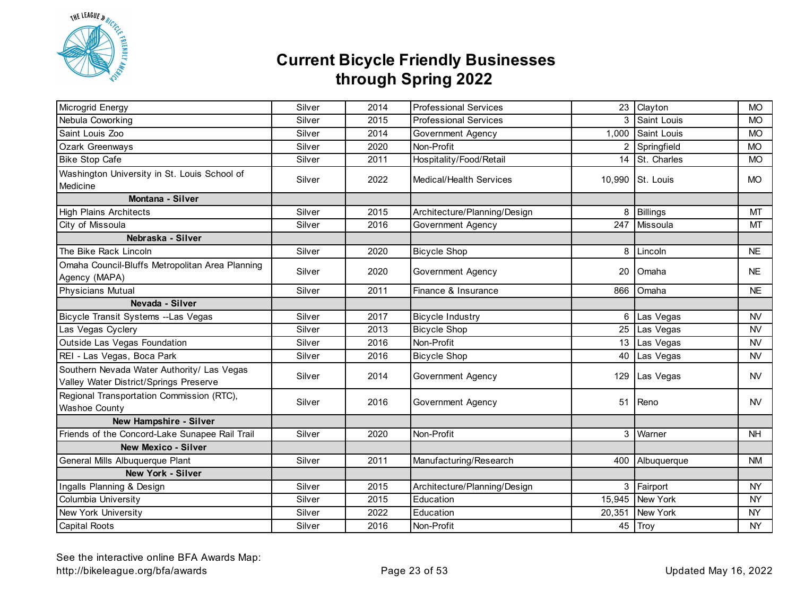

| Microgrid Energy                                                                     | Silver | 2014 | <b>Professional Services</b> |                  | 23 Clayton       | <b>MO</b> |
|--------------------------------------------------------------------------------------|--------|------|------------------------------|------------------|------------------|-----------|
| Nebula Coworking                                                                     | Silver | 2015 | <b>Professional Services</b> |                  | Saint Louis      | <b>MO</b> |
| Saint Louis Zoo                                                                      | Silver | 2014 | Government Agency            | 1,000            | Saint Louis      | <b>MO</b> |
| Ozark Greenways                                                                      | Silver | 2020 | Non-Profit                   |                  | 2 Springfield    | <b>MO</b> |
| <b>Bike Stop Cafe</b>                                                                | Silver | 2011 | Hospitality/Food/Retail      | 14               | St. Charles      | <b>MO</b> |
| Washington University in St. Louis School of<br>Medicine                             | Silver | 2022 | Medical/Health Services      |                  | 10,990 St. Louis | <b>MO</b> |
| Montana - Silver                                                                     |        |      |                              |                  |                  |           |
| <b>High Plains Architects</b>                                                        | Silver | 2015 | Architecture/Planning/Design | 8                | <b>Billings</b>  | MT        |
| City of Missoula                                                                     | Silver | 2016 | Government Agency            | 247              | Missoula         | MT        |
| Nebraska - Silver                                                                    |        |      |                              |                  |                  |           |
| The Bike Rack Lincoln                                                                | Silver | 2020 | <b>Bicycle Shop</b>          | 8                | Lincoln          | <b>NE</b> |
| Omaha Council-Bluffs Metropolitan Area Planning<br>Agency (MAPA)                     | Silver | 2020 | Government Agency            | 20               | Omaha            | <b>NE</b> |
| <b>Physicians Mutual</b>                                                             | Silver | 2011 | Finance & Insurance          | 866              | Omaha            | <b>NE</b> |
| Nevada - Silver                                                                      |        |      |                              |                  |                  |           |
| Bicycle Transit Systems -- Las Vegas                                                 | Silver | 2017 | <b>Bicycle Industry</b>      | 6                | Las Vegas        | <b>NV</b> |
| Las Vegas Cyclery                                                                    | Silver | 2013 | <b>Bicycle Shop</b>          | 25               | Las Vegas        | <b>NV</b> |
| Outside Las Vegas Foundation                                                         | Silver | 2016 | Non-Profit                   | 13 <sup>13</sup> | Las Vegas        | <b>NV</b> |
| REI - Las Vegas, Boca Park                                                           | Silver | 2016 | <b>Bicycle Shop</b>          | 40               | Las Vegas        | <b>NV</b> |
| Southern Nevada Water Authority/ Las Vegas<br>Valley Water District/Springs Preserve | Silver | 2014 | Government Agency            | 129              | Las Vegas        | <b>NV</b> |
| Regional Transportation Commission (RTC),<br>Washoe County                           | Silver | 2016 | Government Agency            | 51               | Reno             | NV.       |
| New Hampshire - Silver                                                               |        |      |                              |                  |                  |           |
| Friends of the Concord-Lake Sunapee Rail Trail                                       | Silver | 2020 | Non-Profit                   | 3                | Warner           | <b>NH</b> |
| <b>New Mexico - Silver</b>                                                           |        |      |                              |                  |                  |           |
| General Mills Albuquerque Plant                                                      | Silver | 2011 | Manufacturing/Research       |                  | 400 Albuquerque  | <b>NM</b> |
| New York - Silver                                                                    |        |      |                              |                  |                  |           |
| Ingalls Planning & Design                                                            | Silver | 2015 | Architecture/Planning/Design |                  | 3 Fairport       | <b>NY</b> |
| Columbia University                                                                  | Silver | 2015 | Education                    |                  | 15,945 New York  | <b>NY</b> |
| New York University                                                                  | Silver | 2022 | Education                    |                  | 20,351 New York  | <b>NY</b> |
| <b>Capital Roots</b>                                                                 | Silver | 2016 | Non-Profit                   |                  | 45 Troy          | <b>NY</b> |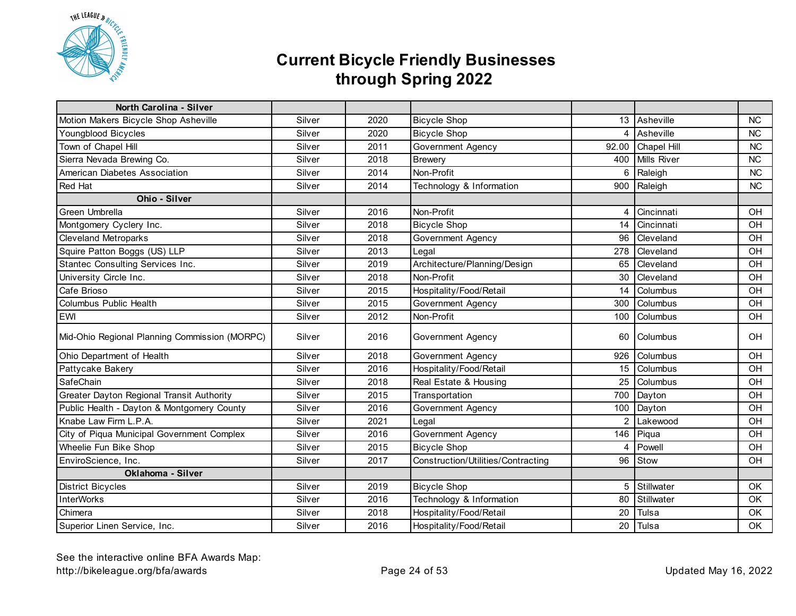

| <b>North Carolina - Silver</b>                |        |      |                                    |       |                    |           |
|-----------------------------------------------|--------|------|------------------------------------|-------|--------------------|-----------|
| Motion Makers Bicycle Shop Asheville          | Silver | 2020 | <b>Bicycle Shop</b>                |       | 13 Asheville       | <b>NC</b> |
| Youngblood Bicycles                           | Silver | 2020 | <b>Bicycle Shop</b>                | 4     | Asheville          | <b>NC</b> |
| Town of Chapel Hill                           | Silver | 2011 | Government Agency                  | 92.00 | <b>Chapel Hill</b> | <b>NC</b> |
| Sierra Nevada Brewing Co.                     | Silver | 2018 | <b>Brewery</b>                     | 400   | <b>Mills River</b> | <b>NC</b> |
| American Diabetes Association                 | Silver | 2014 | Non-Profit                         | 6     | Raleigh            | <b>NC</b> |
| Red Hat                                       | Silver | 2014 | Technology & Information           | 900   | Raleigh            | <b>NC</b> |
| Ohio - Silver                                 |        |      |                                    |       |                    |           |
| Green Umbrella                                | Silver | 2016 | Non-Profit                         | 4     | Cincinnati         | OH        |
| Montgomery Cyclery Inc.                       | Silver | 2018 | <b>Bicycle Shop</b>                | 14    | Cincinnati         | OH        |
| <b>Cleveland Metroparks</b>                   | Silver | 2018 | Government Agency                  | 96    | Cleveland          | OH        |
| Squire Patton Boggs (US) LLP                  | Silver | 2013 | Legal                              | 278   | Cleveland          | OH        |
| Stantec Consulting Services Inc.              | Silver | 2019 | Architecture/Planning/Design       | 65    | Cleveland          | OH        |
| University Circle Inc.                        | Silver | 2018 | Non-Profit                         | 30    | Cleveland          | OH        |
| Cafe Brioso                                   | Silver | 2015 | Hospitality/Food/Retail            | 14    | Columbus           | OH        |
| Columbus Public Health                        | Silver | 2015 | Government Agency                  | 300   | Columbus           | OH        |
| EWI                                           | Silver | 2012 | Non-Profit                         | 100   | Columbus           | OH        |
| Mid-Ohio Regional Planning Commission (MORPC) | Silver | 2016 | Government Agency                  | 60    | Columbus           | OH        |
| Ohio Department of Health                     | Silver | 2018 | Government Agency                  | 926   | Columbus           | OH        |
| Pattycake Bakery                              | Silver | 2016 | Hospitality/Food/Retail            | 15    | Columbus           | OH        |
| SafeChain                                     | Silver | 2018 | Real Estate & Housing              | 25    | Columbus           | OH        |
| Greater Dayton Regional Transit Authority     | Silver | 2015 | Transportation                     |       | 700 Dayton         | OH        |
| Public Health - Dayton & Montgomery County    | Silver | 2016 | Government Agency                  |       | 100 Dayton         | OH        |
| Knabe Law Firm L.P.A.                         | Silver | 2021 | Legal                              |       | 2 Lakewood         | OH        |
| City of Piqua Municipal Government Complex    | Silver | 2016 | Government Agency                  |       | 146 Piqua          | OH        |
| Wheelie Fun Bike Shop                         | Silver | 2015 | <b>Bicycle Shop</b>                | 4     | Powell             | OH        |
| EnviroScience, Inc.                           | Silver | 2017 | Construction/Utilities/Contracting |       | 96 Stow            | OH        |
| Oklahoma - Silver                             |        |      |                                    |       |                    |           |
| <b>District Bicycles</b>                      | Silver | 2019 | <b>Bicycle Shop</b>                | 5     | Stillwater         | <b>OK</b> |
| <b>InterWorks</b>                             | Silver | 2016 | Technology & Information           | 80    | Stillwater         | OK        |
| Chimera                                       | Silver | 2018 | Hospitality/Food/Retail            | 20    | Tulsa              | OK        |
| Superior Linen Service, Inc.                  | Silver | 2016 | Hospitality/Food/Retail            |       | 20 Tulsa           | OK        |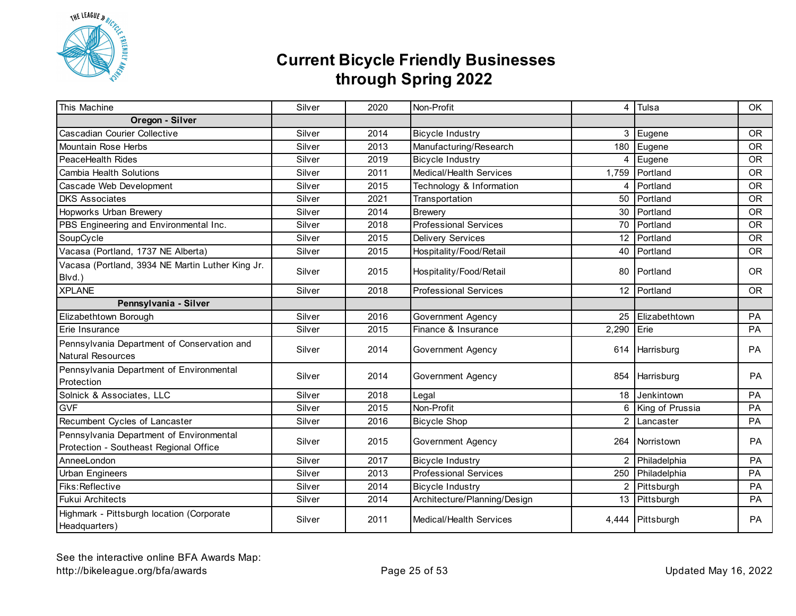

| This Machine                                                                       | Silver | 2020 | Non-Profit                   | 4     | Tulsa            | OK        |
|------------------------------------------------------------------------------------|--------|------|------------------------------|-------|------------------|-----------|
| Oregon - Silver                                                                    |        |      |                              |       |                  |           |
| Cascadian Courier Collective                                                       | Silver | 2014 | <b>Bicycle Industry</b>      |       | 3 Eugene         | <b>OR</b> |
| Mountain Rose Herbs                                                                | Silver | 2013 | Manufacturing/Research       | 180   | Eugene           | <b>OR</b> |
| PeaceHealth Rides                                                                  | Silver | 2019 | <b>Bicycle Industry</b>      | 4     | Eugene           | <b>OR</b> |
| Cambia Health Solutions                                                            | Silver | 2011 | Medical/Health Services      | 1,759 | Portland         | <b>OR</b> |
| Cascade Web Development                                                            | Silver | 2015 | Technology & Information     | 4     | Portland         | <b>OR</b> |
| <b>DKS Associates</b>                                                              | Silver | 2021 | Transportation               | 50    | Portland         | <b>OR</b> |
| Hopworks Urban Brewery                                                             | Silver | 2014 | <b>Brewery</b>               | 30    | Portland         | <b>OR</b> |
| PBS Engineering and Environmental Inc.                                             | Silver | 2018 | <b>Professional Services</b> | 70    | Portland         | <b>OR</b> |
| SoupCycle                                                                          | Silver | 2015 | <b>Delivery Services</b>     |       | 12 Portland      | <b>OR</b> |
| Vacasa (Portland, 1737 NE Alberta)                                                 | Silver | 2015 | Hospitality/Food/Retail      | 40    | Portland         | <b>OR</b> |
| Vacasa (Portland, 3934 NE Martin Luther King Jr.<br>Blvd.)                         | Silver | 2015 | Hospitality/Food/Retail      |       | 80 Portland      | <b>OR</b> |
| <b>XPLANE</b>                                                                      | Silver | 2018 | <b>Professional Services</b> |       | 12 Portland      | <b>OR</b> |
| Pennsylvania - Silver                                                              |        |      |                              |       |                  |           |
| Elizabethtown Borough                                                              | Silver | 2016 | <b>Government Agency</b>     | 25    | Elizabethtown    | PA        |
| Erie Insurance                                                                     | Silver | 2015 | Finance & Insurance          | 2,290 | Erie             | PA        |
| Pennsylvania Department of Conservation and<br><b>Natural Resources</b>            | Silver | 2014 | Government Agency            |       | 614   Harrisburg | PA        |
| Pennsylvania Department of Environmental<br>Protection                             | Silver | 2014 | Government Agency            |       | 854 Harrisburg   | PA        |
| Solnick & Associates, LLC                                                          | Silver | 2018 | Legal                        | 18    | Jenkintown       | PA        |
| <b>GVF</b>                                                                         | Silver | 2015 | Non-Profit                   | 6     | King of Prussia  | PA        |
| Recumbent Cycles of Lancaster                                                      | Silver | 2016 | <b>Bicycle Shop</b>          |       | 2 Lancaster      | PA        |
| Pennsylvania Department of Environmental<br>Protection - Southeast Regional Office | Silver | 2015 | Government Agency            |       | 264 Norristown   | PA        |
| AnneeLondon                                                                        | Silver | 2017 | <b>Bicycle Industry</b>      | 2     | Philadelphia     | PA        |
| <b>Urban Engineers</b>                                                             | Silver | 2013 | <b>Professional Services</b> | 250   | Philadelphia     | PA        |
| Fiks: Reflective                                                                   | Silver | 2014 | <b>Bicycle Industry</b>      |       | 2 Pittsburgh     | PA        |
| <b>Fukui Architects</b>                                                            | Silver | 2014 | Architecture/Planning/Design |       | 13 Pittsburgh    | PA        |
| Highmark - Pittsburgh location (Corporate<br>Headquarters)                         | Silver | 2011 | Medical/Health Services      |       | 4,444 Pittsburgh | PA        |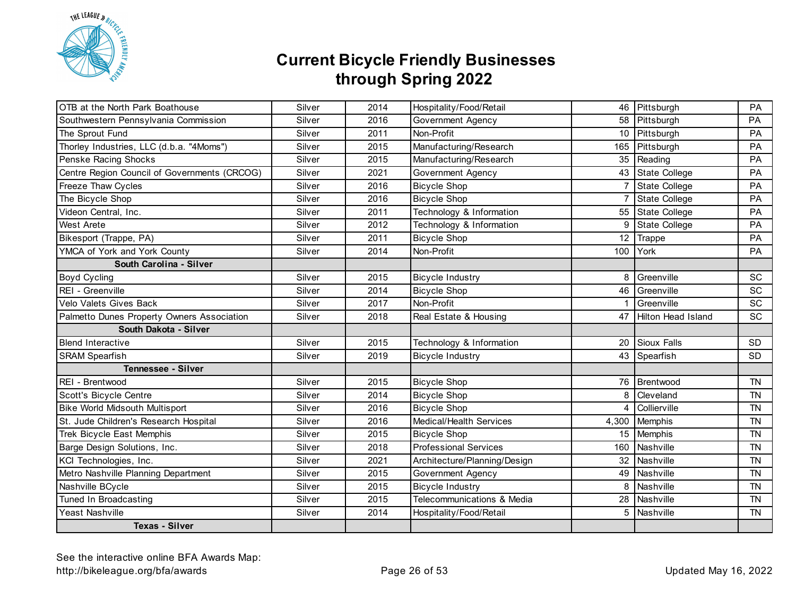

| OTB at the North Park Boathouse              | Silver | 2014 | Hospitality/Food/Retail      |                | 46 Pittsburgh        | PA        |
|----------------------------------------------|--------|------|------------------------------|----------------|----------------------|-----------|
| Southwestern Pennsylvania Commission         | Silver | 2016 | Government Agency            |                | 58 Pittsburgh        | <b>PA</b> |
| The Sprout Fund                              | Silver | 2011 | Non-Profit                   |                | 10 Pittsburgh        | PA        |
| Thorley Industries, LLC (d.b.a. "4Moms")     | Silver | 2015 | Manufacturing/Research       |                | 165 Pittsburgh       | PA        |
| Penske Racing Shocks                         | Silver | 2015 | Manufacturing/Research       | 35             | Reading              | PA        |
| Centre Region Council of Governments (CRCOG) | Silver | 2021 | Government Agency            |                | 43 State College     | PA        |
| Freeze Thaw Cycles                           | Silver | 2016 | <b>Bicycle Shop</b>          | $\overline{7}$ | <b>State College</b> | PA        |
| The Bicycle Shop                             | Silver | 2016 | <b>Bicycle Shop</b>          |                | State College        | PA        |
| Videon Central, Inc.                         | Silver | 2011 | Technology & Information     | 55             | <b>State College</b> | PA        |
| <b>West Arete</b>                            | Silver | 2012 | Technology & Information     | 9              | State College        | PA        |
| Bikesport (Trappe, PA)                       | Silver | 2011 | <b>Bicycle Shop</b>          | 12             | Trappe               | PA        |
| YMCA of York and York County                 | Silver | 2014 | Non-Profit                   | 100            | York                 | PA        |
| South Carolina - Silver                      |        |      |                              |                |                      |           |
| Boyd Cycling                                 | Silver | 2015 | <b>Bicycle Industry</b>      | 8              | Greenville           | SC        |
| REI - Greenville                             | Silver | 2014 | <b>Bicycle Shop</b>          | 46             | Greenville           | SC        |
| Velo Valets Gives Back                       | Silver | 2017 | Non-Profit                   |                | Greenville           | SC        |
| Palmetto Dunes Property Owners Association   | Silver | 2018 | Real Estate & Housing        | 47             | Hilton Head Island   | SC        |
| South Dakota - Silver                        |        |      |                              |                |                      |           |
| <b>Blend Interactive</b>                     | Silver | 2015 | Technology & Information     | 20             | Sioux Falls          | <b>SD</b> |
| <b>SRAM Spearfish</b>                        | Silver | 2019 | <b>Bicycle Industry</b>      | 43             | Spearfish            | <b>SD</b> |
| <b>Tennessee - Silver</b>                    |        |      |                              |                |                      |           |
| REI - Brentwood                              | Silver | 2015 | <b>Bicycle Shop</b>          | 76             | Brentwood            | <b>TN</b> |
| Scott's Bicycle Centre                       | Silver | 2014 | <b>Bicycle Shop</b>          | 8              | Cleveland            | TN        |
| <b>Bike World Midsouth Multisport</b>        | Silver | 2016 | <b>Bicycle Shop</b>          |                | Collierville         | TN        |
| St. Jude Children's Research Hospital        | Silver | 2016 | Medical/Health Services      | 4,300          | Memphis              | <b>TN</b> |
| Trek Bicycle East Memphis                    | Silver | 2015 | <b>Bicycle Shop</b>          | 15             | Memphis              | <b>TN</b> |
| Barge Design Solutions, Inc.                 | Silver | 2018 | <b>Professional Services</b> | 160            | Nashville            | <b>TN</b> |
| KCI Technologies, Inc.                       | Silver | 2021 | Architecture/Planning/Design | 32             | Nashville            | <b>TN</b> |
| Metro Nashville Planning Department          | Silver | 2015 | <b>Government Agency</b>     | 49             | Nashville            | <b>TN</b> |
| Nashville BCycle                             | Silver | 2015 | <b>Bicycle Industry</b>      | 8              | Nashville            | <b>TN</b> |
| Tuned In Broadcasting                        | Silver | 2015 | Telecommunications & Media   |                | 28 Nashville         | <b>TN</b> |
| Yeast Nashville                              | Silver | 2014 | Hospitality/Food/Retail      | 5              | Nashville            | <b>TN</b> |
| <b>Texas - Silver</b>                        |        |      |                              |                |                      |           |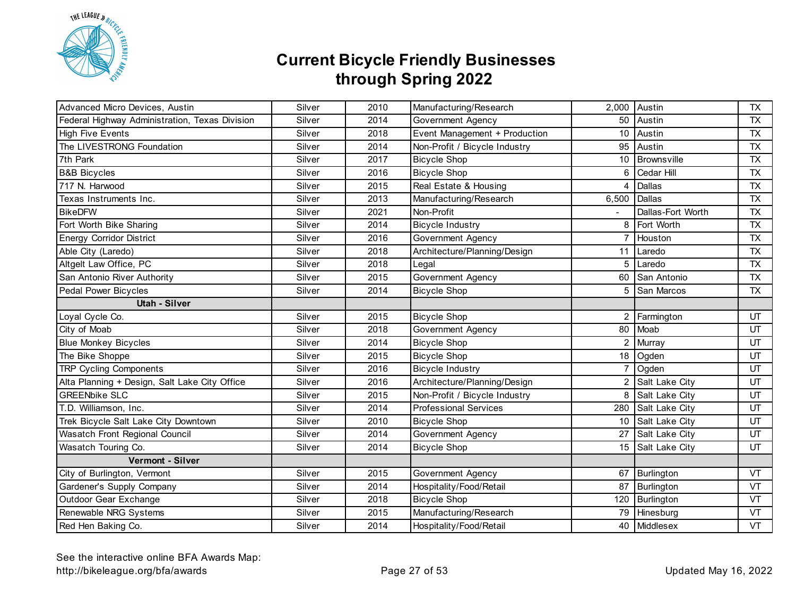

| Advanced Micro Devices, Austin                 | Silver | 2010 | Manufacturing/Research        | 2,000          | Austin            | <b>TX</b>  |
|------------------------------------------------|--------|------|-------------------------------|----------------|-------------------|------------|
| Federal Highway Administration, Texas Division | Silver | 2014 | Government Agency             | 50             | Austin            | TX         |
| <b>High Five Events</b>                        | Silver | 2018 | Event Management + Production | 10             | Austin            | <b>TX</b>  |
| The LIVESTRONG Foundation                      | Silver | 2014 | Non-Profit / Bicycle Industry | 95             | Austin            | <b>TX</b>  |
| 7th Park                                       | Silver | 2017 | <b>Bicycle Shop</b>           | 10             | Brownsville       | <b>TX</b>  |
| <b>B&amp;B Bicycles</b>                        | Silver | 2016 | <b>Bicycle Shop</b>           | 6              | Cedar Hill        | <b>TX</b>  |
| 717 N. Harwood                                 | Silver | 2015 | Real Estate & Housing         | 4              | Dallas            | <b>TX</b>  |
| Texas Instruments Inc.                         | Silver | 2013 | Manufacturing/Research        | 6,500          | Dallas            | <b>TX</b>  |
| <b>BikeDFW</b>                                 | Silver | 2021 | Non-Profit                    |                | Dallas-Fort Worth | TX         |
| Fort Worth Bike Sharing                        | Silver | 2014 | <b>Bicycle Industry</b>       | 8              | Fort Worth        | <b>TX</b>  |
| <b>Energy Corridor District</b>                | Silver | 2016 | <b>Government Agency</b>      | $\overline{7}$ | Houston           | <b>TX</b>  |
| Able City (Laredo)                             | Silver | 2018 | Architecture/Planning/Design  | 11             | Laredo            | <b>TX</b>  |
| Altgelt Law Office, PC                         | Silver | 2018 | Legal                         | 5              | Laredo            | <b>TX</b>  |
| San Antonio River Authority                    | Silver | 2015 | Government Agency             | 60             | San Antonio       | ${\sf TX}$ |
| Pedal Power Bicycles                           | Silver | 2014 | <b>Bicycle Shop</b>           | 5              | <b>San Marcos</b> | <b>TX</b>  |
| Utah - Silver                                  |        |      |                               |                |                   |            |
| Loyal Cycle Co.                                | Silver | 2015 | <b>Bicycle Shop</b>           | $\overline{2}$ | Farmington        | UT         |
| City of Moab                                   | Silver | 2018 | Government Agency             | 80             | Moab              | UT         |
| <b>Blue Monkey Bicycles</b>                    | Silver | 2014 | <b>Bicycle Shop</b>           | 2              | Murray            | UT         |
| The Bike Shoppe                                | Silver | 2015 | <b>Bicycle Shop</b>           | 18             | Ogden             | UT         |
| <b>TRP Cycling Components</b>                  | Silver | 2016 | <b>Bicycle Industry</b>       | 7              | Ogden             | UT         |
| Alta Planning + Design, Salt Lake City Office  | Silver | 2016 | Architecture/Planning/Design  | 2              | Salt Lake City    | UT         |
| <b>GREENbike SLC</b>                           | Silver | 2015 | Non-Profit / Bicycle Industry | 8              | Salt Lake City    | UT         |
| T.D. Williamson, Inc.                          | Silver | 2014 | <b>Professional Services</b>  | 280            | Salt Lake City    | UT         |
| Trek Bicycle Salt Lake City Downtown           | Silver | 2010 | <b>Bicycle Shop</b>           |                | 10 Salt Lake City | UT         |
| Wasatch Front Regional Council                 | Silver | 2014 | Government Agency             | 27             | Salt Lake City    | UT         |
| Wasatch Touring Co.                            | Silver | 2014 | <b>Bicycle Shop</b>           | 15             | Salt Lake City    | UT         |
| Vermont - Silver                               |        |      |                               |                |                   |            |
| City of Burlington, Vermont                    | Silver | 2015 | Government Agency             | 67             | Burlington        | <b>VT</b>  |
| Gardener's Supply Company                      | Silver | 2014 | Hospitality/Food/Retail       | 87             | Burlington        | VT         |
| Outdoor Gear Exchange                          | Silver | 2018 | <b>Bicycle Shop</b>           | 120            | Burlington        | <b>VT</b>  |
| Renewable NRG Systems                          | Silver | 2015 | Manufacturing/Research        | 79             | Hinesburg         | <b>VT</b>  |
| Red Hen Baking Co.                             | Silver | 2014 | Hospitality/Food/Retail       |                | 40 Middlesex      | VT         |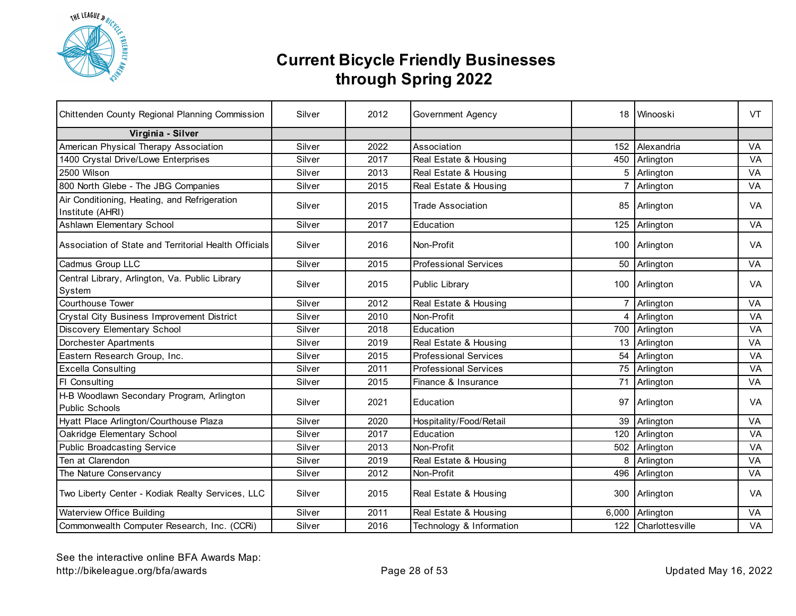

| Chittenden County Regional Planning Commission                   | Silver | 2012 | Government Agency            |                | 18 Winooski         | VT.       |
|------------------------------------------------------------------|--------|------|------------------------------|----------------|---------------------|-----------|
| Virginia - Silver                                                |        |      |                              |                |                     |           |
| American Physical Therapy Association                            | Silver | 2022 | Association                  | 152            | Alexandria          | VA        |
| 1400 Crystal Drive/Lowe Enterprises                              | Silver | 2017 | Real Estate & Housing        | 450            | Arlington           | VA        |
| 2500 Wilson                                                      | Silver | 2013 | Real Estate & Housing        | 5              | Arlington           | VA        |
| 800 North Glebe - The JBG Companies                              | Silver | 2015 | Real Estate & Housing        | $\overline{7}$ | Arlington           | VA        |
| Air Conditioning, Heating, and Refrigeration<br>Institute (AHRI) | Silver | 2015 | <b>Trade Association</b>     |                | 85 Arlington        | <b>VA</b> |
| Ashlawn Elementary School                                        | Silver | 2017 | Education                    |                | 125 Arlington       | VA        |
| Association of State and Territorial Health Officials            | Silver | 2016 | Non-Profit                   |                | 100 Arlington       | <b>VA</b> |
| Cadmus Group LLC                                                 | Silver | 2015 | <b>Professional Services</b> |                | 50 Arlington        | VA        |
| Central Library, Arlington, Va. Public Library<br>System         | Silver | 2015 | Public Library               |                | 100 Arlington       | <b>VA</b> |
| <b>Courthouse Tower</b>                                          | Silver | 2012 | Real Estate & Housing        |                | 7 Arlington         | <b>VA</b> |
| Crystal City Business Improvement District                       | Silver | 2010 | Non-Profit                   | 4              | Arlington           | VA        |
| Discovery Elementary School                                      | Silver | 2018 | Education                    |                | 700 Arlington       | VA        |
| <b>Dorchester Apartments</b>                                     | Silver | 2019 | Real Estate & Housing        |                | 13 Arlington        | <b>VA</b> |
| Eastern Research Group, Inc.                                     | Silver | 2015 | <b>Professional Services</b> | 54             | Arlington           | VA        |
| <b>Excella Consulting</b>                                        | Silver | 2011 | <b>Professional Services</b> |                | 75 Arlington        | VA        |
| FI Consulting                                                    | Silver | 2015 | Finance & Insurance          |                | 71 Arlington        | VA        |
| H-B Woodlawn Secondary Program, Arlington<br>Public Schools      | Silver | 2021 | Education                    |                | 97 Arlington        | <b>VA</b> |
| Hyatt Place Arlington/Courthouse Plaza                           | Silver | 2020 | Hospitality/Food/Retail      |                | 39 Arlington        | VA        |
| Oakridge Elementary School                                       | Silver | 2017 | Education                    | 120            | Arlington           | VA        |
| <b>Public Broadcasting Service</b>                               | Silver | 2013 | Non-Profit                   | 502            | Arlington           | VA        |
| Ten at Clarendon                                                 | Silver | 2019 | Real Estate & Housing        | 8              | Arlington           | VA        |
| The Nature Conservancy                                           | Silver | 2012 | Non-Profit                   | 496            | Arlington           | VA        |
| Two Liberty Center - Kodiak Realty Services, LLC                 | Silver | 2015 | Real Estate & Housing        |                | 300 Arlington       | VA.       |
| Waterview Office Building                                        | Silver | 2011 | Real Estate & Housing        |                | 6,000 Arlington     | VA        |
| Commonwealth Computer Research, Inc. (CCRi)                      | Silver | 2016 | Technology & Information     |                | 122 Charlottesville | VA        |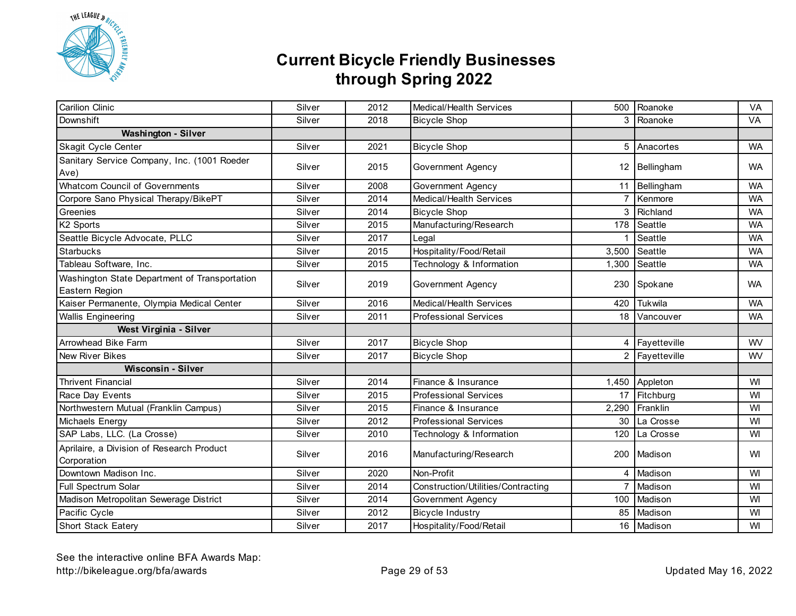

| <b>Carilion Clinic</b>                                          | Silver | 2012 | Medical/Health Services            |                | 500 Roanoke            | VA        |
|-----------------------------------------------------------------|--------|------|------------------------------------|----------------|------------------------|-----------|
| Downshift                                                       | Silver | 2018 | <b>Bicycle Shop</b>                |                | $\overline{3}$ Roanoke | <b>VA</b> |
| <b>Washington - Silver</b>                                      |        |      |                                    |                |                        |           |
| Skagit Cycle Center                                             | Silver | 2021 | <b>Bicycle Shop</b>                |                | 5 Anacortes            | <b>WA</b> |
| Sanitary Service Company, Inc. (1001 Roeder<br>Ave)             | Silver | 2015 | Government Agency                  |                | 12 Bellingham          | <b>WA</b> |
| <b>Whatcom Council of Governments</b>                           | Silver | 2008 | <b>Government Agency</b>           | 11             | Bellingham             | <b>WA</b> |
| Corpore Sano Physical Therapy/BikePT                            | Silver | 2014 | Medical/Health Services            | $\overline{7}$ | Kenmore                | <b>WA</b> |
| Greenies                                                        | Silver | 2014 | <b>Bicycle Shop</b>                | 3              | Richland               | <b>WA</b> |
| K2 Sports                                                       | Silver | 2015 | Manufacturing/Research             | 178            | Seattle                | <b>WA</b> |
| Seattle Bicycle Advocate, PLLC                                  | Silver | 2017 | Legal                              |                | Seattle                | <b>WA</b> |
| <b>Starbucks</b>                                                | Silver | 2015 | Hospitality/Food/Retail            | 3,500          | Seattle                | <b>WA</b> |
| Tableau Software, Inc.                                          | Silver | 2015 | Technology & Information           | 1,300          | Seattle                | <b>WA</b> |
| Washington State Department of Transportation<br>Eastern Region | Silver | 2019 | Government Agency                  |                | 230 Spokane            | <b>WA</b> |
| Kaiser Permanente, Olympia Medical Center                       | Silver | 2016 | Medical/Health Services            | 420            | Tukwila                | <b>WA</b> |
| <b>Wallis Engineering</b>                                       | Silver | 2011 | <b>Professional Services</b>       |                | 18 Vancouver           | <b>WA</b> |
| West Virginia - Silver                                          |        |      |                                    |                |                        |           |
| Arrowhead Bike Farm                                             | Silver | 2017 | <b>Bicycle Shop</b>                | 4              | Fayetteville           | WV        |
| <b>New River Bikes</b>                                          | Silver | 2017 | <b>Bicycle Shop</b>                | 2              | Fayetteville           | <b>WV</b> |
| <b>Wisconsin - Silver</b>                                       |        |      |                                    |                |                        |           |
| <b>Thrivent Financial</b>                                       | Silver | 2014 | Finance & Insurance                | 1,450          | Appleton               | WI        |
| Race Day Events                                                 | Silver | 2015 | <b>Professional Services</b>       | 17             | Fitchburg              | WI        |
| Northwestern Mutual (Franklin Campus)                           | Silver | 2015 | Finance & Insurance                | 2,290          | Franklin               | WI        |
| Michaels Energy                                                 | Silver | 2012 | <b>Professional Services</b>       | 30             | La Crosse              | WI        |
| SAP Labs, LLC. (La Crosse)                                      | Silver | 2010 | Technology & Information           | 120            | La Crosse              | WI        |
| Aprilaire, a Division of Research Product<br>Corporation        | Silver | 2016 | Manufacturing/Research             |                | 200 Madison            | WI        |
| Downtown Madison Inc.                                           | Silver | 2020 | Non-Profit                         | 4              | Madison                | WI        |
| Full Spectrum Solar                                             | Silver | 2014 | Construction/Utilities/Contracting |                | 7 Madison              | WI        |
| Madison Metropolitan Sewerage District                          | Silver | 2014 | Government Agency                  |                | 100 Madison            | WI        |
| Pacific Cycle                                                   | Silver | 2012 | <b>Bicycle Industry</b>            | 85             | Madison                | WI        |
| Short Stack Eatery                                              | Silver | 2017 | Hospitality/Food/Retail            |                | 16 Madison             | WI        |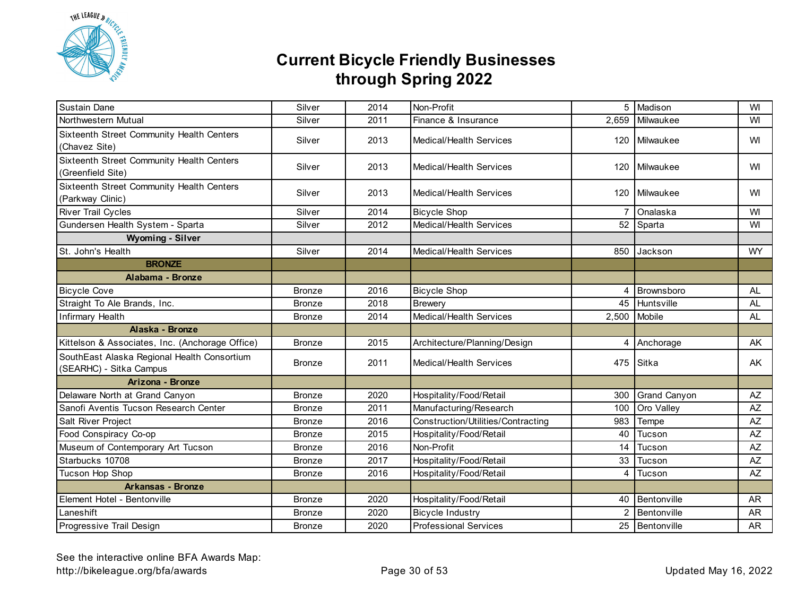

| Sustain Dane                                                           | Silver        | 2014 | Non-Profit                         |       | 5 Madison           | WI        |
|------------------------------------------------------------------------|---------------|------|------------------------------------|-------|---------------------|-----------|
| Northwestern Mutual                                                    | Silver        | 2011 | Finance & Insurance                | 2,659 | Milwaukee           | WI        |
| Sixteenth Street Community Health Centers<br>(Chavez Site)             | Silver        | 2013 | Medical/Health Services            |       | 120 Milwaukee       | WI        |
| Sixteenth Street Community Health Centers<br>(Greenfield Site)         | Silver        | 2013 | Medical/Health Services            |       | 120 Milwaukee       | WI        |
| Sixteenth Street Community Health Centers<br>(Parkway Clinic)          | Silver        | 2013 | Medical/Health Services            |       | 120 Milwaukee       | WI        |
| River Trail Cycles                                                     | Silver        | 2014 | <b>Bicycle Shop</b>                |       | Onalaska            | WI        |
| Gundersen Health System - Sparta                                       | Silver        | 2012 | Medical/Health Services            |       | 52 Sparta           | WI        |
| <b>Wyoming - Silver</b>                                                |               |      |                                    |       |                     |           |
| St. John's Health                                                      | Silver        | 2014 | <b>Medical/Health Services</b>     | 850   | Jackson             | <b>WY</b> |
| <b>BRONZE</b>                                                          |               |      |                                    |       |                     |           |
| Alabama - Bronze                                                       |               |      |                                    |       |                     |           |
| <b>Bicycle Cove</b>                                                    | <b>Bronze</b> | 2016 | <b>Bicycle Shop</b>                | 4     | Brownsboro          | <b>AL</b> |
| Straight To Ale Brands, Inc.                                           | <b>Bronze</b> | 2018 | <b>Brewery</b>                     | 45    | Huntsville          | <b>AL</b> |
| Infirmary Health                                                       | <b>Bronze</b> | 2014 | Medical/Health Services            | 2,500 | Mobile              | <b>AL</b> |
| Alaska - Bronze                                                        |               |      |                                    |       |                     |           |
| Kittelson & Associates, Inc. (Anchorage Office)                        | <b>Bronze</b> | 2015 | Architecture/Planning/Design       |       | 4 Anchorage         | AK.       |
| SouthEast Alaska Regional Health Consortium<br>(SEARHC) - Sitka Campus | <b>Bronze</b> | 2011 | Medical/Health Services            | 475   | Sitka               | AK.       |
| Arizona - Bronze                                                       |               |      |                                    |       |                     |           |
| Delaware North at Grand Canyon                                         | <b>Bronze</b> | 2020 | Hospitality/Food/Retail            | 300   | <b>Grand Canyon</b> | $A\!Z$    |
| Sanofi Aventis Tucson Research Center                                  | <b>Bronze</b> | 2011 | Manufacturing/Research             | 100   | Oro Valley          | $A\!Z$    |
| Salt River Project                                                     | <b>Bronze</b> | 2016 | Construction/Utilities/Contracting | 983   | Tempe               | AZ        |
| Food Conspiracy Co-op                                                  | <b>Bronze</b> | 2015 | Hospitality/Food/Retail            | 40    | Tucson              | AZ        |
| Museum of Contemporary Art Tucson                                      | <b>Bronze</b> | 2016 | Non-Profit                         | 14    | Tucson              | $A\!Z$    |
| Starbucks 10708                                                        | <b>Bronze</b> | 2017 | Hospitality/Food/Retail            | 33    | Tucson              | AZ        |
| Tucson Hop Shop                                                        | <b>Bronze</b> | 2016 | Hospitality/Food/Retail            | 4     | Tucson              | <b>AZ</b> |
| <b>Arkansas - Bronze</b>                                               |               |      |                                    |       |                     |           |
| Element Hotel - Bentonville                                            | <b>Bronze</b> | 2020 | Hospitality/Food/Retail            | 40    | Bentonville         | AR        |
| Laneshift                                                              | <b>Bronze</b> | 2020 | <b>Bicycle Industry</b>            | 2     | Bentonville         | <b>AR</b> |
| Progressive Trail Design                                               | <b>Bronze</b> | 2020 | <b>Professional Services</b>       |       | 25 Bentonville      | <b>AR</b> |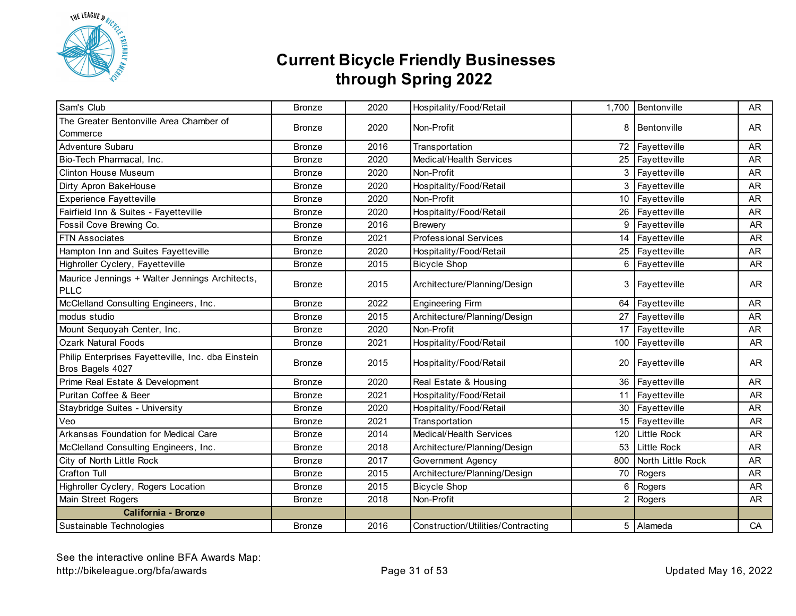

| Sam's Club                                                             | <b>Bronze</b> | 2020 | Hospitality/Food/Retail            |     | 1,700 Bentonville  | <b>AR</b> |
|------------------------------------------------------------------------|---------------|------|------------------------------------|-----|--------------------|-----------|
| The Greater Bentonville Area Chamber of<br>Commerce                    | <b>Bronze</b> | 2020 | Non-Profit                         | 8   | Bentonville        | AR        |
| Adventure Subaru                                                       | <b>Bronze</b> | 2016 | Transportation                     |     | 72 Fayetteville    | <b>AR</b> |
| Bio-Tech Pharmacal, Inc.                                               | <b>Bronze</b> | 2020 | Medical/Health Services            |     | 25 Fayetteville    | <b>AR</b> |
| <b>Clinton House Museum</b>                                            | <b>Bronze</b> | 2020 | Non-Profit                         |     | 3 Fayetteville     | <b>AR</b> |
| Dirty Apron BakeHouse                                                  | <b>Bronze</b> | 2020 | Hospitality/Food/Retail            |     | 3 Fayetteville     | <b>AR</b> |
| <b>Experience Fayetteville</b>                                         | <b>Bronze</b> | 2020 | Non-Profit                         |     | 10 Fayetteville    | <b>AR</b> |
| Fairfield Inn & Suites - Fayetteville                                  | <b>Bronze</b> | 2020 | Hospitality/Food/Retail            |     | 26 Fayetteville    | <b>AR</b> |
| Fossil Cove Brewing Co.                                                | <b>Bronze</b> | 2016 | <b>Brewery</b>                     |     | 9 Fayetteville     | <b>AR</b> |
| <b>FTN Associates</b>                                                  | <b>Bronze</b> | 2021 | <b>Professional Services</b>       | 14  | Fayetteville       | <b>AR</b> |
| Hampton Inn and Suites Fayetteville                                    | <b>Bronze</b> | 2020 | Hospitality/Food/Retail            |     | 25 Fayetteville    | <b>AR</b> |
| Highroller Cyclery, Fayetteville                                       | <b>Bronze</b> | 2015 | <b>Bicycle Shop</b>                | 6   | Fayetteville       | AR        |
| Maurice Jennings + Walter Jennings Architects,<br><b>PLLC</b>          | <b>Bronze</b> | 2015 | Architecture/Planning/Design       |     | 3 Fayetteville     | AR        |
| McClelland Consulting Engineers, Inc.                                  | <b>Bronze</b> | 2022 | <b>Engineering Firm</b>            |     | 64 Fayetteville    | <b>AR</b> |
| modus studio                                                           | <b>Bronze</b> | 2015 | Architecture/Planning/Design       |     | 27 Fayetteville    | <b>AR</b> |
| Mount Sequoyah Center, Inc.                                            | <b>Bronze</b> | 2020 | Non-Profit                         |     | 17 Fayetteville    | <b>AR</b> |
| <b>Ozark Natural Foods</b>                                             | <b>Bronze</b> | 2021 | Hospitality/Food/Retail            |     | 100 Fayetteville   | <b>AR</b> |
| Philip Enterprises Fayetteville, Inc. dba Einstein<br>Bros Bagels 4027 | <b>Bronze</b> | 2015 | Hospitality/Food/Retail            |     | 20 Fayetteville    | <b>AR</b> |
| Prime Real Estate & Development                                        | <b>Bronze</b> | 2020 | Real Estate & Housing              |     | 36 Fayetteville    | <b>AR</b> |
| Puritan Coffee & Beer                                                  | <b>Bronze</b> | 2021 | Hospitality/Food/Retail            |     | 11 Fayetteville    | <b>AR</b> |
| Staybridge Suites - University                                         | <b>Bronze</b> | 2020 | Hospitality/Food/Retail            |     | 30 Fayetteville    | <b>AR</b> |
| Veo                                                                    | <b>Bronze</b> | 2021 | Transportation                     |     | 15 Fayetteville    | <b>AR</b> |
| Arkansas Foundation for Medical Care                                   | <b>Bronze</b> | 2014 | Medical/Health Services            |     | 120 Little Rock    | <b>AR</b> |
| McClelland Consulting Engineers, Inc.                                  | <b>Bronze</b> | 2018 | Architecture/Planning/Design       | 53  | <b>Little Rock</b> | <b>AR</b> |
| City of North Little Rock                                              | <b>Bronze</b> | 2017 | Government Agency                  | 800 | North Little Rock  | <b>AR</b> |
| <b>Crafton Tull</b>                                                    | Bronze        | 2015 | Architecture/Planning/Design       | 70  | Rogers             | <b>AR</b> |
| Highroller Cyclery, Rogers Location                                    | <b>Bronze</b> | 2015 | <b>Bicycle Shop</b>                | 6   | Rogers             | <b>AR</b> |
| Main Street Rogers                                                     | <b>Bronze</b> | 2018 | Non-Profit                         |     | 2 Rogers           | <b>AR</b> |
| California - Bronze                                                    |               |      |                                    |     |                    |           |
| Sustainable Technologies                                               | <b>Bronze</b> | 2016 | Construction/Utilities/Contracting |     | 5 Alameda          | CA        |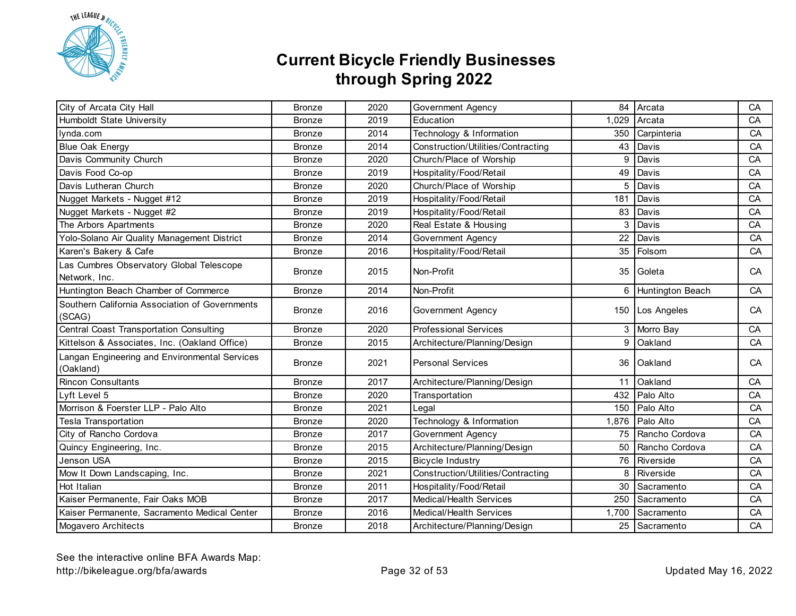

| City of Arcata City Hall                                   | <b>Bronze</b> | 2020 | Government Agency                  | 84    | Arcata                  | CA |
|------------------------------------------------------------|---------------|------|------------------------------------|-------|-------------------------|----|
| Humboldt State University                                  | <b>Bronze</b> | 2019 | Education                          | 1,029 | Arcata                  | CA |
| lynda.com                                                  | <b>Bronze</b> | 2014 | Technology & Information           | 350   | Carpinteria             | CA |
| <b>Blue Oak Energy</b>                                     | <b>Bronze</b> | 2014 | Construction/Utilities/Contracting | 43    | Davis                   | CA |
| Davis Community Church                                     | <b>Bronze</b> | 2020 | Church/Place of Worship            | 9     | Davis                   | CA |
| Davis Food Co-op                                           | <b>Bronze</b> | 2019 | Hospitality/Food/Retail            | 49    | Davis                   | CA |
| Davis Lutheran Church                                      | <b>Bronze</b> | 2020 | Church/Place of Worship            | 5     | Davis                   | CA |
| Nugget Markets - Nugget #12                                | <b>Bronze</b> | 2019 | Hospitality/Food/Retail            | 181   | Davis                   | CA |
| Nugget Markets - Nugget #2                                 | <b>Bronze</b> | 2019 | Hospitality/Food/Retail            | 83    | Davis                   | CA |
| The Arbors Apartments                                      | <b>Bronze</b> | 2020 | Real Estate & Housing              | 3     | Davis                   | CA |
| Yolo-Solano Air Quality Management District                | <b>Bronze</b> | 2014 | Government Agency                  | 22    | Davis                   | CA |
| Karen's Bakery & Cafe                                      | <b>Bronze</b> | 2016 | Hospitality/Food/Retail            | 35    | Folsom                  | CA |
| Las Cumbres Observatory Global Telescope<br>Network, Inc.  | <b>Bronze</b> | 2015 | Non-Profit                         |       | 35 Goleta               | CA |
| Huntington Beach Chamber of Commerce                       | <b>Bronze</b> | 2014 | Non-Profit                         | 6     | <b>Huntington Beach</b> | CA |
| Southern California Association of Governments<br>(SCAG)   | <b>Bronze</b> | 2016 | Government Agency                  |       | 150 Los Angeles         | CA |
| Central Coast Transportation Consulting                    | <b>Bronze</b> | 2020 | <b>Professional Services</b>       |       | 3 Morro Bay             | CA |
| Kittelson & Associates, Inc. (Oakland Office)              | <b>Bronze</b> | 2015 | Architecture/Planning/Design       | 9     | Oakland                 | CA |
| Langan Engineering and Environmental Services<br>(Oakland) | <b>Bronze</b> | 2021 | <b>Personal Services</b>           |       | 36 Oakland              | CA |
| <b>Rincon Consultants</b>                                  | <b>Bronze</b> | 2017 | Architecture/Planning/Design       | 11    | Oakland                 | CA |
| Lyft Level 5                                               | <b>Bronze</b> | 2020 | Transportation                     |       | 432 Palo Alto           | CA |
| Morrison & Foerster LLP - Palo Alto                        | <b>Bronze</b> | 2021 | Legal                              | 150   | Palo Alto               | CA |
| <b>Tesla Transportation</b>                                | <b>Bronze</b> | 2020 | Technology & Information           | 1,876 | Palo Alto               | CA |
| City of Rancho Cordova                                     | <b>Bronze</b> | 2017 | Government Agency                  | 75    | Rancho Cordova          | CA |
| Quincy Engineering, Inc.                                   | <b>Bronze</b> | 2015 | Architecture/Planning/Design       | 50    | Rancho Cordova          | CA |
| Jenson USA                                                 | <b>Bronze</b> | 2015 | <b>Bicycle Industry</b>            | 76    | Riverside               | CA |
| Mow It Down Landscaping, Inc.                              | <b>Bronze</b> | 2021 | Construction/Utilities/Contracting | 8     | Riverside               | CA |
| Hot Italian                                                | <b>Bronze</b> | 2011 | Hospitality/Food/Retail            | 30    | Sacramento              | CA |
| Kaiser Permanente, Fair Oaks MOB                           | <b>Bronze</b> | 2017 | Medical/Health Services            | 250   | Sacramento              | CA |
| Kaiser Permanente, Sacramento Medical Center               | <b>Bronze</b> | 2016 | <b>Medical/Health Services</b>     | 1,700 | Sacramento              | CA |
| <b>Mogavero Architects</b>                                 | <b>Bronze</b> | 2018 | Architecture/Planning/Design       |       | 25 Sacramento           | CA |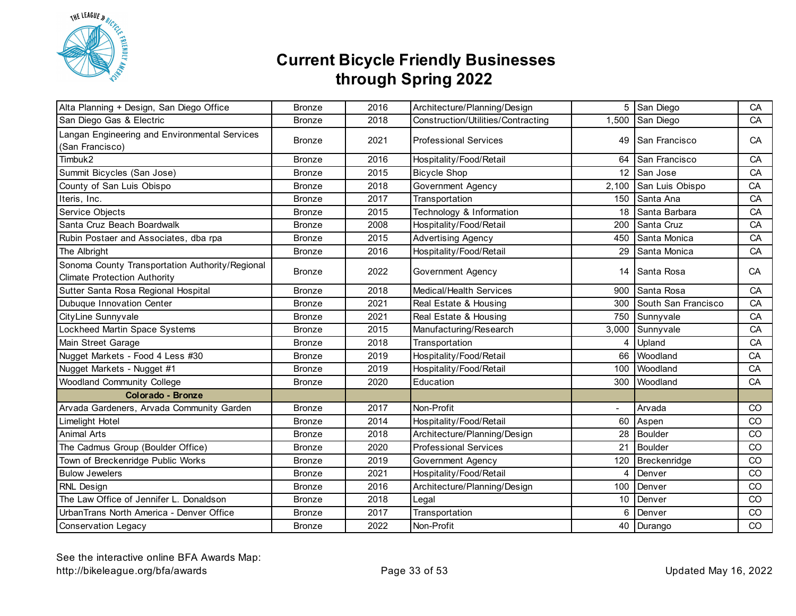

| Alta Planning + Design, San Diego Office                                               | <b>Bronze</b> | 2016 | Architecture/Planning/Design       |                | 5 San Diego         | CA            |
|----------------------------------------------------------------------------------------|---------------|------|------------------------------------|----------------|---------------------|---------------|
| San Diego Gas & Electric                                                               | <b>Bronze</b> | 2018 | Construction/Utilities/Contracting |                | 1,500 San Diego     | CA            |
| Langan Engineering and Environmental Services<br>(San Francisco)                       | <b>Bronze</b> | 2021 | <b>Professional Services</b>       | 49             | San Francisco       | CA            |
| Timbuk2                                                                                | <b>Bronze</b> | 2016 | Hospitality/Food/Retail            |                | 64 San Francisco    | CA            |
| Summit Bicycles (San Jose)                                                             | <b>Bronze</b> | 2015 | <b>Bicycle Shop</b>                |                | 12 San Jose         | CA            |
| County of San Luis Obispo                                                              | <b>Bronze</b> | 2018 | <b>Government Agency</b>           | 2,100          | San Luis Obispo     | CA            |
| Iteris, Inc.                                                                           | <b>Bronze</b> | 2017 | Transportation                     | 150            | Santa Ana           | CA            |
| Service Objects                                                                        | <b>Bronze</b> | 2015 | Technology & Information           | 18             | Santa Barbara       | CA            |
| Santa Cruz Beach Boardwalk                                                             | <b>Bronze</b> | 2008 | Hospitality/Food/Retail            | 200            | Santa Cruz          | CA            |
| Rubin Postaer and Associates, dba rpa                                                  | <b>Bronze</b> | 2015 | <b>Advertising Agency</b>          | 450            | Santa Monica        | CA            |
| The Albright                                                                           | <b>Bronze</b> | 2016 | Hospitality/Food/Retail            | 29             | Santa Monica        | CA            |
| Sonoma County Transportation Authority/Regional<br><b>Climate Protection Authority</b> | <b>Bronze</b> | 2022 | Government Agency                  | 14             | Santa Rosa          | CA            |
| Sutter Santa Rosa Regional Hospital                                                    | <b>Bronze</b> | 2018 | Medical/Health Services            | 900            | Santa Rosa          | CA            |
| Dubuque Innovation Center                                                              | <b>Bronze</b> | 2021 | Real Estate & Housing              | 300            | South San Francisco | CA            |
| CityLine Sunnyvale                                                                     | <b>Bronze</b> | 2021 | Real Estate & Housing              |                | 750 Sunnyvale       | CA            |
| Lockheed Martin Space Systems                                                          | <b>Bronze</b> | 2015 | Manufacturing/Research             | 3,000          | Sunnyvale           | CA            |
| Main Street Garage                                                                     | <b>Bronze</b> | 2018 | Transportation                     | 4              | Upland              | CA            |
| Nugget Markets - Food 4 Less #30                                                       | <b>Bronze</b> | 2019 | Hospitality/Food/Retail            | 66             | Woodland            | CA            |
| Nugget Markets - Nugget #1                                                             | <b>Bronze</b> | 2019 | Hospitality/Food/Retail            | 100            | Woodland            | CA            |
| <b>Woodland Community College</b>                                                      | <b>Bronze</b> | 2020 | Education                          | 300            | Woodland            | CA            |
| <b>Colorado - Bronze</b>                                                               |               |      |                                    |                |                     |               |
| Arvada Gardeners, Arvada Community Garden                                              | <b>Bronze</b> | 2017 | Non-Profit                         | $\blacksquare$ | Arvada              | <sub>CO</sub> |
| Limelight Hotel                                                                        | <b>Bronze</b> | 2014 | Hospitality/Food/Retail            | 60             | Aspen               | CO            |
| <b>Animal Arts</b>                                                                     | <b>Bronze</b> | 2018 | Architecture/Planning/Design       | 28             | <b>Boulder</b>      | CO            |
| The Cadmus Group (Boulder Office)                                                      | <b>Bronze</b> | 2020 | <b>Professional Services</b>       | 21             | <b>Boulder</b>      | CO            |
| Town of Breckenridge Public Works                                                      | <b>Bronze</b> | 2019 | Government Agency                  | 120            | Breckenridge        | CO            |
| <b>Bulow Jewelers</b>                                                                  | <b>Bronze</b> | 2021 | Hospitality/Food/Retail            | 4              | Denver              | CO            |
| RNL Design                                                                             | <b>Bronze</b> | 2016 | Architecture/Planning/Design       | 100            | Denver              | CO            |
| The Law Office of Jennifer L. Donaldson                                                | <b>Bronze</b> | 2018 | Legal                              | 10             | Denver              | CO            |
| UrbanTrans North America - Denver Office                                               | <b>Bronze</b> | 2017 | Transportation                     | 6              | Denver              | CO            |
| <b>Conservation Legacy</b>                                                             | <b>Bronze</b> | 2022 | Non-Profit                         |                | 40 Durango          | CO            |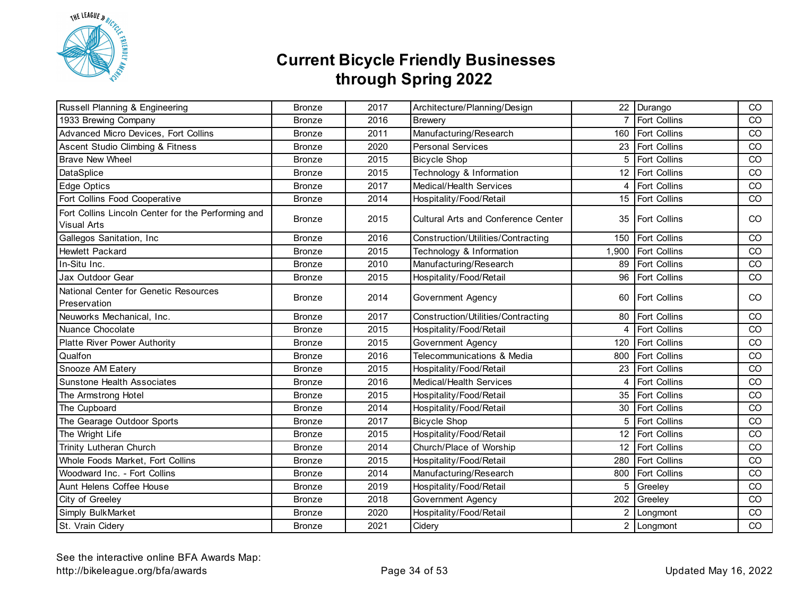

| Russell Planning & Engineering                                           | <b>Bronze</b> | 2017 | Architecture/Planning/Design               |       | 22 Durango          | CO            |
|--------------------------------------------------------------------------|---------------|------|--------------------------------------------|-------|---------------------|---------------|
| 1933 Brewing Company                                                     | <b>Bronze</b> | 2016 | <b>Brewery</b>                             |       | Fort Collins        | CO            |
| Advanced Micro Devices, Fort Collins                                     | <b>Bronze</b> | 2011 | Manufacturing/Research                     | 160   | Fort Collins        | CO            |
| Ascent Studio Climbing & Fitness                                         | <b>Bronze</b> | 2020 | <b>Personal Services</b>                   |       | 23 Fort Collins     | CO            |
| <b>Brave New Wheel</b>                                                   | <b>Bronze</b> | 2015 | <b>Bicycle Shop</b>                        | 5     | Fort Collins        | CO            |
| DataSplice                                                               | <b>Bronze</b> | 2015 | Technology & Information                   |       | 12 Fort Collins     | CO            |
| Edge Optics                                                              | <b>Bronze</b> | 2017 | Medical/Health Services                    | 4     | <b>Fort Collins</b> | CO            |
| Fort Collins Food Cooperative                                            | <b>Bronze</b> | 2014 | Hospitality/Food/Retail                    |       | 15 Fort Collins     | CO            |
| Fort Collins Lincoln Center for the Performing and<br><b>Visual Arts</b> | <b>Bronze</b> | 2015 | <b>Cultural Arts and Conference Center</b> |       | 35   Fort Collins   | <sub>CO</sub> |
| Gallegos Sanitation, Inc                                                 | <b>Bronze</b> | 2016 | Construction/Utilities/Contracting         | 150   | Fort Collins        | CO            |
| <b>Hewlett Packard</b>                                                   | <b>Bronze</b> | 2015 | Technology & Information                   | 1,900 | Fort Collins        | CO            |
| In-Situ Inc.                                                             | <b>Bronze</b> | 2010 | Manufacturing/Research                     | 89    | <b>Fort Collins</b> | CO            |
| Jax Outdoor Gear                                                         | <b>Bronze</b> | 2015 | Hospitality/Food/Retail                    | 96    | Fort Collins        | CO            |
| National Center for Genetic Resources<br>Preservation                    | <b>Bronze</b> | 2014 | Government Agency                          |       | 60   Fort Collins   | <sub>CO</sub> |
| Neuworks Mechanical, Inc.                                                | <b>Bronze</b> | 2017 | Construction/Utilities/Contracting         | 80    | <b>Fort Collins</b> | <sub>CO</sub> |
| Nuance Chocolate                                                         | <b>Bronze</b> | 2015 | Hospitality/Food/Retail                    | 4     | Fort Collins        | CO            |
| Platte River Power Authority                                             | <b>Bronze</b> | 2015 | Government Agency                          | 120   | <b>Fort Collins</b> | CO            |
| Qualfon                                                                  | <b>Bronze</b> | 2016 | Telecommunications & Media                 | 800   | <b>Fort Collins</b> | CO            |
| Snooze AM Eatery                                                         | <b>Bronze</b> | 2015 | Hospitality/Food/Retail                    |       | 23   Fort Collins   | CO            |
| <b>Sunstone Health Associates</b>                                        | <b>Bronze</b> | 2016 | Medical/Health Services                    | 4     | Fort Collins        | CO            |
| The Armstrong Hotel                                                      | <b>Bronze</b> | 2015 | Hospitality/Food/Retail                    |       | 35 Fort Collins     | CO            |
| The Cupboard                                                             | <b>Bronze</b> | 2014 | Hospitality/Food/Retail                    | 30    | Fort Collins        | CO            |
| The Gearage Outdoor Sports                                               | <b>Bronze</b> | 2017 | <b>Bicycle Shop</b>                        | 5     | Fort Collins        | CO            |
| The Wright Life                                                          | <b>Bronze</b> | 2015 | Hospitality/Food/Retail                    | 12    | Fort Collins        | CO            |
| Trinity Lutheran Church                                                  | <b>Bronze</b> | 2014 | Church/Place of Worship                    | 12    | Fort Collins        | CO            |
| Whole Foods Market, Fort Collins                                         | <b>Bronze</b> | 2015 | Hospitality/Food/Retail                    | 280   | Fort Collins        | CO            |
| Woodward Inc. - Fort Collins                                             | <b>Bronze</b> | 2014 | Manufacturing/Research                     | 800   | Fort Collins        | CO            |
| Aunt Helens Coffee House                                                 | <b>Bronze</b> | 2019 | Hospitality/Food/Retail                    | 5     | Greeley             | CO            |
| City of Greeley                                                          | <b>Bronze</b> | 2018 | Government Agency                          | 202   | Greeley             | CO            |
| Simply BulkMarket                                                        | <b>Bronze</b> | 2020 | Hospitality/Food/Retail                    | 2     | Longmont            | CO            |
| St. Vrain Cidery                                                         | <b>Bronze</b> | 2021 | Cidery                                     |       | 2 Longmont          | CO            |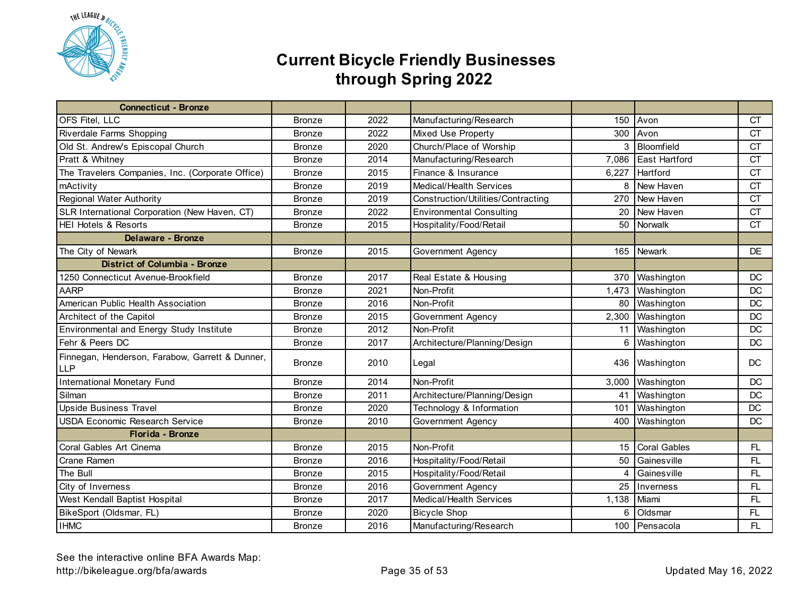

| <b>Connecticut - Bronze</b>                                   |               |      |                                    |       |                     |           |
|---------------------------------------------------------------|---------------|------|------------------------------------|-------|---------------------|-----------|
| OFS Fitel, LLC                                                | <b>Bronze</b> | 2022 | Manufacturing/Research             | 150   | Avon                | <b>CT</b> |
| Riverdale Farms Shopping                                      | <b>Bronze</b> | 2022 | <b>Mixed Use Property</b>          | 300   | Avon                | <b>CT</b> |
| Old St. Andrew's Episcopal Church                             | <b>Bronze</b> | 2020 | Church/Place of Worship            |       | 3 Bloomfield        | <b>CT</b> |
| Pratt & Whitney                                               | <b>Bronze</b> | 2014 | Manufacturing/Research             | 7,086 | East Hartford       | <b>CT</b> |
| The Travelers Companies, Inc. (Corporate Office)              | <b>Bronze</b> | 2015 | Finance & Insurance                | 6,227 | Hartford            | <b>CT</b> |
| mActivity                                                     | <b>Bronze</b> | 2019 | Medical/Health Services            | 8     | New Haven           | <b>CT</b> |
| <b>Regional Water Authority</b>                               | <b>Bronze</b> | 2019 | Construction/Utilities/Contracting |       | 270 New Haven       | <b>CT</b> |
| SLR International Corporation (New Haven, CT)                 | <b>Bronze</b> | 2022 | <b>Environmental Consulting</b>    | 20    | New Haven           | <b>CT</b> |
| <b>HEI Hotels &amp; Resorts</b>                               | <b>Bronze</b> | 2015 | Hospitality/Food/Retail            |       | 50 Norwalk          | <b>CT</b> |
| <b>Delaware - Bronze</b>                                      |               |      |                                    |       |                     |           |
| The City of Newark                                            | <b>Bronze</b> | 2015 | Government Agency                  |       | 165 Newark          | <b>DE</b> |
| <b>District of Columbia - Bronze</b>                          |               |      |                                    |       |                     |           |
| 1250 Connecticut Avenue-Brookfield                            | <b>Bronze</b> | 2017 | Real Estate & Housing              |       | 370 Washington      | DC        |
| <b>AARP</b>                                                   | <b>Bronze</b> | 2021 | Non-Profit                         |       | 1,473 Washington    | <b>DC</b> |
| American Public Health Association                            | <b>Bronze</b> | 2016 | Non-Profit                         | 80    | Washington          | DC        |
| Architect of the Capitol                                      | <b>Bronze</b> | 2015 | Government Agency                  | 2,300 | Washington          | DC        |
| Environmental and Energy Study Institute                      | <b>Bronze</b> | 2012 | Non-Profit                         | 11    | Washington          | DC        |
| Fehr & Peers DC                                               | <b>Bronze</b> | 2017 | Architecture/Planning/Design       | 6     | Washington          | <b>DC</b> |
| Finnegan, Henderson, Farabow, Garrett & Dunner,<br><b>LLP</b> | <b>Bronze</b> | 2010 | Legal                              |       | 436 Washington      | DC        |
| <b>International Monetary Fund</b>                            | <b>Bronze</b> | 2014 | Non-Profit                         | 3,000 | Washington          | <b>DC</b> |
| Silman                                                        | <b>Bronze</b> | 2011 | Architecture/Planning/Design       |       | 41 Washington       | <b>DC</b> |
| <b>Upside Business Travel</b>                                 | <b>Bronze</b> | 2020 | Technology & Information           | 101   | Washington          | DC        |
| <b>USDA Economic Research Service</b>                         | <b>Bronze</b> | 2010 | Government Agency                  | 400   | Washington          | DC        |
| Florida - Bronze                                              |               |      |                                    |       |                     |           |
| Coral Gables Art Cinema                                       | <b>Bronze</b> | 2015 | Non-Profit                         | 15    | <b>Coral Gables</b> | FL.       |
| Crane Ramen                                                   | <b>Bronze</b> | 2016 | Hospitality/Food/Retail            | 50    | Gainesville         | FL.       |
| The Bull                                                      | <b>Bronze</b> | 2015 | Hospitality/Food/Retail            | 4     | Gainesville         | FL.       |
| City of Inverness                                             | <b>Bronze</b> | 2016 | Government Agency                  | 25    | Inverness           | FL.       |
| West Kendall Baptist Hospital                                 | <b>Bronze</b> | 2017 | Medical/Health Services            | 1,138 | Miami               | FL.       |
| BikeSport (Oldsmar, FL)                                       | <b>Bronze</b> | 2020 | <b>Bicycle Shop</b>                | 6     | Oldsmar             | FL.       |
| <b>IHMC</b>                                                   | <b>Bronze</b> | 2016 | Manufacturing/Research             |       | 100 Pensacola       | FL        |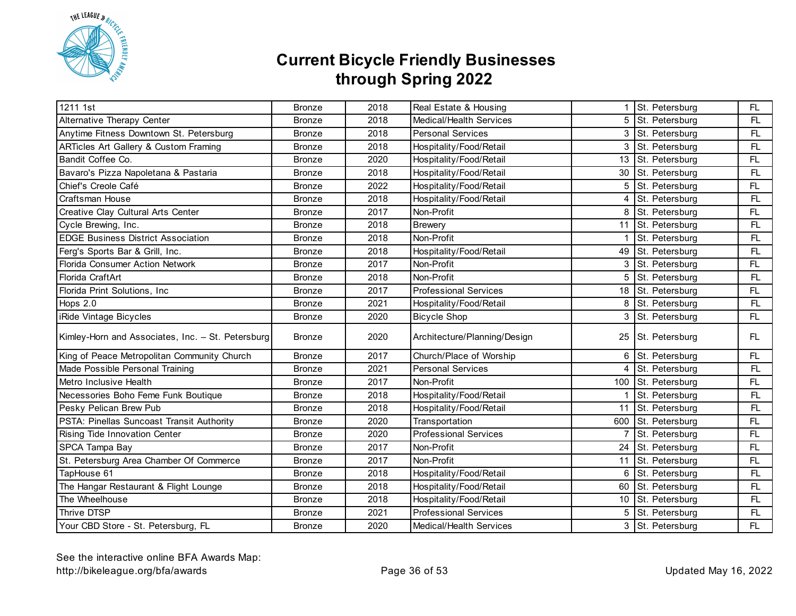

| 1211 1st                                          | <b>Bronze</b> | 2018 | Real Estate & Housing        |    | St. Petersburg     | FL  |
|---------------------------------------------------|---------------|------|------------------------------|----|--------------------|-----|
| Alternative Therapy Center                        | <b>Bronze</b> | 2018 | Medical/Health Services      |    | 5 St. Petersburg   | FL  |
| Anytime Fitness Downtown St. Petersburg           | <b>Bronze</b> | 2018 | <b>Personal Services</b>     |    | 3 St. Petersburg   | FL. |
| <b>ARTicles Art Gallery &amp; Custom Framing</b>  | <b>Bronze</b> | 2018 | Hospitality/Food/Retail      |    | 3 St. Petersburg   | FL. |
| Bandit Coffee Co.                                 | <b>Bronze</b> | 2020 | Hospitality/Food/Retail      | 13 | St. Petersburg     | FL  |
| Bavaro's Pizza Napoletana & Pastaria              | <b>Bronze</b> | 2018 | Hospitality/Food/Retail      | 30 | St. Petersburg     | FL. |
| Chief's Creole Café                               | <b>Bronze</b> | 2022 | Hospitality/Food/Retail      | 5  | St. Petersburg     | FL  |
| Craftsman House                                   | <b>Bronze</b> | 2018 | Hospitality/Food/Retail      | 4  | St. Petersburg     | FL. |
| Creative Clay Cultural Arts Center                | <b>Bronze</b> | 2017 | Non-Profit                   | 8  | St. Petersburg     | FL  |
| Cycle Brewing, Inc.                               | <b>Bronze</b> | 2018 | <b>Brewery</b>               |    | 11 St. Petersburg  | FL. |
| <b>EDGE Business District Association</b>         | <b>Bronze</b> | 2018 | Non-Profit                   |    | St. Petersburg     | FL. |
| Ferg's Sports Bar & Grill, Inc.                   | <b>Bronze</b> | 2018 | Hospitality/Food/Retail      |    | 49 St. Petersburg  | FL. |
| Florida Consumer Action Network                   | <b>Bronze</b> | 2017 | Non-Profit                   | 3  | St. Petersburg     | FL  |
| Florida CraftArt                                  | <b>Bronze</b> | 2018 | Non-Profit                   | 5  | St. Petersburg     | FL  |
| Florida Print Solutions, Inc                      | <b>Bronze</b> | 2017 | <b>Professional Services</b> |    | 18 St. Petersburg  | FL  |
| Hops $2.0$                                        | <b>Bronze</b> | 2021 | Hospitality/Food/Retail      | 8  | St. Petersburg     | FL. |
| iRide Vintage Bicycles                            | <b>Bronze</b> | 2020 | <b>Bicycle Shop</b>          |    | 3 St. Petersburg   | FL. |
| Kimley-Horn and Associates, Inc. - St. Petersburg | <b>Bronze</b> | 2020 | Architecture/Planning/Design | 25 | St. Petersburg     | FL. |
| King of Peace Metropolitan Community Church       | <b>Bronze</b> | 2017 | Church/Place of Worship      | 6  | St. Petersburg     | FL  |
| Made Possible Personal Training                   | <b>Bronze</b> | 2021 | <b>Personal Services</b>     | 4  | St. Petersburg     | FL. |
| Metro Inclusive Health                            | <b>Bronze</b> | 2017 | Non-Profit                   |    | 100 St. Petersburg | FL. |
| Necessories Boho Feme Funk Boutique               | <b>Bronze</b> | 2018 | Hospitality/Food/Retail      |    | St. Petersburg     | FL. |
| Pesky Pelican Brew Pub                            | <b>Bronze</b> | 2018 | Hospitality/Food/Retail      |    | 11 St. Petersburg  | FL. |
| PSTA: Pinellas Suncoast Transit Authority         | <b>Bronze</b> | 2020 | Transportation               |    | 600 St. Petersburg | FL  |
| Rising Tide Innovation Center                     | Bronze        | 2020 | <b>Professional Services</b> |    | St. Petersburg     | FL  |
| SPCA Tampa Bay                                    | <b>Bronze</b> | 2017 | Non-Profit                   | 24 | St. Petersburg     | FL  |
| St. Petersburg Area Chamber Of Commerce           | <b>Bronze</b> | 2017 | Non-Profit                   | 11 | St. Petersburg     | FL  |
| TapHouse 61                                       | <b>Bronze</b> | 2018 | Hospitality/Food/Retail      | 6  | St. Petersburg     | FL. |
| The Hangar Restaurant & Flight Lounge             | <b>Bronze</b> | 2018 | Hospitality/Food/Retail      | 60 | St. Petersburg     | FL. |
| The Wheelhouse                                    | <b>Bronze</b> | 2018 | Hospitality/Food/Retail      |    | 10 St. Petersburg  | FL. |
| Thrive DTSP                                       | <b>Bronze</b> | 2021 | <b>Professional Services</b> | 5  | St. Petersburg     | FL. |
| Your CBD Store - St. Petersburg, FL               | <b>Bronze</b> | 2020 | Medical/Health Services      |    | 3 St. Petersburg   | FL  |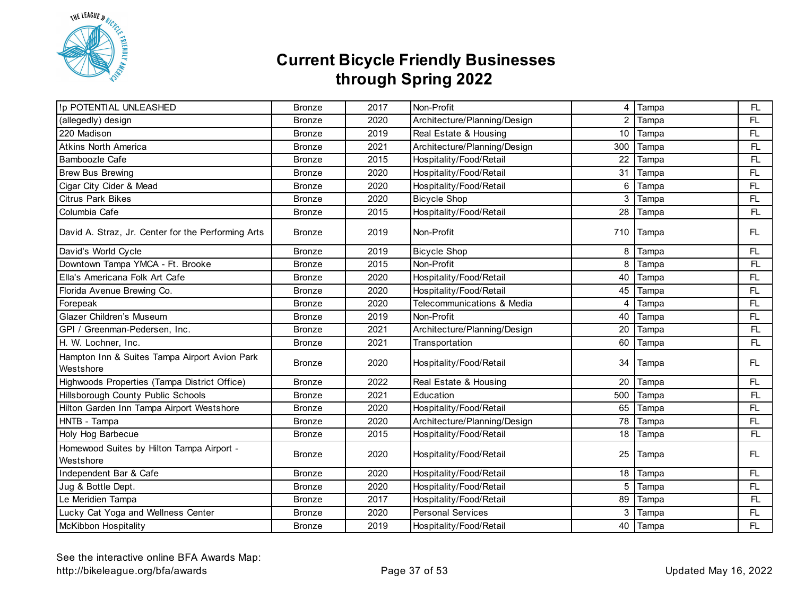

| !p POTENTIAL UNLEASHED                                     | <b>Bronze</b> | 2017 | Non-Profit                   | 4   | Tampa | FL. |
|------------------------------------------------------------|---------------|------|------------------------------|-----|-------|-----|
| (allegedly) design                                         | <b>Bronze</b> | 2020 | Architecture/Planning/Design | 2   | Tampa | FL. |
| 220 Madison                                                | <b>Bronze</b> | 2019 | Real Estate & Housing        | 10  | Tampa | FL  |
| Atkins North America                                       | <b>Bronze</b> | 2021 | Architecture/Planning/Design | 300 | Tampa | FL. |
| Bamboozle Cafe                                             | <b>Bronze</b> | 2015 | Hospitality/Food/Retail      | 22  | Tampa | FL. |
| <b>Brew Bus Brewing</b>                                    | <b>Bronze</b> | 2020 | Hospitality/Food/Retail      | 31  | Tampa | FL  |
| Cigar City Cider & Mead                                    | <b>Bronze</b> | 2020 | Hospitality/Food/Retail      | 6   | Tampa | FL  |
| <b>Citrus Park Bikes</b>                                   | <b>Bronze</b> | 2020 | <b>Bicycle Shop</b>          | 3   | Tampa | FL  |
| Columbia Cafe                                              | <b>Bronze</b> | 2015 | Hospitality/Food/Retail      | 28  | Tampa | FL. |
| David A. Straz, Jr. Center for the Performing Arts         | <b>Bronze</b> | 2019 | Non-Profit                   | 710 | Tampa | FL  |
| David's World Cycle                                        | <b>Bronze</b> | 2019 | <b>Bicycle Shop</b>          | 8   | Tampa | FL  |
| Downtown Tampa YMCA - Ft. Brooke                           | <b>Bronze</b> | 2015 | Non-Profit                   | 8   | Tampa | FL. |
| Ella's Americana Folk Art Cafe                             | <b>Bronze</b> | 2020 | Hospitality/Food/Retail      | 40  | Tampa | FL  |
| Florida Avenue Brewing Co.                                 | <b>Bronze</b> | 2020 | Hospitality/Food/Retail      | 45  | Tampa | FL. |
| Forepeak                                                   | <b>Bronze</b> | 2020 | Telecommunications & Media   | 4   | Tampa | FL  |
| Glazer Children's Museum                                   | <b>Bronze</b> | 2019 | Non-Profit                   | 40  | Tampa | FL  |
| GPI / Greenman-Pedersen, Inc.                              | <b>Bronze</b> | 2021 | Architecture/Planning/Design | 20  | Tampa | FL. |
| H. W. Lochner, Inc.                                        | Bronze        | 2021 | Transportation               | 60  | Tampa | FL. |
| Hampton Inn & Suites Tampa Airport Avion Park<br>Westshore | <b>Bronze</b> | 2020 | Hospitality/Food/Retail      | 34  | Tampa | FL  |
| Highwoods Properties (Tampa District Office)               | <b>Bronze</b> | 2022 | Real Estate & Housing        | 20  | Tampa | FL  |
| Hillsborough County Public Schools                         | <b>Bronze</b> | 2021 | Education                    | 500 | Tampa | FL. |
| Hilton Garden Inn Tampa Airport Westshore                  | <b>Bronze</b> | 2020 | Hospitality/Food/Retail      | 65  | Tampa | FL  |
| HNTB - Tampa                                               | <b>Bronze</b> | 2020 | Architecture/Planning/Design | 78  | Tampa | FL  |
| Holy Hog Barbecue                                          | <b>Bronze</b> | 2015 | Hospitality/Food/Retail      | 18  | Tampa | FL. |
| Homewood Suites by Hilton Tampa Airport -<br>Westshore     | <b>Bronze</b> | 2020 | Hospitality/Food/Retail      | 25  | Tampa | FL. |
| Independent Bar & Cafe                                     | <b>Bronze</b> | 2020 | Hospitality/Food/Retail      | 18  | Tampa | FL  |
| Jug & Bottle Dept.                                         | <b>Bronze</b> | 2020 | Hospitality/Food/Retail      | 5   | Tampa | FL  |
| Le Meridien Tampa                                          | <b>Bronze</b> | 2017 | Hospitality/Food/Retail      | 89  | Tampa | FL. |
| Lucky Cat Yoga and Wellness Center                         | <b>Bronze</b> | 2020 | <b>Personal Services</b>     | 3   | Tampa | FL  |
| McKibbon Hospitality                                       | <b>Bronze</b> | 2019 | Hospitality/Food/Retail      | 40  | Tampa | FL  |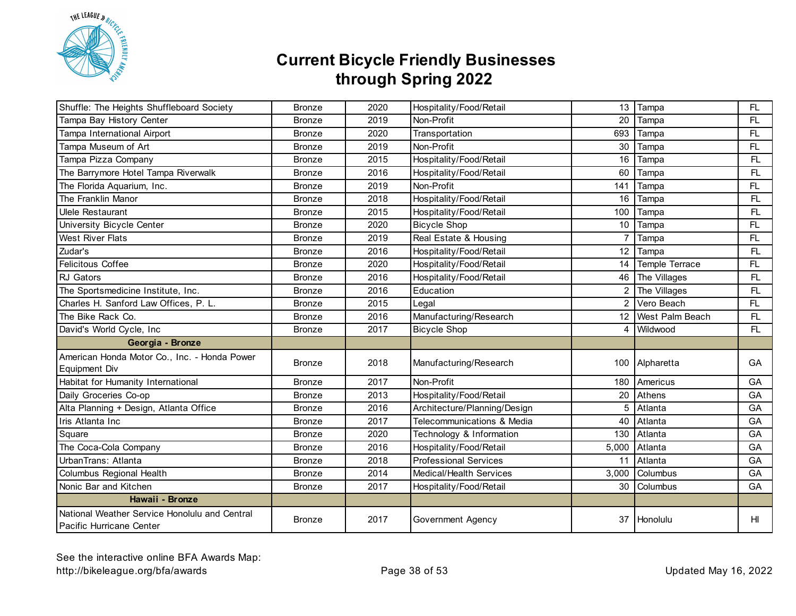

| Shuffle: The Heights Shuffleboard Society                                 | <b>Bronze</b> | 2020 | Hospitality/Food/Retail      | 13              | Tampa           | FL              |
|---------------------------------------------------------------------------|---------------|------|------------------------------|-----------------|-----------------|-----------------|
| Tampa Bay History Center                                                  | <b>Bronze</b> | 2019 | Non-Profit                   | 20              | Tampa           | FL              |
| Tampa International Airport                                               | <b>Bronze</b> | 2020 | Transportation               | 693             | Tampa           | FL              |
| Tampa Museum of Art                                                       | <b>Bronze</b> | 2019 | Non-Profit                   | 30              | Tampa           | FL              |
| Tampa Pizza Company                                                       | <b>Bronze</b> | 2015 | Hospitality/Food/Retail      | 16              | Tampa           | FL.             |
| The Barrymore Hotel Tampa Riverwalk                                       | <b>Bronze</b> | 2016 | Hospitality/Food/Retail      | 60              | Tampa           | FL.             |
| The Florida Aquarium, Inc.                                                | <b>Bronze</b> | 2019 | Non-Profit                   | 141             | Tampa           | FL              |
| The Franklin Manor                                                        | <b>Bronze</b> | 2018 | Hospitality/Food/Retail      | 16              | Tampa           | FL.             |
| <b>Ulele Restaurant</b>                                                   | <b>Bronze</b> | 2015 | Hospitality/Food/Retail      | 100             | Tampa           | FL.             |
| University Bicycle Center                                                 | <b>Bronze</b> | 2020 | <b>Bicycle Shop</b>          | 10              | Tampa           | FL              |
| <b>West River Flats</b>                                                   | <b>Bronze</b> | 2019 | Real Estate & Housing        | $\overline{7}$  | Tampa           | FL.             |
| Zudar's                                                                   | <b>Bronze</b> | 2016 | Hospitality/Food/Retail      | 12              | Tampa           | FL.             |
| <b>Felicitous Coffee</b>                                                  | <b>Bronze</b> | 2020 | Hospitality/Food/Retail      | 14              | Temple Terrace  | FL.             |
| RJ Gators                                                                 | <b>Bronze</b> | 2016 | Hospitality/Food/Retail      | 46              | The Villages    | FL              |
| The Sportsmedicine Institute, Inc.                                        | <b>Bronze</b> | 2016 | Education                    | 2               | The Villages    | FL.             |
| Charles H. Sanford Law Offices, P. L.                                     | <b>Bronze</b> | 2015 | Legal                        | $\overline{2}$  | Vero Beach      | FL              |
| The Bike Rack Co.                                                         | <b>Bronze</b> | 2016 | Manufacturing/Research       | 12 <sup>2</sup> | West Palm Beach | FL.             |
| David's World Cycle, Inc                                                  | <b>Bronze</b> | 2017 | <b>Bicycle Shop</b>          | 4               | Wildwood        | FL.             |
| Georgia - Bronze                                                          |               |      |                              |                 |                 |                 |
| American Honda Motor Co., Inc. - Honda Power<br>Equipment Div             | <b>Bronze</b> | 2018 | Manufacturing/Research       |                 | 100 Alpharetta  | GA              |
| Habitat for Humanity International                                        | <b>Bronze</b> | 2017 | Non-Profit                   | 180             | Americus        | GA              |
| Daily Groceries Co-op                                                     | <b>Bronze</b> | 2013 | Hospitality/Food/Retail      | 20              | Athens          | GA              |
| Alta Planning + Design, Atlanta Office                                    | <b>Bronze</b> | 2016 | Architecture/Planning/Design | 5               | Atlanta         | GA              |
| Iris Atlanta Inc                                                          | <b>Bronze</b> | 2017 | Telecommunications & Media   | 40              | Atlanta         | GA              |
| Square                                                                    | <b>Bronze</b> | 2020 | Technology & Information     | 130             | Atlanta         | GA              |
| The Coca-Cola Company                                                     | <b>Bronze</b> | 2016 | Hospitality/Food/Retail      | 5,000           | Atlanta         | GA              |
| UrbanTrans: Atlanta                                                       | <b>Bronze</b> | 2018 | <b>Professional Services</b> | 11              | Atlanta         | GA              |
| Columbus Regional Health                                                  | <b>Bronze</b> | 2014 | Medical/Health Services      | 3,000           | Columbus        | GA              |
| Nonic Bar and Kitchen                                                     | <b>Bronze</b> | 2017 | Hospitality/Food/Retail      | 30              | Columbus        | GA              |
| Hawaii - Bronze                                                           |               |      |                              |                 |                 |                 |
| National Weather Service Honolulu and Central<br>Pacific Hurricane Center | <b>Bronze</b> | 2017 | Government Agency            | 37              | Honolulu        | H <sub>II</sub> |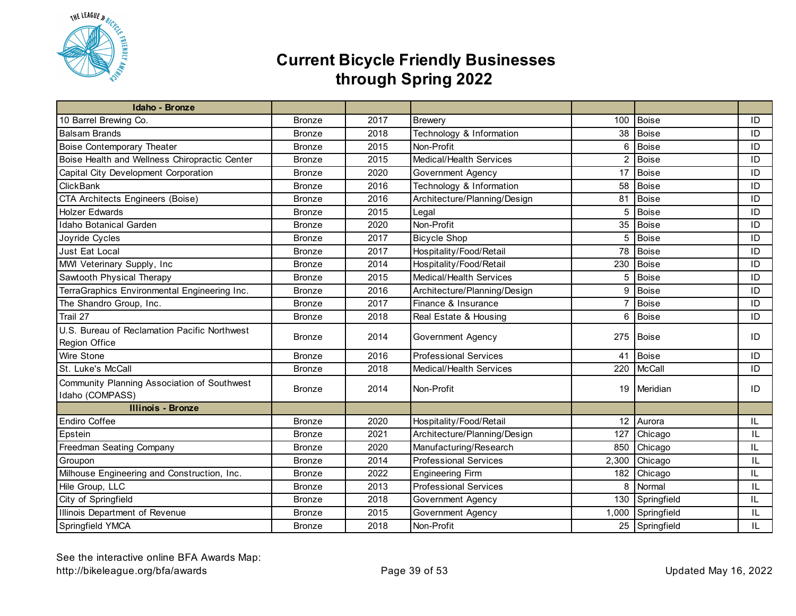

| Idaho - Bronze                                |               |      |                              |                |                |    |
|-----------------------------------------------|---------------|------|------------------------------|----------------|----------------|----|
| 10 Barrel Brewing Co.                         | <b>Bronze</b> | 2017 | <b>Brewery</b>               | 100            | <b>Boise</b>   | ID |
| <b>Balsam Brands</b>                          | <b>Bronze</b> | 2018 | Technology & Information     | 38             | <b>Boise</b>   | ID |
| <b>Boise Contemporary Theater</b>             | <b>Bronze</b> | 2015 | Non-Profit                   | 6              | <b>Boise</b>   | ID |
| Boise Health and Wellness Chiropractic Center | <b>Bronze</b> | 2015 | Medical/Health Services      | 2              | <b>Boise</b>   | ID |
| Capital City Development Corporation          | <b>Bronze</b> | 2020 | Government Agency            | 17             | <b>Boise</b>   | ID |
| <b>ClickBank</b>                              | <b>Bronze</b> | 2016 | Technology & Information     | 58             | <b>Boise</b>   | ID |
| <b>CTA Architects Engineers (Boise)</b>       | <b>Bronze</b> | 2016 | Architecture/Planning/Design | 81             | <b>Boise</b>   | ID |
| <b>Holzer Edwards</b>                         | <b>Bronze</b> | 2015 | Legal                        | 5              | <b>Boise</b>   | ID |
| Idaho Botanical Garden                        | <b>Bronze</b> | 2020 | Non-Profit                   | 35             | <b>Boise</b>   | ID |
| Joyride Cycles                                | <b>Bronze</b> | 2017 | <b>Bicycle Shop</b>          | 5              | Boise          | ID |
| Just Eat Local                                | <b>Bronze</b> | 2017 | Hospitality/Food/Retail      | 78             | <b>Boise</b>   | ID |
| MWI Veterinary Supply, Inc                    | <b>Bronze</b> | 2014 | Hospitality/Food/Retail      | 230            | <b>Boise</b>   | ID |
| Sawtooth Physical Therapy                     | <b>Bronze</b> | 2015 | Medical/Health Services      | 5              | Boise          | ID |
| TerraGraphics Environmental Engineering Inc.  | <b>Bronze</b> | 2016 | Architecture/Planning/Design | 9              | Boise          | ID |
| The Shandro Group, Inc.                       | <b>Bronze</b> | 2017 | Finance & Insurance          | $\overline{7}$ | <b>Boise</b>   | ID |
| Trail 27                                      | <b>Bronze</b> | 2018 | Real Estate & Housing        | 6              | Boise          | ID |
| U.S. Bureau of Reclamation Pacific Northwest  |               | 2014 | Government Agency            | 275            |                | ID |
| Region Office                                 | <b>Bronze</b> |      |                              |                | Boise          |    |
| Wire Stone                                    | <b>Bronze</b> | 2016 | <b>Professional Services</b> | 41             | <b>Boise</b>   | ID |
| St. Luke's McCall                             | <b>Bronze</b> | 2018 | Medical/Health Services      | 220            | McCall         | ID |
| Community Planning Association of Southwest   |               |      |                              |                |                |    |
| Idaho (COMPASS)                               | <b>Bronze</b> | 2014 | Non-Profit                   |                | 19 Meridian    | ID |
| <b>Illinois - Bronze</b>                      |               |      |                              |                |                |    |
| Endiro Coffee                                 | <b>Bronze</b> | 2020 | Hospitality/Food/Retail      | 12             | Aurora         | IL |
| Epstein                                       | <b>Bronze</b> | 2021 | Architecture/Planning/Design | 127            | Chicago        | IL |
| Freedman Seating Company                      | <b>Bronze</b> | 2020 | Manufacturing/Research       | 850            | Chicago        | IL |
| Groupon                                       | <b>Bronze</b> | 2014 | <b>Professional Services</b> | 2,300          | Chicago        | IL |
| Milhouse Engineering and Construction, Inc.   | <b>Bronze</b> | 2022 | <b>Engineering Firm</b>      | 182            | Chicago        | IL |
| Hile Group, LLC                               | <b>Bronze</b> | 2013 | <b>Professional Services</b> | 8              | Normal         | IL |
| City of Springfield                           | <b>Bronze</b> | 2018 | Government Agency            | 130            | Springfield    | IL |
| Illinois Department of Revenue                | <b>Bronze</b> | 2015 | <b>Government Agency</b>     | 1,000          | Springfield    | IL |
| Springfield YMCA                              | <b>Bronze</b> | 2018 | Non-Profit                   |                | 25 Springfield | IL |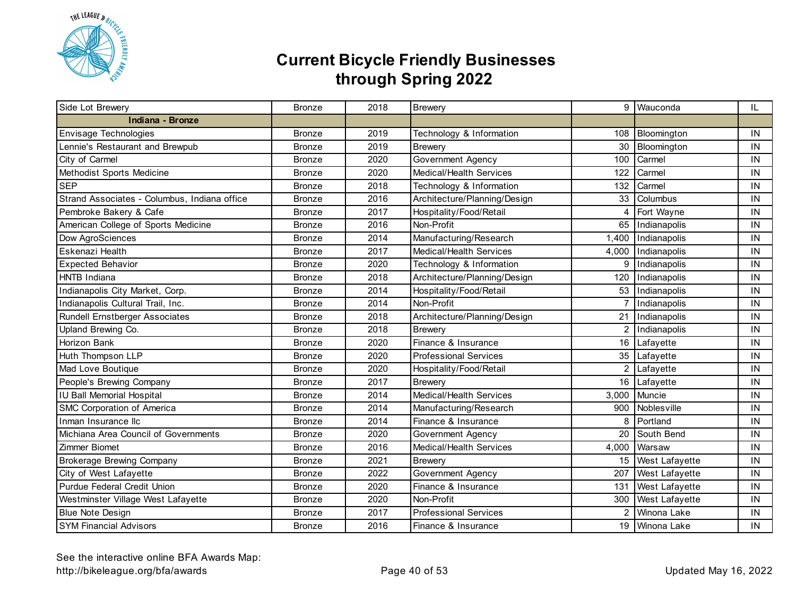

| Side Lot Brewery                             | <b>Bronze</b> | 2018 | <b>Brewery</b>               |                | 9 Wauconda            | IL. |
|----------------------------------------------|---------------|------|------------------------------|----------------|-----------------------|-----|
| Indiana - Bronze                             |               |      |                              |                |                       |     |
| Envisage Technologies                        | <b>Bronze</b> | 2019 | Technology & Information     | 108            | Bloomington           | IN  |
| Lennie's Restaurant and Brewpub              | <b>Bronze</b> | 2019 | <b>Brewery</b>               | 30             | Bloomington           | IN  |
| City of Carmel                               | <b>Bronze</b> | 2020 | <b>Government Agency</b>     | 100            | Carmel                | IN  |
| Methodist Sports Medicine                    | <b>Bronze</b> | 2020 | Medical/Health Services      | 122            | Carmel                | IN  |
| <b>SEP</b>                                   | <b>Bronze</b> | 2018 | Technology & Information     | 132            | Carmel                | IN  |
| Strand Associates - Columbus, Indiana office | <b>Bronze</b> | 2016 | Architecture/Planning/Design | 33             | Columbus              | IN  |
| Pembroke Bakery & Cafe                       | <b>Bronze</b> | 2017 | Hospitality/Food/Retail      | 4              | Fort Wayne            | IN  |
| American College of Sports Medicine          | <b>Bronze</b> | 2016 | Non-Profit                   | 65             | Indianapolis          | IN  |
| Dow AgroSciences                             | <b>Bronze</b> | 2014 | Manufacturing/Research       | 1,400          | Indianapolis          | IN  |
| Eskenazi Health                              | <b>Bronze</b> | 2017 | Medical/Health Services      | 4,000          | Indianapolis          | IN  |
| <b>Expected Behavior</b>                     | <b>Bronze</b> | 2020 | Technology & Information     | 9              | Indianapolis          | IN  |
| <b>HNTB Indiana</b>                          | <b>Bronze</b> | 2018 | Architecture/Planning/Design | 120            | Indianapolis          | IN  |
| Indianapolis City Market, Corp.              | <b>Bronze</b> | 2014 | Hospitality/Food/Retail      |                | 53 Indianapolis       | IN  |
| Indianapolis Cultural Trail, Inc.            | <b>Bronze</b> | 2014 | Non-Profit                   | $\overline{7}$ | Indianapolis          | IN  |
| Rundell Ernstberger Associates               | <b>Bronze</b> | 2018 | Architecture/Planning/Design | 21             | Indianapolis          | IN  |
| Upland Brewing Co.                           | <b>Bronze</b> | 2018 | <b>Brewery</b>               | 2              | Indianapolis          | IN  |
| Horizon Bank                                 | <b>Bronze</b> | 2020 | Finance & Insurance          | 16             | Lafayette             | IN  |
| Huth Thompson LLP                            | <b>Bronze</b> | 2020 | <b>Professional Services</b> | 35             | Lafayette             | IN  |
| Mad Love Boutique                            | <b>Bronze</b> | 2020 | Hospitality/Food/Retail      | $\overline{2}$ | Lafayette             | IN  |
| People's Brewing Company                     | <b>Bronze</b> | 2017 | <b>Brewery</b>               | 16             | Lafayette             | IN  |
| <b>IU Ball Memorial Hospital</b>             | <b>Bronze</b> | 2014 | Medical/Health Services      | 3,000          | Muncie                | IN  |
| SMC Corporation of America                   | <b>Bronze</b> | 2014 | Manufacturing/Research       | 900            | Noblesville           | IN  |
| Inman Insurance Ilc                          | <b>Bronze</b> | 2014 | Finance & Insurance          | 8              | Portland              | IN  |
| Michiana Area Council of Governments         | <b>Bronze</b> | 2020 | Government Agency            | 20             | South Bend            | IN  |
| Zimmer Biomet                                | <b>Bronze</b> | 2016 | Medical/Health Services      | 4,000          | Warsaw                | IN  |
| <b>Brokerage Brewing Company</b>             | <b>Bronze</b> | 2021 | <b>Brewery</b>               | 15             | West Lafayette        | IN  |
| City of West Lafayette                       | <b>Bronze</b> | 2022 | Government Agency            | 207            | West Lafayette        | IN  |
| Purdue Federal Credit Union                  | Bronze        | 2020 | Finance & Insurance          | 131            | West Lafayette        | IN  |
| Westminster Village West Lafayette           | <b>Bronze</b> | 2020 | Non-Profit                   | 300            | <b>West Lafayette</b> | IN  |
| <b>Blue Note Design</b>                      | <b>Bronze</b> | 2017 | <b>Professional Services</b> | $\overline{2}$ | Winona Lake           | IN  |
| <b>SYM Financial Advisors</b>                | <b>Bronze</b> | 2016 | Finance & Insurance          |                | 19 Winona Lake        | IN  |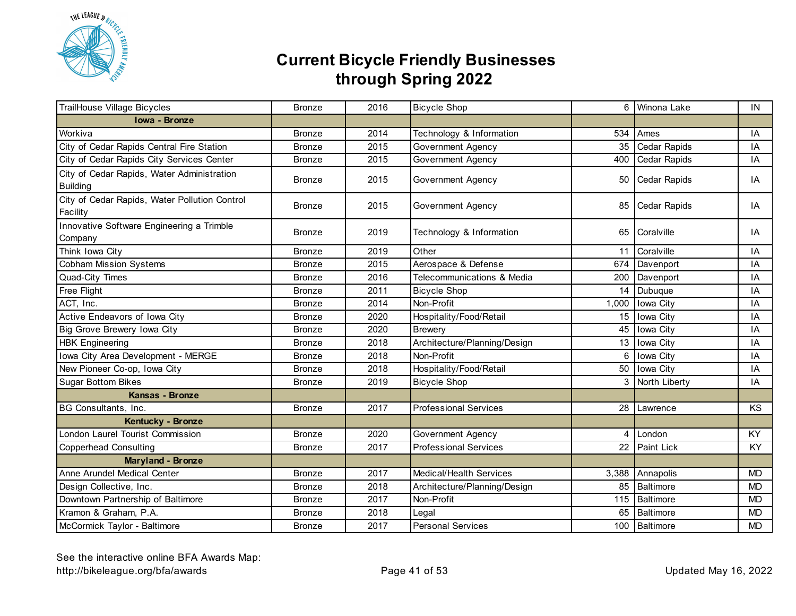

| TrailHouse Village Bicycles                                   | <b>Bronze</b> | 2016 | <b>Bicycle Shop</b>          |                | 6 Winona Lake       | IN        |
|---------------------------------------------------------------|---------------|------|------------------------------|----------------|---------------------|-----------|
| Iowa - Bronze                                                 |               |      |                              |                |                     |           |
| Workiva                                                       | <b>Bronze</b> | 2014 | Technology & Information     | 534            | Ames                | IA        |
| City of Cedar Rapids Central Fire Station                     | <b>Bronze</b> | 2015 | Government Agency            |                | 35 Cedar Rapids     | IA        |
| City of Cedar Rapids City Services Center                     | <b>Bronze</b> | 2015 | Government Agency            | 400            | <b>Cedar Rapids</b> | IA        |
| City of Cedar Rapids, Water Administration<br><b>Building</b> | <b>Bronze</b> | 2015 | Government Agency            |                | 50 Cedar Rapids     | IA        |
| City of Cedar Rapids, Water Pollution Control<br>Facility     | <b>Bronze</b> | 2015 | Government Agency            |                | 85 Cedar Rapids     | IA        |
| Innovative Software Engineering a Trimble<br>Company          | <b>Bronze</b> | 2019 | Technology & Information     |                | 65 Coralville       | IA        |
| Think Iowa City                                               | <b>Bronze</b> | 2019 | Other                        | 11             | Coralville          | IA        |
| <b>Cobham Mission Systems</b>                                 | <b>Bronze</b> | 2015 | Aerospace & Defense          | 674            | Davenport           | IA        |
| Quad-City Times                                               | <b>Bronze</b> | 2016 | Telecommunications & Media   | 200            | Davenport           | IA        |
| Free Flight                                                   | <b>Bronze</b> | 2011 | <b>Bicycle Shop</b>          | 14             | Dubuque             | IA        |
| ACT, Inc.                                                     | <b>Bronze</b> | 2014 | Non-Profit                   | 1,000          | Iowa City           | IA        |
| Active Endeavors of Iowa City                                 | <b>Bronze</b> | 2020 | Hospitality/Food/Retail      | 15             | Iowa City           | IA        |
| Big Grove Brewery Iowa City                                   | <b>Bronze</b> | 2020 | <b>Brewery</b>               | 45             | Iowa City           | IA        |
| <b>HBK Engineering</b>                                        | <b>Bronze</b> | 2018 | Architecture/Planning/Design | 13             | Iowa City           | IA        |
| Iowa City Area Development - MERGE                            | <b>Bronze</b> | 2018 | Non-Profit                   | 6              | Iowa City           | IA        |
| New Pioneer Co-op, Iowa City                                  | <b>Bronze</b> | 2018 | Hospitality/Food/Retail      | 50             | Iowa City           | IA        |
| <b>Sugar Bottom Bikes</b>                                     | <b>Bronze</b> | 2019 | <b>Bicycle Shop</b>          | 3              | North Liberty       | IA        |
| Kansas - Bronze                                               |               |      |                              |                |                     |           |
| BG Consultants, Inc.                                          | <b>Bronze</b> | 2017 | <b>Professional Services</b> |                | 28 Lawrence         | KS        |
| Kentucky - Bronze                                             |               |      |                              |                |                     |           |
| London Laurel Tourist Commission                              | <b>Bronze</b> | 2020 | <b>Government Agency</b>     | $\overline{4}$ | London              | <b>KY</b> |
| <b>Copperhead Consulting</b>                                  | <b>Bronze</b> | 2017 | <b>Professional Services</b> |                | 22 Paint Lick       | <b>KY</b> |
| <b>Maryland - Bronze</b>                                      |               |      |                              |                |                     |           |
| Anne Arundel Medical Center                                   | <b>Bronze</b> | 2017 | Medical/Health Services      | 3,388          | Annapolis           | <b>MD</b> |
| Design Collective, Inc.                                       | <b>Bronze</b> | 2018 | Architecture/Planning/Design | 85             | Baltimore           | <b>MD</b> |
| Downtown Partnership of Baltimore                             | <b>Bronze</b> | 2017 | Non-Profit                   |                | 115 Baltimore       | <b>MD</b> |
| Kramon & Graham, P.A.                                         | <b>Bronze</b> | 2018 | Legal                        |                | 65 Baltimore        | <b>MD</b> |
| McCormick Taylor - Baltimore                                  | <b>Bronze</b> | 2017 | <b>Personal Services</b>     |                | 100 Baltimore       | <b>MD</b> |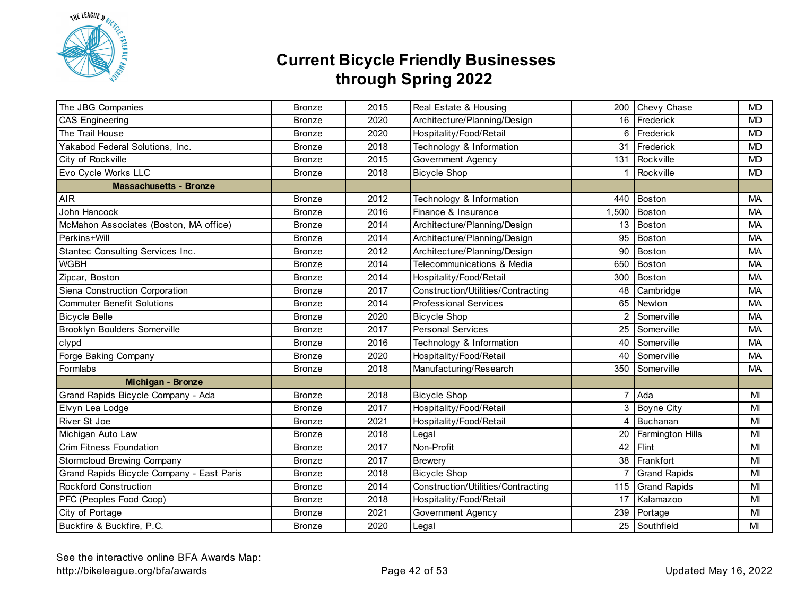

| The JBG Companies                         | <b>Bronze</b> | 2015 | Real Estate & Housing              |                | 200 Chevy Chase         | <b>MD</b> |
|-------------------------------------------|---------------|------|------------------------------------|----------------|-------------------------|-----------|
| <b>CAS Engineering</b>                    | <b>Bronze</b> | 2020 | Architecture/Planning/Design       |                | 16 Frederick            | <b>MD</b> |
| The Trail House                           | <b>Bronze</b> | 2020 | Hospitality/Food/Retail            |                | 6 Frederick             | <b>MD</b> |
| Yakabod Federal Solutions, Inc.           | <b>Bronze</b> | 2018 | Technology & Information           | 31             | Frederick               | <b>MD</b> |
| City of Rockville                         | <b>Bronze</b> | 2015 | <b>Government Agency</b>           | 131            | Rockville               | <b>MD</b> |
| Evo Cycle Works LLC                       | <b>Bronze</b> | 2018 | <b>Bicycle Shop</b>                | $\mathbf 1$    | Rockville               | <b>MD</b> |
| <b>Massachusetts - Bronze</b>             |               |      |                                    |                |                         |           |
| <b>AIR</b>                                | <b>Bronze</b> | 2012 | Technology & Information           | 440            | Boston                  | <b>MA</b> |
| John Hancock                              | <b>Bronze</b> | 2016 | Finance & Insurance                | 1,500          | <b>Boston</b>           | МA        |
| McMahon Associates (Boston, MA office)    | <b>Bronze</b> | 2014 | Architecture/Planning/Design       | 13             | Boston                  | <b>MA</b> |
| Perkins+Will                              | <b>Bronze</b> | 2014 | Architecture/Planning/Design       | 95             | <b>Boston</b>           | <b>MA</b> |
| Stantec Consulting Services Inc.          | <b>Bronze</b> | 2012 | Architecture/Planning/Design       | 90             | <b>Boston</b>           | <b>MA</b> |
| <b>WGBH</b>                               | <b>Bronze</b> | 2014 | Telecommunications & Media         | 650            | Boston                  | <b>MA</b> |
| Zipcar, Boston                            | <b>Bronze</b> | 2014 | Hospitality/Food/Retail            | 300            | <b>Boston</b>           | <b>MA</b> |
| Siena Construction Corporation            | <b>Bronze</b> | 2017 | Construction/Utilities/Contracting | 48             | Cambridge               | <b>MA</b> |
| <b>Commuter Benefit Solutions</b>         | <b>Bronze</b> | 2014 | <b>Professional Services</b>       | 65             | Newton                  | MA        |
| <b>Bicycle Belle</b>                      | <b>Bronze</b> | 2020 | <b>Bicycle Shop</b>                | 2              | Somerville              | МA        |
| <b>Brooklyn Boulders Somerville</b>       | <b>Bronze</b> | 2017 | <b>Personal Services</b>           | 25             | Somerville              | <b>MA</b> |
| clypd                                     | Bronze        | 2016 | Technology & Information           | 40             | Somerville              | MA        |
| Forge Baking Company                      | <b>Bronze</b> | 2020 | Hospitality/Food/Retail            | 40             | Somerville              | <b>MA</b> |
| Formlabs                                  | <b>Bronze</b> | 2018 | Manufacturing/Research             | 350            | Somerville              | <b>MA</b> |
| Michigan - Bronze                         |               |      |                                    |                |                         |           |
| Grand Rapids Bicycle Company - Ada        | <b>Bronze</b> | 2018 | <b>Bicycle Shop</b>                |                | 7 Ada                   | MI        |
| Elvyn Lea Lodge                           | <b>Bronze</b> | 2017 | Hospitality/Food/Retail            | 3              | Boyne City              | MI        |
| River St Joe                              | <b>Bronze</b> | 2021 | Hospitality/Food/Retail            | $\overline{4}$ | Buchanan                | MI        |
| Michigan Auto Law                         | <b>Bronze</b> | 2018 | Legal                              | 20             | <b>Farmington Hills</b> | MI        |
| Crim Fitness Foundation                   | <b>Bronze</b> | 2017 | Non-Profit                         | 42             | Flint                   | MI        |
| Stormcloud Brewing Company                | <b>Bronze</b> | 2017 | <b>Brewery</b>                     | 38             | Frankfort               | MI        |
| Grand Rapids Bicycle Company - East Paris | <b>Bronze</b> | 2018 | <b>Bicycle Shop</b>                | 7              | <b>Grand Rapids</b>     | MI        |
| <b>Rockford Construction</b>              | <b>Bronze</b> | 2014 | Construction/Utilities/Contracting | 115            | <b>Grand Rapids</b>     | MI        |
| PFC (Peoples Food Coop)                   | <b>Bronze</b> | 2018 | Hospitality/Food/Retail            | 17             | Kalamazoo               | MI        |
| City of Portage                           | <b>Bronze</b> | 2021 | Government Agency                  | 239            | Portage                 | MI        |
| Buckfire & Buckfire, P.C.                 | <b>Bronze</b> | 2020 | Legal                              |                | 25 Southfield           | MI        |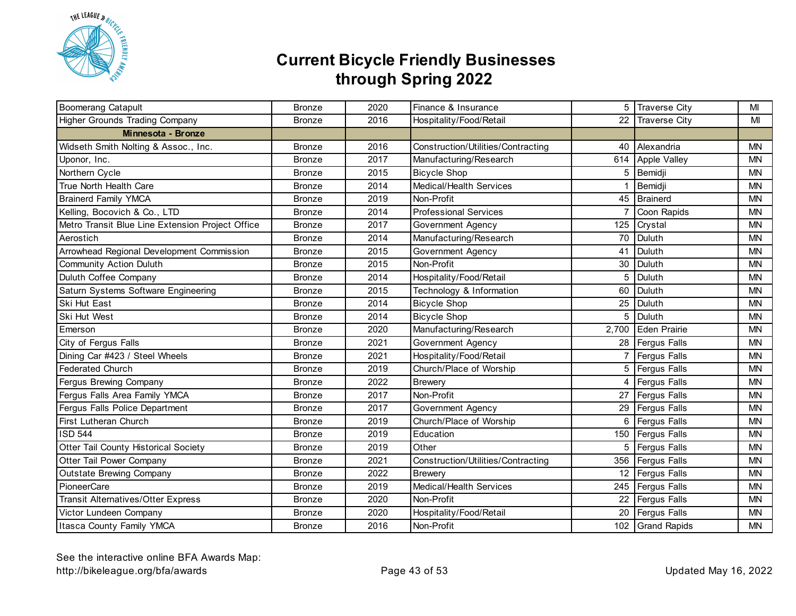

| <b>Boomerang Catapult</b>                        | <b>Bronze</b> | 2020 | Finance & Insurance                |       | 5 Traverse City     | MI        |
|--------------------------------------------------|---------------|------|------------------------------------|-------|---------------------|-----------|
| <b>Higher Grounds Trading Company</b>            | <b>Bronze</b> | 2016 | Hospitality/Food/Retail            |       | 22 Traverse City    | MI        |
| Minnesota - Bronze                               |               |      |                                    |       |                     |           |
| Widseth Smith Nolting & Assoc., Inc.             | <b>Bronze</b> | 2016 | Construction/Utilities/Contracting | 40    | Alexandria          | <b>MN</b> |
| Uponor, Inc.                                     | <b>Bronze</b> | 2017 | Manufacturing/Research             | 614   | <b>Apple Valley</b> | <b>MN</b> |
| Northern Cycle                                   | <b>Bronze</b> | 2015 | <b>Bicycle Shop</b>                | 5     | Bemidji             | <b>MN</b> |
| True North Health Care                           | <b>Bronze</b> | 2014 | Medical/Health Services            | 1     | Bemidji             | <b>MN</b> |
| <b>Brainerd Family YMCA</b>                      | <b>Bronze</b> | 2019 | Non-Profit                         |       | 45 Brainerd         | <b>MN</b> |
| Kelling, Bocovich & Co., LTD                     | <b>Bronze</b> | 2014 | <b>Professional Services</b>       |       | Coon Rapids         | <b>MN</b> |
| Metro Transit Blue Line Extension Project Office | <b>Bronze</b> | 2017 | Government Agency                  | 125   | Crystal             | <b>MN</b> |
| Aerostich                                        | <b>Bronze</b> | 2014 | Manufacturing/Research             | 70    | Duluth              | <b>MN</b> |
| Arrowhead Regional Development Commission        | <b>Bronze</b> | 2015 | Government Agency                  | 41    | Duluth              | <b>MN</b> |
| <b>Community Action Duluth</b>                   | <b>Bronze</b> | 2015 | Non-Profit                         | 30    | Duluth              | <b>MN</b> |
| Duluth Coffee Company                            | <b>Bronze</b> | 2014 | Hospitality/Food/Retail            | 5     | Duluth              | <b>MN</b> |
| Saturn Systems Software Engineering              | <b>Bronze</b> | 2015 | Technology & Information           | 60    | Duluth              | <b>MN</b> |
| Ski Hut East                                     | <b>Bronze</b> | 2014 | <b>Bicycle Shop</b>                | 25    | Duluth              | <b>MN</b> |
| Ski Hut West                                     | <b>Bronze</b> | 2014 | <b>Bicycle Shop</b>                | 5     | Duluth              | <b>MN</b> |
| Emerson                                          | <b>Bronze</b> | 2020 | Manufacturing/Research             | 2,700 | Eden Prairie        | <b>MN</b> |
| City of Fergus Falls                             | <b>Bronze</b> | 2021 | Government Agency                  | 28    | <b>Fergus Falls</b> | <b>MN</b> |
| Dining Car #423 / Steel Wheels                   | <b>Bronze</b> | 2021 | Hospitality/Food/Retail            | 7     | <b>Fergus Falls</b> | <b>MN</b> |
| <b>Federated Church</b>                          | <b>Bronze</b> | 2019 | Church/Place of Worship            | 5     | Fergus Falls        | <b>MN</b> |
| Fergus Brewing Company                           | <b>Bronze</b> | 2022 | <b>Brewery</b>                     | 4     | <b>Fergus Falls</b> | <b>MN</b> |
| Fergus Falls Area Family YMCA                    | <b>Bronze</b> | 2017 | Non-Profit                         |       | 27 Fergus Falls     | <b>MN</b> |
| Fergus Falls Police Department                   | <b>Bronze</b> | 2017 | Government Agency                  |       | 29 Fergus Falls     | <b>MN</b> |
| First Lutheran Church                            | <b>Bronze</b> | 2019 | Church/Place of Worship            | 6     | <b>Fergus Falls</b> | ΜN        |
| <b>ISD 544</b>                                   | <b>Bronze</b> | 2019 | Education                          | 150   | Fergus Falls        | <b>MN</b> |
| Otter Tail County Historical Society             | <b>Bronze</b> | 2019 | Other                              | 5     | Fergus Falls        | <b>MN</b> |
| Otter Tail Power Company                         | <b>Bronze</b> | 2021 | Construction/Utilities/Contracting | 356   | <b>Fergus Falls</b> | <b>MN</b> |
| <b>Outstate Brewing Company</b>                  | <b>Bronze</b> | 2022 | <b>Brewery</b>                     | 12    | <b>Fergus Falls</b> | <b>MN</b> |
| PioneerCare                                      | <b>Bronze</b> | 2019 | Medical/Health Services            |       | 245 Fergus Falls    | <b>MN</b> |
| <b>Transit Alternatives/Otter Express</b>        | <b>Bronze</b> | 2020 | Non-Profit                         |       | 22 Fergus Falls     | <b>MN</b> |
| Victor Lundeen Company                           | <b>Bronze</b> | 2020 | Hospitality/Food/Retail            |       | 20 Fergus Falls     | <b>MN</b> |
| Itasca County Family YMCA                        | <b>Bronze</b> | 2016 | Non-Profit                         |       | 102 Grand Rapids    | <b>MN</b> |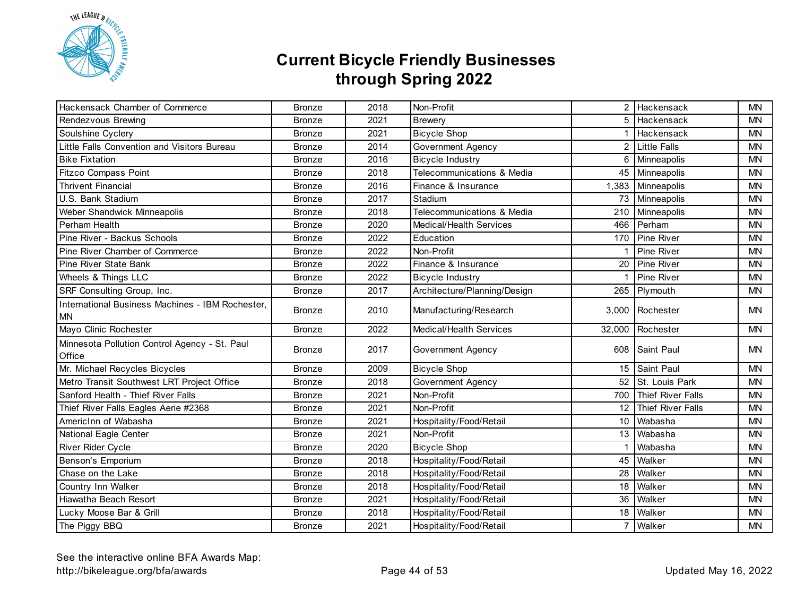

| Hackensack Chamber of Commerce                                | <b>Bronze</b> | 2018 | Non-Profit                   |                 | 2 Hackensack          | <b>MN</b> |
|---------------------------------------------------------------|---------------|------|------------------------------|-----------------|-----------------------|-----------|
| Rendezvous Brewing                                            | <b>Bronze</b> | 2021 | <b>Brewery</b>               |                 | 5 Hackensack          | <b>MN</b> |
| Soulshine Cyclery                                             | <b>Bronze</b> | 2021 | <b>Bicycle Shop</b>          |                 | Hackensack            | <b>MN</b> |
| Little Falls Convention and Visitors Bureau                   | <b>Bronze</b> | 2014 | Government Agency            |                 | 2 Little Falls        | <b>MN</b> |
| <b>Bike Fixtation</b>                                         | <b>Bronze</b> | 2016 | <b>Bicycle Industry</b>      | 6               | Minneapolis           | <b>MN</b> |
| Fitzco Compass Point                                          | <b>Bronze</b> | 2018 | Telecommunications & Media   | 45              | Minneapolis           | <b>MN</b> |
| <b>Thrivent Financial</b>                                     | <b>Bronze</b> | 2016 | Finance & Insurance          | 1,383           | Minneapolis           | <b>MN</b> |
| U.S. Bank Stadium                                             | <b>Bronze</b> | 2017 | Stadium                      |                 | 73 Minneapolis        | <b>MN</b> |
| Weber Shandwick Minneapolis                                   | <b>Bronze</b> | 2018 | Telecommunications & Media   | 210             | Minneapolis           | <b>MN</b> |
| Perham Health                                                 | <b>Bronze</b> | 2020 | Medical/Health Services      | 466             | Perham                | <b>MN</b> |
| Pine River - Backus Schools                                   | <b>Bronze</b> | 2022 | Education                    |                 | 170 Pine River        | <b>MN</b> |
| Pine River Chamber of Commerce                                | <b>Bronze</b> | 2022 | Non-Profit                   |                 | Pine River            | <b>MN</b> |
| Pine River State Bank                                         | <b>Bronze</b> | 2022 | Finance & Insurance          |                 | 20 Pine River         | <b>MN</b> |
| Wheels & Things LLC                                           | <b>Bronze</b> | 2022 | <b>Bicycle Industry</b>      | $\mathbf 1$     | Pine River            | <b>MN</b> |
| SRF Consulting Group, Inc.                                    | <b>Bronze</b> | 2017 | Architecture/Planning/Design |                 | 265 Plymouth          | <b>MN</b> |
| International Business Machines - IBM Rochester,<br><b>MN</b> | <b>Bronze</b> | 2010 | Manufacturing/Research       |                 | 3,000 Rochester       | <b>MN</b> |
| Mayo Clinic Rochester                                         | <b>Bronze</b> | 2022 | Medical/Health Services      | 32,000          | Rochester             | <b>MN</b> |
| Minnesota Pollution Control Agency - St. Paul<br>Office       | <b>Bronze</b> | 2017 | Government Agency            |                 | 608 Saint Paul        | <b>MN</b> |
| Mr. Michael Recycles Bicycles                                 | <b>Bronze</b> | 2009 | <b>Bicycle Shop</b>          |                 | 15 Saint Paul         | <b>MN</b> |
| Metro Transit Southwest LRT Project Office                    | <b>Bronze</b> | 2018 | Government Agency            | 52              | St. Louis Park        | <b>MN</b> |
| Sanford Health - Thief River Falls                            | <b>Bronze</b> | 2021 | Non-Profit                   |                 | 700 Thief River Falls | <b>MN</b> |
| Thief River Falls Eagles Aerie #2368                          | <b>Bronze</b> | 2021 | Non-Profit                   | 12 <sup>1</sup> | Thief River Falls     | <b>MN</b> |
| AmericInn of Wabasha                                          | <b>Bronze</b> | 2021 | Hospitality/Food/Retail      | 10 <sup>1</sup> | Wabasha               | <b>MN</b> |
| National Eagle Center                                         | <b>Bronze</b> | 2021 | Non-Profit                   | 13 <sup>1</sup> | Wabasha               | <b>MN</b> |
| River Rider Cycle                                             | <b>Bronze</b> | 2020 | <b>Bicycle Shop</b>          |                 | Wabasha               | <b>MN</b> |
| Benson's Emporium                                             | <b>Bronze</b> | 2018 | Hospitality/Food/Retail      | 45              | Walker                | <b>MN</b> |
| Chase on the Lake                                             | <b>Bronze</b> | 2018 | Hospitality/Food/Retail      | 28              | Walker                | <b>MN</b> |
| Country Inn Walker                                            | <b>Bronze</b> | 2018 | Hospitality/Food/Retail      | 18              | Walker                | <b>MN</b> |
| Hiawatha Beach Resort                                         | <b>Bronze</b> | 2021 | Hospitality/Food/Retail      | 36              | Walker                | <b>MN</b> |
| Lucky Moose Bar & Grill                                       | <b>Bronze</b> | 2018 | Hospitality/Food/Retail      | 18              | Walker                | <b>MN</b> |
| The Piggy BBQ                                                 | <b>Bronze</b> | 2021 | Hospitality/Food/Retail      | $\overline{7}$  | Walker                | <b>MN</b> |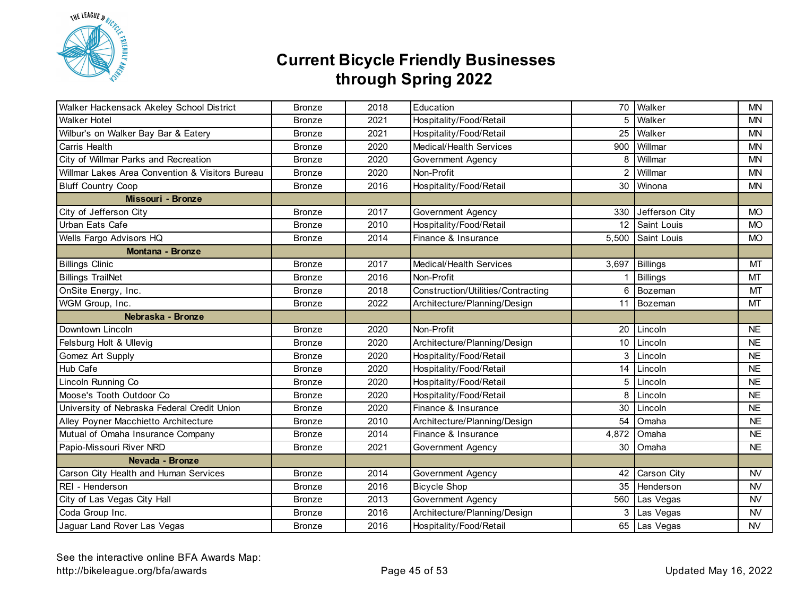

| Walker Hackensack Akeley School District        | <b>Bronze</b> | 2018 | Education                          | 70              | Walker             | <b>MN</b> |
|-------------------------------------------------|---------------|------|------------------------------------|-----------------|--------------------|-----------|
| <b>Walker Hotel</b>                             | <b>Bronze</b> | 2021 | Hospitality/Food/Retail            | 5               | Walker             | <b>MN</b> |
| Wilbur's on Walker Bay Bar & Eatery             | <b>Bronze</b> | 2021 | Hospitality/Food/Retail            | 25              | Walker             | <b>MN</b> |
| Carris Health                                   | <b>Bronze</b> | 2020 | Medical/Health Services            | 900             | Willmar            | <b>MN</b> |
| City of Willmar Parks and Recreation            | <b>Bronze</b> | 2020 | Government Agency                  | 8               | Willmar            | <b>MN</b> |
| Willmar Lakes Area Convention & Visitors Bureau | <b>Bronze</b> | 2020 | Non-Profit                         | 2               | Willmar            | <b>MN</b> |
| <b>Bluff Country Coop</b>                       | <b>Bronze</b> | 2016 | Hospitality/Food/Retail            | 30              | Winona             | <b>MN</b> |
| Missouri - Bronze                               |               |      |                                    |                 |                    |           |
| City of Jefferson City                          | <b>Bronze</b> | 2017 | Government Agency                  |                 | 330 Jefferson City | <b>MO</b> |
| Urban Eats Cafe                                 | <b>Bronze</b> | 2010 | Hospitality/Food/Retail            |                 | 12 Saint Louis     | <b>MO</b> |
| Wells Fargo Advisors HQ                         | <b>Bronze</b> | 2014 | Finance & Insurance                | 5,500           | Saint Louis        | <b>MO</b> |
| <b>Montana - Bronze</b>                         |               |      |                                    |                 |                    |           |
| <b>Billings Clinic</b>                          | <b>Bronze</b> | 2017 | Medical/Health Services            | 3,697           | <b>Billings</b>    | MT        |
| <b>Billings TrailNet</b>                        | <b>Bronze</b> | 2016 | Non-Profit                         | 1               | <b>Billings</b>    | MT        |
| OnSite Energy, Inc.                             | <b>Bronze</b> | 2018 | Construction/Utilities/Contracting | 6               | Bozeman            | MT        |
| WGM Group, Inc.                                 | <b>Bronze</b> | 2022 | Architecture/Planning/Design       | 11              | Bozeman            | <b>MT</b> |
| Nebraska - Bronze                               |               |      |                                    |                 |                    |           |
| Downtown Lincoln                                | <b>Bronze</b> | 2020 | Non-Profit                         | 20              | Lincoln            | <b>NE</b> |
| Felsburg Holt & Ullevig                         | <b>Bronze</b> | 2020 | Architecture/Planning/Design       | 10 <sup>°</sup> | Lincoln            | <b>NE</b> |
| Gomez Art Supply                                | <b>Bronze</b> | 2020 | Hospitality/Food/Retail            | 3               | Lincoln            | <b>NE</b> |
| Hub Cafe                                        | <b>Bronze</b> | 2020 | Hospitality/Food/Retail            | 14              | Lincoln            | <b>NE</b> |
| Lincoln Running Co                              | <b>Bronze</b> | 2020 | Hospitality/Food/Retail            | 5               | Lincoln            | <b>NE</b> |
| Moose's Tooth Outdoor Co                        | <b>Bronze</b> | 2020 | Hospitality/Food/Retail            | 8               | Lincoln            | <b>NE</b> |
| University of Nebraska Federal Credit Union     | <b>Bronze</b> | 2020 | Finance & Insurance                | 30              | Lincoln            | <b>NE</b> |
| Alley Poyner Macchietto Architecture            | <b>Bronze</b> | 2010 | Architecture/Planning/Design       | 54              | Omaha              | <b>NE</b> |
| Mutual of Omaha Insurance Company               | <b>Bronze</b> | 2014 | Finance & Insurance                | 4,872           | Omaha              | <b>NE</b> |
| Papio-Missouri River NRD                        | <b>Bronze</b> | 2021 | Government Agency                  | 30              | Omaha              | <b>NE</b> |
| Nevada - Bronze                                 |               |      |                                    |                 |                    |           |
| Carson City Health and Human Services           | <b>Bronze</b> | 2014 | Government Agency                  |                 | 42 Carson City     | <b>NV</b> |
| REI - Henderson                                 | <b>Bronze</b> | 2016 | <b>Bicycle Shop</b>                |                 | 35 Henderson       | <b>NV</b> |
| City of Las Vegas City Hall                     | <b>Bronze</b> | 2013 | Government Agency                  |                 | 560 Las Vegas      | <b>NV</b> |
| Coda Group Inc.                                 | <b>Bronze</b> | 2016 | Architecture/Planning/Design       |                 | 3 Las Vegas        | <b>NV</b> |
| Jaguar Land Rover Las Vegas                     | <b>Bronze</b> | 2016 | Hospitality/Food/Retail            |                 | 65 Las Vegas       | <b>NV</b> |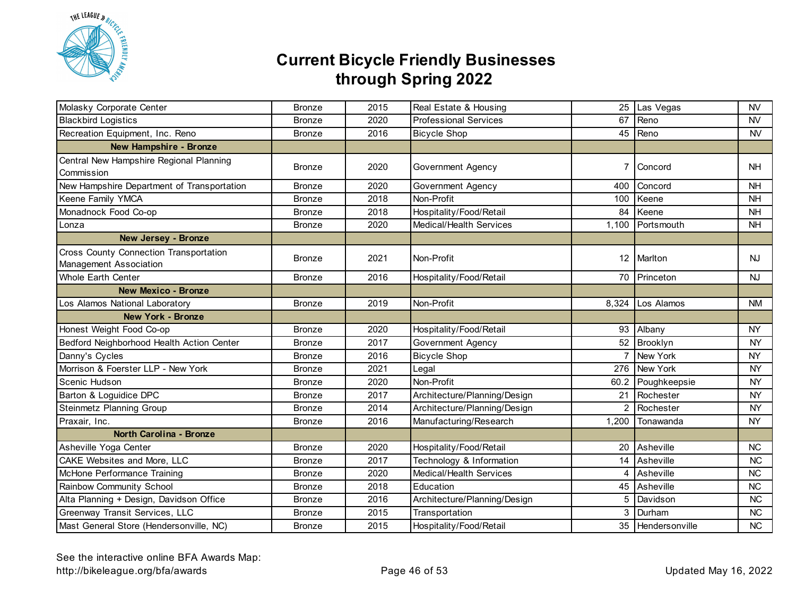

| Molasky Corporate Center                                         | <b>Bronze</b> | 2015 | Real Estate & Housing        | 25                | Las Vegas         | <b>NV</b> |
|------------------------------------------------------------------|---------------|------|------------------------------|-------------------|-------------------|-----------|
| <b>Blackbird Logistics</b>                                       | <b>Bronze</b> | 2020 | <b>Professional Services</b> | 67                | Reno              | <b>NV</b> |
| Recreation Equipment, Inc. Reno                                  | <b>Bronze</b> | 2016 | <b>Bicycle Shop</b>          | 45                | Reno              | <b>NV</b> |
| <b>New Hampshire - Bronze</b>                                    |               |      |                              |                   |                   |           |
| Central New Hampshire Regional Planning<br>Commission            | <b>Bronze</b> | 2020 | Government Agency            | 7                 | Concord           | <b>NH</b> |
| New Hampshire Department of Transportation                       | <b>Bronze</b> | 2020 | <b>Government Agency</b>     | 400               | Concord           | <b>NH</b> |
| Keene Family YMCA                                                | <b>Bronze</b> | 2018 | Non-Profit                   | 100               | Keene             | <b>NH</b> |
| Monadnock Food Co-op                                             | <b>Bronze</b> | 2018 | Hospitality/Food/Retail      | 84                | Keene             | <b>NH</b> |
| Lonza                                                            | <b>Bronze</b> | 2020 | Medical/Health Services      | 1,100             | Portsmouth        | <b>NH</b> |
| <b>New Jersey - Bronze</b>                                       |               |      |                              |                   |                   |           |
| Cross County Connection Transportation<br>Management Association | <b>Bronze</b> | 2021 | Non-Profit                   | $12 \overline{ }$ | Marlton           | <b>NJ</b> |
| <b>Whole Earth Center</b>                                        | <b>Bronze</b> | 2016 | Hospitality/Food/Retail      |                   | 70 Princeton      | <b>NJ</b> |
| <b>New Mexico - Bronze</b>                                       |               |      |                              |                   |                   |           |
| Los Alamos National Laboratory                                   | <b>Bronze</b> | 2019 | Non-Profit                   | 8,324             | Los Alamos        | <b>NM</b> |
| <b>New York - Bronze</b>                                         |               |      |                              |                   |                   |           |
| Honest Weight Food Co-op                                         | <b>Bronze</b> | 2020 | Hospitality/Food/Retail      | 93                | Albany            | <b>NY</b> |
| Bedford Neighborhood Health Action Center                        | <b>Bronze</b> | 2017 | Government Agency            |                   | 52 Brooklyn       | <b>NY</b> |
| Danny's Cycles                                                   | <b>Bronze</b> | 2016 | <b>Bicycle Shop</b>          | 7                 | New York          | <b>NY</b> |
| Morrison & Foerster LLP - New York                               | <b>Bronze</b> | 2021 | Legal                        | 276               | New York          | <b>NY</b> |
| Scenic Hudson                                                    | <b>Bronze</b> | 2020 | Non-Profit                   | 60.2              | Poughkeepsie      | <b>NY</b> |
| Barton & Loguidice DPC                                           | <b>Bronze</b> | 2017 | Architecture/Planning/Design | 21                | Rochester         | <b>NY</b> |
| Steinmetz Planning Group                                         | <b>Bronze</b> | 2014 | Architecture/Planning/Design | 2                 | Rochester         | <b>NY</b> |
| Praxair, Inc.                                                    | <b>Bronze</b> | 2016 | Manufacturing/Research       | 1,200             | Tonawanda         | <b>NY</b> |
| North Carolina - Bronze                                          |               |      |                              |                   |                   |           |
| Asheville Yoga Center                                            | <b>Bronze</b> | 2020 | Hospitality/Food/Retail      | 20                | Asheville         | NC        |
| CAKE Websites and More, LLC                                      | <b>Bronze</b> | 2017 | Technology & Information     | 14                | Asheville         | <b>NC</b> |
| McHone Performance Training                                      | <b>Bronze</b> | 2020 | Medical/Health Services      | 4                 | Asheville         | NC        |
| Rainbow Community School                                         | <b>Bronze</b> | 2018 | Education                    | 45                | Asheville         | <b>NC</b> |
| Alta Planning + Design, Davidson Office                          | <b>Bronze</b> | 2016 | Architecture/Planning/Design | 5                 | Davidson          | <b>NC</b> |
| Greenway Transit Services, LLC                                   | <b>Bronze</b> | 2015 | Transportation               | 3                 | Durham            | <b>NC</b> |
| Mast General Store (Hendersonville, NC)                          | <b>Bronze</b> | 2015 | Hospitality/Food/Retail      |                   | 35 Hendersonville | <b>NC</b> |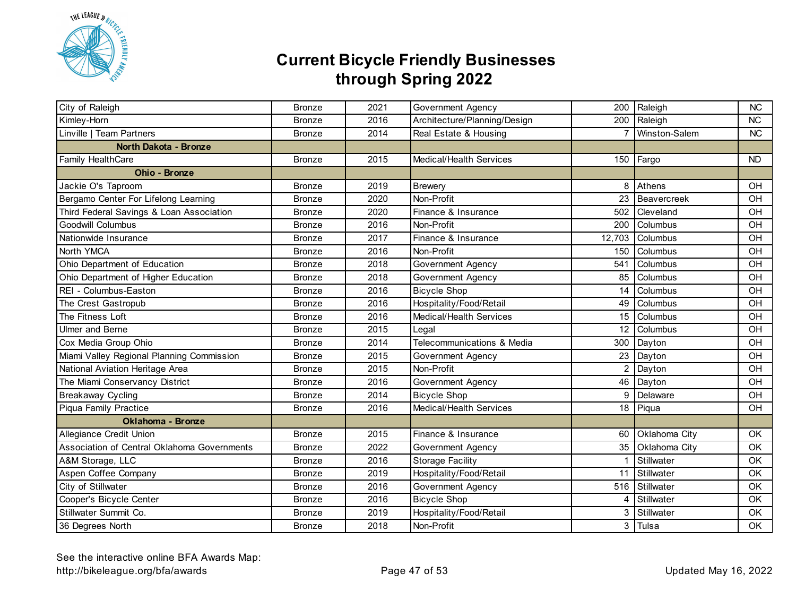

| City of Raleigh                             | <b>Bronze</b> | 2021 | Government Agency            | 200            | Raleigh        | <b>NC</b> |
|---------------------------------------------|---------------|------|------------------------------|----------------|----------------|-----------|
| Kimley-Horn                                 | <b>Bronze</b> | 2016 | Architecture/Planning/Design |                | 200 Raleigh    | <b>NC</b> |
| Linville   Team Partners                    | <b>Bronze</b> | 2014 | Real Estate & Housing        | $\overline{7}$ | Winston-Salem  | NC        |
| North Dakota - Bronze                       |               |      |                              |                |                |           |
| Family HealthCare                           | <b>Bronze</b> | 2015 | Medical/Health Services      |                | 150 Fargo      | <b>ND</b> |
| Ohio - Bronze                               |               |      |                              |                |                |           |
| Jackie O's Taproom                          | <b>Bronze</b> | 2019 | <b>Brewery</b>               | 8              | Athens         | OH        |
| Bergamo Center For Lifelong Learning        | <b>Bronze</b> | 2020 | Non-Profit                   | 23             | Beavercreek    | OH        |
| Third Federal Savings & Loan Association    | <b>Bronze</b> | 2020 | Finance & Insurance          | 502            | Cleveland      | OH        |
| Goodwill Columbus                           | <b>Bronze</b> | 2016 | Non-Profit                   | 200            | Columbus       | OH        |
| Nationwide Insurance                        | <b>Bronze</b> | 2017 | Finance & Insurance          | 12,703         | Columbus       | OH        |
| North YMCA                                  | <b>Bronze</b> | 2016 | Non-Profit                   | 150            | Columbus       | OH        |
| Ohio Department of Education                | <b>Bronze</b> | 2018 | Government Agency            | 541            | Columbus       | OH        |
| Ohio Department of Higher Education         | <b>Bronze</b> | 2018 | Government Agency            | 85             | Columbus       | OH        |
| REI - Columbus-Easton                       | <b>Bronze</b> | 2016 | <b>Bicycle Shop</b>          | 14             | Columbus       | OH        |
| The Crest Gastropub                         | <b>Bronze</b> | 2016 | Hospitality/Food/Retail      | 49             | Columbus       | OH        |
| The Fitness Loft                            | <b>Bronze</b> | 2016 | Medical/Health Services      | 15             | Columbus       | OH        |
| Ulmer and Berne                             | <b>Bronze</b> | 2015 | Legal                        | 12             | Columbus       | OH        |
| Cox Media Group Ohio                        | <b>Bronze</b> | 2014 | Telecommunications & Media   | 300            | Dayton         | OH        |
| Miami Valley Regional Planning Commission   | <b>Bronze</b> | 2015 | Government Agency            | 23             | Dayton         | OH        |
| National Aviation Heritage Area             | <b>Bronze</b> | 2015 | Non-Profit                   | 2              | Dayton         | OH        |
| The Miami Conservancy District              | <b>Bronze</b> | 2016 | Government Agency            | 46             | Dayton         | OH        |
| Breakaway Cycling                           | <b>Bronze</b> | 2014 | <b>Bicycle Shop</b>          | 9              | Delaware       | OH        |
| Piqua Family Practice                       | <b>Bronze</b> | 2016 | Medical/Health Services      |                | 18 Piqua       | OH        |
| <b>Oklahoma - Bronze</b>                    |               |      |                              |                |                |           |
| Allegiance Credit Union                     | <b>Bronze</b> | 2015 | Finance & Insurance          | 60             | Oklahoma City  | OK        |
| Association of Central Oklahoma Governments | <b>Bronze</b> | 2022 | Government Agency            | 35             | Oklahoma City  | OK        |
| A&M Storage, LLC                            | <b>Bronze</b> | 2016 | <b>Storage Facility</b>      | 1              | Stillwater     | OK        |
| Aspen Coffee Company                        | <b>Bronze</b> | 2019 | Hospitality/Food/Retail      | 11             | Stillwater     | OK        |
| City of Stillwater                          | <b>Bronze</b> | 2016 | Government Agency            |                | 516 Stillwater | OK        |
| Cooper's Bicycle Center                     | <b>Bronze</b> | 2016 | <b>Bicycle Shop</b>          | 4              | Stillwater     | OK        |
| Stillwater Summit Co.                       | <b>Bronze</b> | 2019 | Hospitality/Food/Retail      | 3              | Stillwater     | OK        |
| 36 Degrees North                            | <b>Bronze</b> | 2018 | Non-Profit                   | 3              | Tulsa          | OK        |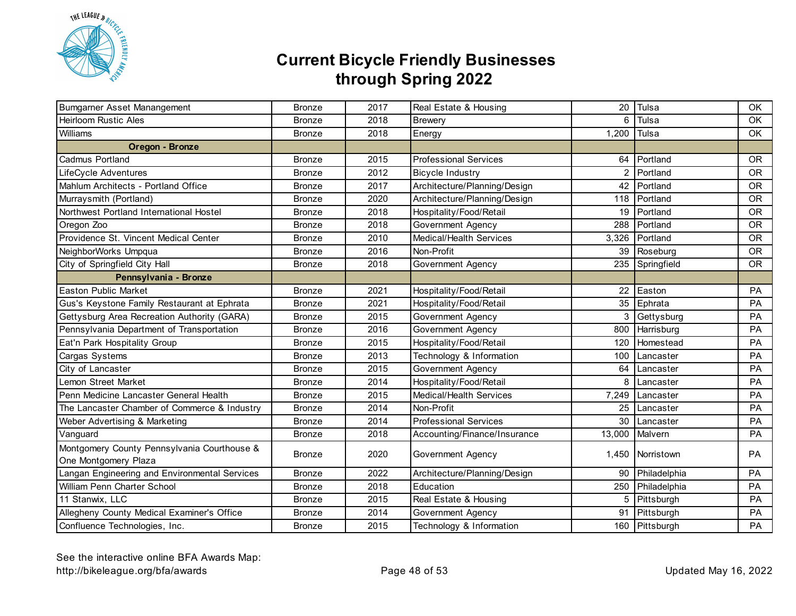

| Bumgarner Asset Manangement                                         | <b>Bronze</b> | 2017 | Real Estate & Housing        | 20     | Tulsa            | OK        |
|---------------------------------------------------------------------|---------------|------|------------------------------|--------|------------------|-----------|
| <b>Heirloom Rustic Ales</b>                                         | <b>Bronze</b> | 2018 | Brewery                      | 6      | Tulsa            | OK.       |
| Williams                                                            | <b>Bronze</b> | 2018 | Energy                       | 1,200  | Tulsa            | OK        |
| Oregon - Bronze                                                     |               |      |                              |        |                  |           |
| Cadmus Portland                                                     | <b>Bronze</b> | 2015 | <b>Professional Services</b> |        | 64 Portland      | <b>OR</b> |
| LifeCycle Adventures                                                | <b>Bronze</b> | 2012 | <b>Bicycle Industry</b>      | 2      | Portland         | <b>OR</b> |
| Mahlum Architects - Portland Office                                 | <b>Bronze</b> | 2017 | Architecture/Planning/Design | 42     | Portland         | <b>OR</b> |
| Murraysmith (Portland)                                              | <b>Bronze</b> | 2020 | Architecture/Planning/Design | 118    | Portland         | <b>OR</b> |
| Northwest Portland International Hostel                             | <b>Bronze</b> | 2018 | Hospitality/Food/Retail      | 19     | Portland         | <b>OR</b> |
| Oregon Zoo                                                          | <b>Bronze</b> | 2018 | Government Agency            | 288    | Portland         | <b>OR</b> |
| Providence St. Vincent Medical Center                               | <b>Bronze</b> | 2010 | Medical/Health Services      | 3,326  | Portland         | <b>OR</b> |
| NeighborWorks Umpqua                                                | <b>Bronze</b> | 2016 | Non-Profit                   | 39     | Roseburg         | <b>OR</b> |
| City of Springfield City Hall                                       | <b>Bronze</b> | 2018 | Government Agency            | 235    | Springfield      | <b>OR</b> |
| Pennsylvania - Bronze                                               |               |      |                              |        |                  |           |
| <b>Easton Public Market</b>                                         | <b>Bronze</b> | 2021 | Hospitality/Food/Retail      | 22     | Easton           | PA        |
| Gus's Keystone Family Restaurant at Ephrata                         | <b>Bronze</b> | 2021 | Hospitality/Food/Retail      | 35     | Ephrata          | PA        |
| Gettysburg Area Recreation Authority (GARA)                         | <b>Bronze</b> | 2015 | Government Agency            | 3      | Gettysburg       | PA        |
| Pennsylvania Department of Transportation                           | <b>Bronze</b> | 2016 | <b>Government Agency</b>     | 800    | Harrisburg       | PA        |
| Eat'n Park Hospitality Group                                        | <b>Bronze</b> | 2015 | Hospitality/Food/Retail      | 120    | Homestead        | PA        |
| Cargas Systems                                                      | <b>Bronze</b> | 2013 | Technology & Information     | 100    | Lancaster        | PA        |
| City of Lancaster                                                   | <b>Bronze</b> | 2015 | <b>Government Agency</b>     | 64     | Lancaster        | PA        |
| Lemon Street Market                                                 | <b>Bronze</b> | 2014 | Hospitality/Food/Retail      | 8      | Lancaster        | PA        |
| Penn Medicine Lancaster General Health                              | <b>Bronze</b> | 2015 | Medical/Health Services      | 7,249  | Lancaster        | PA        |
| The Lancaster Chamber of Commerce & Industry                        | <b>Bronze</b> | 2014 | Non-Profit                   | 25     | Lancaster        | PA        |
| Weber Advertising & Marketing                                       | <b>Bronze</b> | 2014 | <b>Professional Services</b> | 30     | Lancaster        | PA        |
| Vanguard                                                            | <b>Bronze</b> | 2018 | Accounting/Finance/Insurance | 13,000 | Malvern          | PA        |
| Montgomery County Pennsylvania Courthouse &<br>One Montgomery Plaza | <b>Bronze</b> | 2020 | Government Agency            |        | 1,450 Norristown | PA        |
| Langan Engineering and Environmental Services                       | <b>Bronze</b> | 2022 | Architecture/Planning/Design | 90     | Philadelphia     | PA        |
| William Penn Charter School                                         | <b>Bronze</b> | 2018 | Education                    | 250    | Philadelphia     | PA        |
| 11 Stanwix, LLC                                                     | <b>Bronze</b> | 2015 | Real Estate & Housing        | 5      | Pittsburgh       | PA        |
| Allegheny County Medical Examiner's Office                          | <b>Bronze</b> | 2014 | Government Agency            | 91     | Pittsburgh       | PA        |
| Confluence Technologies, Inc.                                       | <b>Bronze</b> | 2015 | Technology & Information     |        | 160 Pittsburgh   | PA        |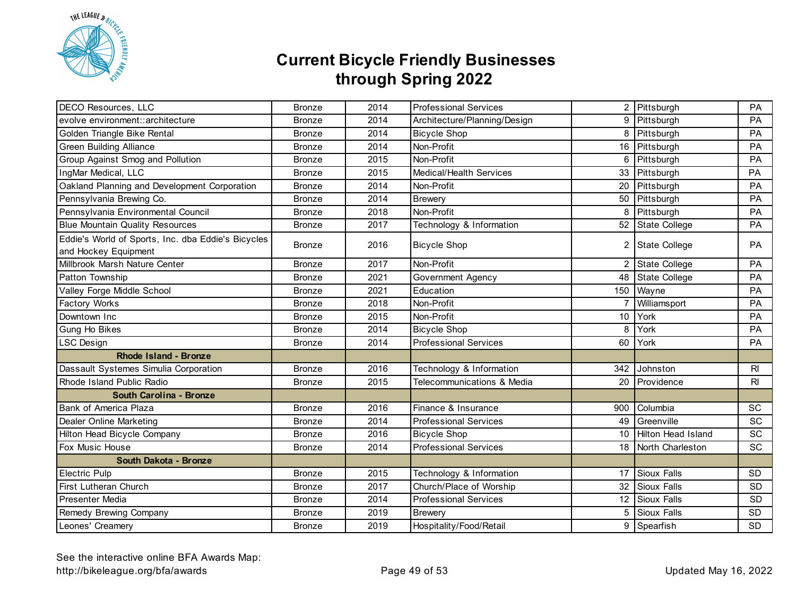

| DECO Resources, LLC                                                        | <b>Bronze</b> | 2014 | <b>Professional Services</b> |                 | 2 Pittsburgh         | PA          |
|----------------------------------------------------------------------------|---------------|------|------------------------------|-----------------|----------------------|-------------|
| evolve environment::architecture                                           | <b>Bronze</b> | 2014 | Architecture/Planning/Design |                 | 9 Pittsburgh         | PA          |
| Golden Triangle Bike Rental                                                | <b>Bronze</b> | 2014 | <b>Bicycle Shop</b>          |                 | 8 Pittsburgh         | PA          |
| <b>Green Building Alliance</b>                                             | <b>Bronze</b> | 2014 | Non-Profit                   |                 | 16 Pittsburgh        | PA          |
| Group Against Smog and Pollution                                           | <b>Bronze</b> | 2015 | Non-Profit                   | 6               | Pittsburgh           | <b>PA</b>   |
| IngMar Medical, LLC                                                        | <b>Bronze</b> | 2015 | Medical/Health Services      |                 | 33 Pittsburgh        | PA          |
| Oakland Planning and Development Corporation                               | <b>Bronze</b> | 2014 | Non-Profit                   | 20              | Pittsburgh           | PA          |
| Pennsylvania Brewing Co.                                                   | <b>Bronze</b> | 2014 | <b>Brewery</b>               |                 | 50 Pittsburgh        | PA          |
| Pennsylvania Environmental Council                                         | <b>Bronze</b> | 2018 | Non-Profit                   | 8               | Pittsburgh           | PA          |
| <b>Blue Mountain Quality Resources</b>                                     | <b>Bronze</b> | 2017 | Technology & Information     |                 | 52 State College     | PA          |
| Eddie's World of Sports, Inc. dba Eddie's Bicycles<br>and Hockey Equipment | <b>Bronze</b> | 2016 | <b>Bicycle Shop</b>          | 2               | State College        | PA          |
| Millbrook Marsh Nature Center                                              | <b>Bronze</b> | 2017 | Non-Profit                   | 2               | <b>State College</b> | PA          |
| Patton Township                                                            | <b>Bronze</b> | 2021 | Government Agency            | 48              | <b>State College</b> | PA          |
| Valley Forge Middle School                                                 | <b>Bronze</b> | 2021 | Education                    |                 | 150 Wayne            | PA          |
| Factory Works                                                              | <b>Bronze</b> | 2018 | Non-Profit                   | 7               | Williamsport         | PA          |
| Downtown Inc                                                               | <b>Bronze</b> | 2015 | Non-Profit                   | 10              | York                 | PA          |
| Gung Ho Bikes                                                              | <b>Bronze</b> | 2014 | <b>Bicycle Shop</b>          | 8               | York                 | PA          |
| <b>LSC Design</b>                                                          | <b>Bronze</b> | 2014 | <b>Professional Services</b> | 60              | York                 | PA          |
| <b>Rhode Island - Bronze</b>                                               |               |      |                              |                 |                      |             |
| Dassault Systemes Simulia Corporation                                      | <b>Bronze</b> | 2016 | Technology & Information     |                 | 342 Johnston         | $R_{\rm I}$ |
| Rhode Island Public Radio                                                  | <b>Bronze</b> | 2015 | Telecommunications & Media   | 20              | Providence           | $R_{\rm I}$ |
| South Carolina - Bronze                                                    |               |      |                              |                 |                      |             |
| Bank of America Plaza                                                      | <b>Bronze</b> | 2016 | Finance & Insurance          | 900             | Columbia             | <b>SC</b>   |
| Dealer Online Marketing                                                    | <b>Bronze</b> | 2014 | <b>Professional Services</b> | 49              | Greenville           | <b>SC</b>   |
| Hilton Head Bicycle Company                                                | <b>Bronze</b> | 2016 | <b>Bicycle Shop</b>          | 10 <sup>1</sup> | Hilton Head Island   | SC          |
| Fox Music House                                                            | <b>Bronze</b> | 2014 | <b>Professional Services</b> |                 | 18 North Charleston  | SC          |
| South Dakota - Bronze                                                      |               |      |                              |                 |                      |             |
| Electric Pulp                                                              | <b>Bronze</b> | 2015 | Technology & Information     |                 | 17 Sioux Falls       | <b>SD</b>   |
| First Lutheran Church                                                      | <b>Bronze</b> | 2017 | Church/Place of Worship      |                 | 32 Sioux Falls       | SD          |
| Presenter Media                                                            | <b>Bronze</b> | 2014 | <b>Professional Services</b> |                 | 12 Sioux Falls       | <b>SD</b>   |
| Remedy Brewing Company                                                     | <b>Bronze</b> | 2019 | <b>Brewery</b>               | 5               | <b>Sioux Falls</b>   | <b>SD</b>   |
| Leones' Creamery                                                           | <b>Bronze</b> | 2019 | Hospitality/Food/Retail      |                 | 9 Spearfish          | <b>SD</b>   |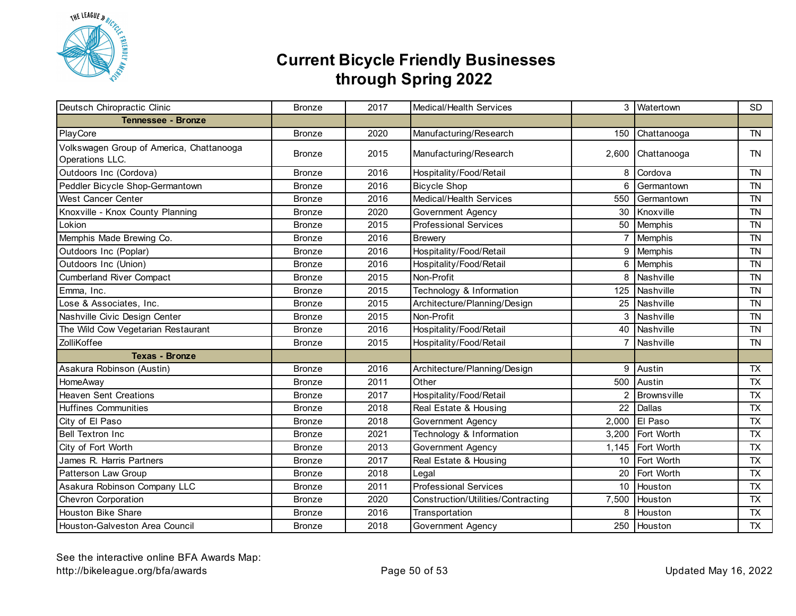

| Deutsch Chiropractic Clinic                                 | <b>Bronze</b> | 2017 | Medical/Health Services            |                | 3 Watertown      | <b>SD</b> |
|-------------------------------------------------------------|---------------|------|------------------------------------|----------------|------------------|-----------|
| <b>Tennessee - Bronze</b>                                   |               |      |                                    |                |                  |           |
| PlayCore                                                    | <b>Bronze</b> | 2020 | Manufacturing/Research             | 150            | Chattanooga      | <b>TN</b> |
| Volkswagen Group of America, Chattanooga<br>Operations LLC. | <b>Bronze</b> | 2015 | Manufacturing/Research             | 2,600          | Chattanooga      | <b>TN</b> |
| Outdoors Inc (Cordova)                                      | <b>Bronze</b> | 2016 | Hospitality/Food/Retail            | 8              | Cordova          | <b>TN</b> |
| Peddler Bicycle Shop-Germantown                             | <b>Bronze</b> | 2016 | <b>Bicycle Shop</b>                | 6              | Germantown       | <b>TN</b> |
| <b>West Cancer Center</b>                                   | <b>Bronze</b> | 2016 | Medical/Health Services            | 550            | Germantown       | <b>TN</b> |
| Knoxville - Knox County Planning                            | <b>Bronze</b> | 2020 | Government Agency                  | 30             | Knoxville        | <b>TN</b> |
| Lokion                                                      | <b>Bronze</b> | 2015 | <b>Professional Services</b>       | 50             | Memphis          | <b>TN</b> |
| Memphis Made Brewing Co.                                    | <b>Bronze</b> | 2016 | <b>Brewery</b>                     | $\overline{7}$ | Memphis          | <b>TN</b> |
| Outdoors Inc (Poplar)                                       | <b>Bronze</b> | 2016 | Hospitality/Food/Retail            | 9              | Memphis          | <b>TN</b> |
| Outdoors Inc (Union)                                        | <b>Bronze</b> | 2016 | Hospitality/Food/Retail            | 6              | Memphis          | <b>TN</b> |
| <b>Cumberland River Compact</b>                             | <b>Bronze</b> | 2015 | Non-Profit                         | 8              | Nashville        | <b>TN</b> |
| Emma, Inc.                                                  | <b>Bronze</b> | 2015 | Technology & Information           |                | 125 Nashville    | <b>TN</b> |
| Lose & Associates, Inc.                                     | <b>Bronze</b> | 2015 | Architecture/Planning/Design       |                | 25 Nashville     | <b>TN</b> |
| Nashville Civic Design Center                               | <b>Bronze</b> | 2015 | Non-Profit                         |                | 3 Nashville      | <b>TN</b> |
| The Wild Cow Vegetarian Restaurant                          | <b>Bronze</b> | 2016 | Hospitality/Food/Retail            | 40             | Nashville        | <b>TN</b> |
| ZolliKoffee                                                 | <b>Bronze</b> | 2015 | Hospitality/Food/Retail            | $\overline{7}$ | Nashville        | <b>TN</b> |
| <b>Texas - Bronze</b>                                       |               |      |                                    |                |                  |           |
| Asakura Robinson (Austin)                                   | <b>Bronze</b> | 2016 | Architecture/Planning/Design       | 9              | Austin           | <b>TX</b> |
| HomeAway                                                    | <b>Bronze</b> | 2011 | Other                              | 500            | Austin           | <b>TX</b> |
| <b>Heaven Sent Creations</b>                                | <b>Bronze</b> | 2017 | Hospitality/Food/Retail            | 2              | Brownsville      | <b>TX</b> |
| <b>Huffines Communities</b>                                 | <b>Bronze</b> | 2018 | Real Estate & Housing              | 22             | Dallas           | <b>TX</b> |
| City of El Paso                                             | <b>Bronze</b> | 2018 | Government Agency                  |                | 2,000 El Paso    | <b>TX</b> |
| <b>Bell Textron Inc</b>                                     | <b>Bronze</b> | 2021 | Technology & Information           |                | 3,200 Fort Worth | <b>TX</b> |
| City of Fort Worth                                          | <b>Bronze</b> | 2013 | Government Agency                  |                | 1,145 Fort Worth | <b>TX</b> |
| James R. Harris Partners                                    | <b>Bronze</b> | 2017 | Real Estate & Housing              |                | 10 Fort Worth    | <b>TX</b> |
| Patterson Law Group                                         | <b>Bronze</b> | 2018 | Legal                              | 20             | Fort Worth       | <b>TX</b> |
| Asakura Robinson Company LLC                                | <b>Bronze</b> | 2011 | <b>Professional Services</b>       |                | 10 Houston       | <b>TX</b> |
| Chevron Corporation                                         | <b>Bronze</b> | 2020 | Construction/Utilities/Contracting | 7,500          | Houston          | <b>TX</b> |
| <b>Houston Bike Share</b>                                   | <b>Bronze</b> | 2016 | Transportation                     |                | 8 Houston        | <b>TX</b> |
| Houston-Galveston Area Council                              | <b>Bronze</b> | 2018 | Government Agency                  |                | 250 Houston      | <b>TX</b> |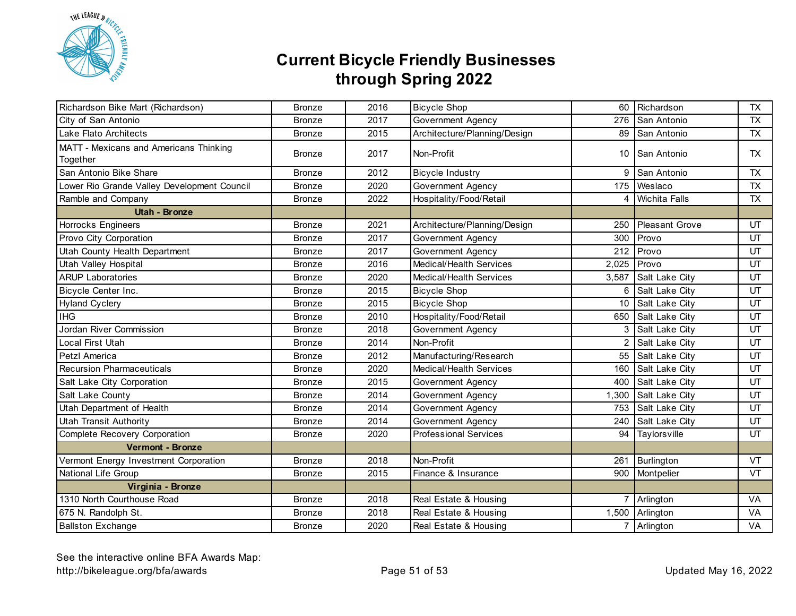

| Richardson Bike Mart (Richardson)                  | <b>Bronze</b> | 2016 | <b>Bicycle Shop</b>          | 60             | Richardson            | <b>TX</b> |
|----------------------------------------------------|---------------|------|------------------------------|----------------|-----------------------|-----------|
| City of San Antonio                                | <b>Bronze</b> | 2017 | Government Agency            |                | 276 San Antonio       | <b>TX</b> |
| Lake Flato Architects                              | <b>Bronze</b> | 2015 | Architecture/Planning/Design |                | 89 San Antonio        | <b>TX</b> |
| MATT - Mexicans and Americans Thinking<br>Together | <b>Bronze</b> | 2017 | Non-Profit                   |                | 10 San Antonio        | TX        |
| San Antonio Bike Share                             | <b>Bronze</b> | 2012 | <b>Bicycle Industry</b>      | 9              | San Antonio           | <b>TX</b> |
| Lower Rio Grande Valley Development Council        | <b>Bronze</b> | 2020 | <b>Government Agency</b>     | 175            | Weslaco               | <b>TX</b> |
| Ramble and Company                                 | <b>Bronze</b> | 2022 | Hospitality/Food/Retail      |                | 4 Wichita Falls       | TX        |
| <b>Utah - Bronze</b>                               |               |      |                              |                |                       |           |
| Horrocks Engineers                                 | <b>Bronze</b> | 2021 | Architecture/Planning/Design | 250            | <b>Pleasant Grove</b> | UT        |
| Provo City Corporation                             | <b>Bronze</b> | 2017 | Government Agency            | 300            | Provo                 | UT        |
| Utah County Health Department                      | <b>Bronze</b> | 2017 | Government Agency            | 212            | Provo                 | UT        |
| Utah Valley Hospital                               | <b>Bronze</b> | 2016 | Medical/Health Services      | 2,025          | Provo                 | UT        |
| <b>ARUP Laboratories</b>                           | <b>Bronze</b> | 2020 | Medical/Health Services      | 3,587          | Salt Lake City        | UT        |
| Bicycle Center Inc.                                | <b>Bronze</b> | 2015 | <b>Bicycle Shop</b>          | 6              | Salt Lake City        | UT        |
| <b>Hyland Cyclery</b>                              | <b>Bronze</b> | 2015 | <b>Bicycle Shop</b>          | 10             | Salt Lake City        | UT        |
| <b>IHG</b>                                         | <b>Bronze</b> | 2010 | Hospitality/Food/Retail      |                | 650 Salt Lake City    | UT        |
| Jordan River Commission                            | <b>Bronze</b> | 2018 | <b>Government Agency</b>     |                | 3 Salt Lake City      | UT        |
| Local First Utah                                   | <b>Bronze</b> | 2014 | Non-Profit                   | 2              | Salt Lake City        | UT        |
| Petzl America                                      | <b>Bronze</b> | 2012 | Manufacturing/Research       | 55             | Salt Lake City        | UT        |
| <b>Recursion Pharmaceuticals</b>                   | <b>Bronze</b> | 2020 | Medical/Health Services      | 160            | Salt Lake City        | UT        |
| Salt Lake City Corporation                         | <b>Bronze</b> | 2015 | Government Agency            | 400            | Salt Lake City        | UT        |
| Salt Lake County                                   | <b>Bronze</b> | 2014 | <b>Government Agency</b>     | 1,300          | Salt Lake City        | UT        |
| Utah Department of Health                          | <b>Bronze</b> | 2014 | Government Agency            | 753            | Salt Lake City        | UT        |
| <b>Utah Transit Authority</b>                      | <b>Bronze</b> | 2014 | Government Agency            |                | 240 Salt Lake City    | UT        |
| Complete Recovery Corporation                      | <b>Bronze</b> | 2020 | <b>Professional Services</b> | 94             | Taylorsville          | UT        |
| <b>Vermont - Bronze</b>                            |               |      |                              |                |                       |           |
| Vermont Energy Investment Corporation              | <b>Bronze</b> | 2018 | Non-Profit                   | 261            | Burlington            | VT        |
| National Life Group                                | <b>Bronze</b> | 2015 | Finance & Insurance          | 900            | Montpelier            | <b>VT</b> |
| Virginia - Bronze                                  |               |      |                              |                |                       |           |
| 1310 North Courthouse Road                         | <b>Bronze</b> | 2018 | Real Estate & Housing        | $\overline{7}$ | Arlington             | VA        |
| 675 N. Randolph St.                                | <b>Bronze</b> | 2018 | Real Estate & Housing        |                | 1,500 Arlington       | VA        |
| <b>Ballston Exchange</b>                           | <b>Bronze</b> | 2020 | Real Estate & Housing        |                | 7 Arlington           | VA        |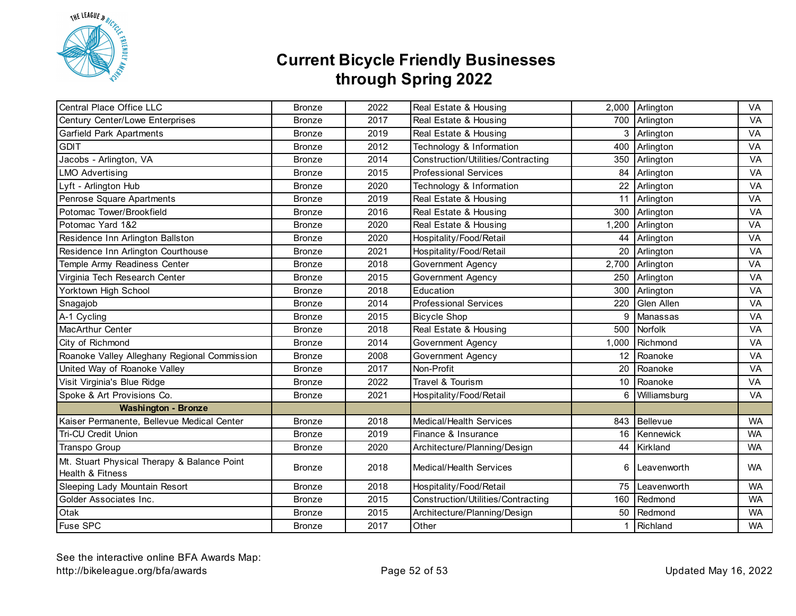

| <b>Central Place Office LLC</b>              | <b>Bronze</b> | 2022 | Real Estate & Housing              |       | 2,000 Arlington | <b>VA</b> |
|----------------------------------------------|---------------|------|------------------------------------|-------|-----------------|-----------|
| Century Center/Lowe Enterprises              | <b>Bronze</b> | 2017 | Real Estate & Housing              |       | 700 Arlington   | VA        |
| <b>Garfield Park Apartments</b>              | <b>Bronze</b> | 2019 | Real Estate & Housing              |       | 3 Arlington     | VA        |
| <b>GDIT</b>                                  | <b>Bronze</b> | 2012 | Technology & Information           | 400   | Arlington       | VA        |
| Jacobs - Arlington, VA                       | <b>Bronze</b> | 2014 | Construction/Utilities/Contracting | 350   | Arlington       | VA        |
| <b>LMO Advertising</b>                       | <b>Bronze</b> | 2015 | <b>Professional Services</b>       | 84    | Arlington       | VA        |
| Lyft - Arlington Hub                         | <b>Bronze</b> | 2020 | Technology & Information           | 22    | Arlington       | VA        |
| Penrose Square Apartments                    | <b>Bronze</b> | 2019 | Real Estate & Housing              | 11    | Arlington       | VA        |
| Potomac Tower/Brookfield                     | <b>Bronze</b> | 2016 | Real Estate & Housing              | 300   | Arlington       | VA        |
| Potomac Yard 1&2                             | <b>Bronze</b> | 2020 | Real Estate & Housing              | 1,200 | Arlington       | <b>VA</b> |
| Residence Inn Arlington Ballston             | <b>Bronze</b> | 2020 | Hospitality/Food/Retail            | 44    | Arlington       | VA        |
| Residence Inn Arlington Courthouse           | <b>Bronze</b> | 2021 | Hospitality/Food/Retail            | 20    | Arlington       | VA        |
| Temple Army Readiness Center                 | <b>Bronze</b> | 2018 | Government Agency                  | 2,700 | Arlington       | VA        |
| Virginia Tech Research Center                | <b>Bronze</b> | 2015 | Government Agency                  | 250   | Arlington       | VA        |
| Yorktown High School                         | <b>Bronze</b> | 2018 | Education                          | 300   | Arlington       | VA        |
| Snagajob                                     | <b>Bronze</b> | 2014 | <b>Professional Services</b>       | 220   | Glen Allen      | VA        |
| A-1 Cycling                                  | <b>Bronze</b> | 2015 | <b>Bicycle Shop</b>                | 9     | Manassas        | VA        |
| MacArthur Center                             | <b>Bronze</b> | 2018 | Real Estate & Housing              | 500   | Norfolk         | VA        |
| City of Richmond                             | <b>Bronze</b> | 2014 | Government Agency                  | 1,000 | Richmond        | VA        |
| Roanoke Valley Alleghany Regional Commission | <b>Bronze</b> | 2008 | Government Agency                  | 12    | Roanoke         | VA        |
| United Way of Roanoke Valley                 | <b>Bronze</b> | 2017 | Non-Profit                         | 20    | Roanoke         | VA        |
| Visit Virginia's Blue Ridge                  | <b>Bronze</b> | 2022 | Travel & Tourism                   | 10    | Roanoke         | VA        |
| Spoke & Art Provisions Co.                   | <b>Bronze</b> | 2021 | Hospitality/Food/Retail            | 6     | Williamsburg    | VA        |
| <b>Washington - Bronze</b>                   |               |      |                                    |       |                 |           |
| Kaiser Permanente, Bellevue Medical Center   | <b>Bronze</b> | 2018 | <b>Medical/Health Services</b>     |       | 843 Bellevue    | <b>WA</b> |
| <b>Tri-CU Credit Union</b>                   | <b>Bronze</b> | 2019 | Finance & Insurance                |       | 16 Kennewick    | <b>WA</b> |
| Transpo Group                                | <b>Bronze</b> | 2020 | Architecture/Planning/Design       |       | 44 Kirkland     | <b>WA</b> |
| Mt. Stuart Physical Therapy & Balance Point  | <b>Bronze</b> | 2018 | Medical/Health Services            | 6     | Leavenworth     | <b>WA</b> |
| Health & Fitness                             |               |      |                                    |       |                 |           |
| Sleeping Lady Mountain Resort                | <b>Bronze</b> | 2018 | Hospitality/Food/Retail            | 75    | Leavenworth     | <b>WA</b> |
| Golder Associates Inc.                       | <b>Bronze</b> | 2015 | Construction/Utilities/Contracting | 160   | Redmond         | <b>WA</b> |
| Otak                                         | <b>Bronze</b> | 2015 | Architecture/Planning/Design       | 50    | Redmond         | <b>WA</b> |
| Fuse SPC                                     | <b>Bronze</b> | 2017 | Other                              | 1     | Richland        | <b>WA</b> |